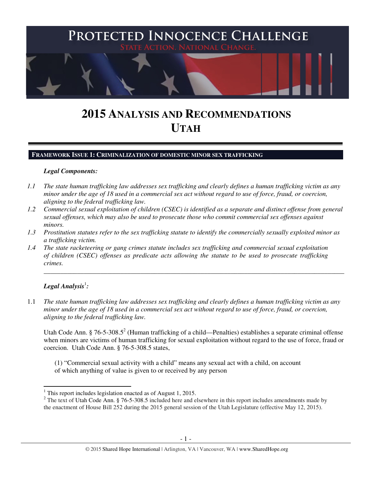

# **2015 ANALYSIS AND RECOMMENDATIONS UTAH**

#### **FRAMEWORK ISSUE 1: CRIMINALIZATION OF DOMESTIC MINOR SEX TRAFFICKING**

#### *Legal Components:*

- *1.1 The state human trafficking law addresses sex trafficking and clearly defines a human trafficking victim as any minor under the age of 18 used in a commercial sex act without regard to use of force, fraud, or coercion, aligning to the federal trafficking law.*
- *1.2 Commercial sexual exploitation of children (CSEC) is identified as a separate and distinct offense from general sexual offenses, which may also be used to prosecute those who commit commercial sex offenses against minors.*
- *1.3 Prostitution statutes refer to the sex trafficking statute to identify the commercially sexually exploited minor as a trafficking victim.*
- *1.4 The state racketeering or gang crimes statute includes sex trafficking and commercial sexual exploitation of children (CSEC) offenses as predicate acts allowing the statute to be used to prosecute trafficking crimes.*

## ${\it Legal Analysis^!}$ :

l

1.1 *The state human trafficking law addresses sex trafficking and clearly defines a human trafficking victim as any minor under the age of 18 used in a commercial sex act without regard to use of force, fraud, or coercion, aligning to the federal trafficking law.*

Utah Code Ann. § 76-5-308.5<sup>2</sup> (Human trafficking of a child—Penalties) establishes a separate criminal offense when minors are victims of human trafficking for sexual exploitation without regard to the use of force, fraud or coercion. Utah Code Ann. § 76-5-308.5 states,

\_\_\_\_\_\_\_\_\_\_\_\_\_\_\_\_\_\_\_\_\_\_\_\_\_\_\_\_\_\_\_\_\_\_\_\_\_\_\_\_\_\_\_\_\_\_\_\_\_\_\_\_\_\_\_\_\_\_\_\_\_\_\_\_\_\_\_\_\_\_\_\_\_\_\_\_\_\_\_\_\_\_\_\_\_\_\_\_\_\_

(1) "Commercial sexual activity with a child" means any sexual act with a child, on account of which anything of value is given to or received by any person

<sup>&</sup>lt;sup>1</sup> This report includes legislation enacted as of August 1, 2015.

<sup>&</sup>lt;sup>2</sup> The text of Utah Code Ann. § 76-5-308.5 included here and elsewhere in this report includes amendments made by the enactment of House Bill 252 during the 2015 general session of the Utah Legislature (effective May 12, 2015).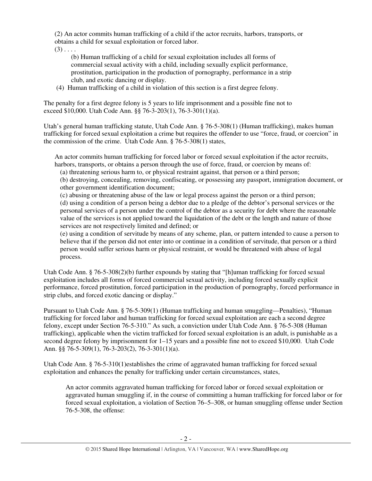(2) An actor commits human trafficking of a child if the actor recruits, harbors, transports, or obtains a child for sexual exploitation or forced labor.

 $(3)$  . . . .

(b) Human trafficking of a child for sexual exploitation includes all forms of commercial sexual activity with a child, including sexually explicit performance, prostitution, participation in the production of pornography, performance in a strip club, and exotic dancing or display.

(4) Human trafficking of a child in violation of this section is a first degree felony.

The penalty for a first degree felony is 5 years to life imprisonment and a possible fine not to exceed \$10,000. Utah Code Ann. §§ 76-3-203(1), 76-3-301(1)(a).

Utah's general human trafficking statute, Utah Code Ann. § 76-5-308(1) (Human trafficking), makes human trafficking for forced sexual exploitation a crime but requires the offender to use "force, fraud, or coercion" in the commission of the crime. Utah Code Ann. § 76-5-308(1) states,

An actor commits human trafficking for forced labor or forced sexual exploitation if the actor recruits, harbors, transports, or obtains a person through the use of force, fraud, or coercion by means of:

(a) threatening serious harm to, or physical restraint against, that person or a third person;

(b) destroying, concealing, removing, confiscating, or possessing any passport, immigration document, or other government identification document;

(c) abusing or threatening abuse of the law or legal process against the person or a third person; (d) using a condition of a person being a debtor due to a pledge of the debtor's personal services or the personal services of a person under the control of the debtor as a security for debt where the reasonable value of the services is not applied toward the liquidation of the debt or the length and nature of those services are not respectively limited and defined; or

(e) using a condition of servitude by means of any scheme, plan, or pattern intended to cause a person to believe that if the person did not enter into or continue in a condition of servitude, that person or a third person would suffer serious harm or physical restraint, or would be threatened with abuse of legal process.

Utah Code Ann. § 76-5-308(2)(b) further expounds by stating that "[h]uman trafficking for forced sexual exploitation includes all forms of forced commercial sexual activity, including forced sexually explicit performance, forced prostitution, forced participation in the production of pornography, forced performance in strip clubs, and forced exotic dancing or display."

Pursuant to Utah Code Ann. § 76-5-309(1) (Human trafficking and human smuggling—Penalties), "Human trafficking for forced labor and human trafficking for forced sexual exploitation are each a second degree felony, except under Section 76-5-310." As such, a conviction under Utah Code Ann. § 76-5-308 (Human trafficking), applicable when the victim trafficked for forced sexual exploitation is an adult, is punishable as a second degree felony by imprisonment for 1–15 years and a possible fine not to exceed \$10,000. Utah Code Ann. §§ 76-5-309(1), 76-3-203(2), 76-3-301(1)(a).

Utah Code Ann. § 76-5-310(1)establishes the crime of aggravated human trafficking for forced sexual exploitation and enhances the penalty for trafficking under certain circumstances, states,

An actor commits aggravated human trafficking for forced labor or forced sexual exploitation or aggravated human smuggling if, in the course of committing a human trafficking for forced labor or for forced sexual exploitation, a violation of Section 76–5–308, or human smuggling offense under Section 76-5-308, the offense: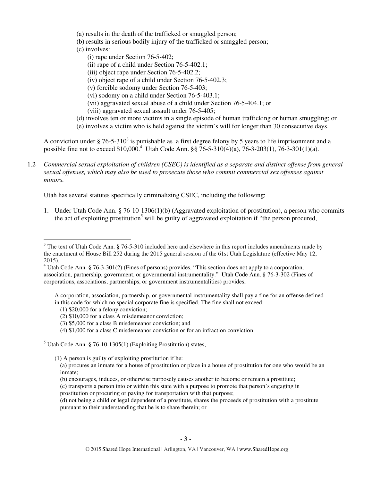- (a) results in the death of the trafficked or smuggled person;
- (b) results in serious bodily injury of the trafficked or smuggled person;
- (c) involves:
	- (i) rape under Section 76-5-402;
	- (ii) rape of a child under Section 76-5-402.1;
	- (iii) object rape under Section 76-5-402.2;
	- (iv) object rape of a child under Section 76-5-402.3;
	- (v) forcible sodomy under Section 76-5-403;
	- (vi) sodomy on a child under Section 76-5-403.1;
	- (vii) aggravated sexual abuse of a child under Section 76-5-404.1; or
	- (viii) aggravated sexual assault under 76-5-405;
- (d) involves ten or more victims in a single episode of human trafficking or human smuggling; or
- (e) involves a victim who is held against the victim's will for longer than 30 consecutive days.

A conviction under § 76-5-310<sup>3</sup> is punishable as a first degree felony by 5 years to life imprisonment and a possible fine not to exceed \$10,000.<sup>4</sup> Utah Code Ann. §§ 76-5-310(4)(a), 76-3-203(1), 76-3-301(1)(a).

1.2 *Commercial sexual exploitation of children (CSEC) is identified as a separate and distinct offense from general sexual offenses, which may also be used to prosecute those who commit commercial sex offenses against minors.*

Utah has several statutes specifically criminalizing CSEC, including the following:

1. Under Utah Code Ann. § 76-10-1306(1)(b) (Aggravated exploitation of prostitution), a person who commits the act of exploiting prostitution<sup>5</sup> will be guilty of aggravated exploitation if "the person procured,

(1) \$20,000 for a felony conviction;

l

- (2) \$10,000 for a class A misdemeanor conviction;
- (3) \$5,000 for a class B misdemeanor conviction; and
- (4) \$1,000 for a class C misdemeanor conviction or for an infraction conviction.

<sup>5</sup> Utah Code Ann. § 76-10-1305(1) (Exploiting Prostitution) states,

(1) A person is guilty of exploiting prostitution if he:

(b) encourages, induces, or otherwise purposely causes another to become or remain a prostitute;

<sup>&</sup>lt;sup>3</sup> The text of Utah Code Ann. § 76-5-310 included here and elsewhere in this report includes amendments made by the enactment of House Bill 252 during the 2015 general session of the 61st Utah Legislature (effective May 12, 2015).

<sup>&</sup>lt;sup>4</sup> Utah Code Ann. § 76-3-301(2) (Fines of persons) provides, "This section does not apply to a corporation, association, partnership, government, or governmental instrumentality." Utah Code Ann. § 76-3-302 (Fines of corporations, associations, partnerships, or government instrumentalities) provides,

A corporation, association, partnership, or governmental instrumentality shall pay a fine for an offense defined in this code for which no special corporate fine is specified. The fine shall not exceed:

<sup>(</sup>a) procures an inmate for a house of prostitution or place in a house of prostitution for one who would be an inmate;

<sup>(</sup>c) transports a person into or within this state with a purpose to promote that person's engaging in prostitution or procuring or paying for transportation with that purpose;

<sup>(</sup>d) not being a child or legal dependent of a prostitute, shares the proceeds of prostitution with a prostitute pursuant to their understanding that he is to share therein; or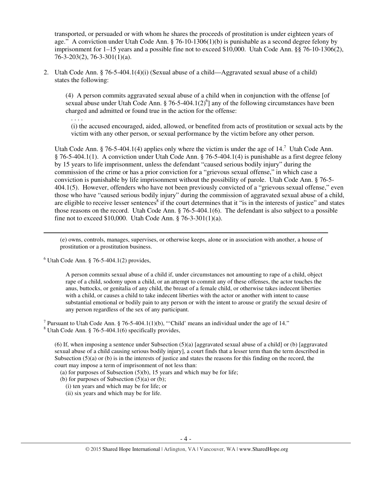transported, or persuaded or with whom he shares the proceeds of prostitution is under eighteen years of age." A conviction under Utah Code Ann. § 76-10-1306(1)(b) is punishable as a second degree felony by imprisonment for 1–15 years and a possible fine not to exceed \$10,000. Utah Code Ann. §§ 76-10-1306(2), 76-3-203(2), 76-3-301(1)(a).

2. Utah Code Ann. § 76-5-404.1(4)(i) (Sexual abuse of a child—Aggravated sexual abuse of a child) states the following:

(4) A person commits aggravated sexual abuse of a child when in conjunction with the offense [of sexual abuse under Utah Code Ann. § 76-5-404.1(2)<sup>6</sup>] any of the following circumstances have been charged and admitted or found true in the action for the offense:

. . . .

 $\overline{a}$ 

(i) the accused encouraged, aided, allowed, or benefited from acts of prostitution or sexual acts by the victim with any other person, or sexual performance by the victim before any other person.

Utah Code Ann. § 76-5-404.1(4) applies only where the victim is under the age of  $14$ .<sup>7</sup> Utah Code Ann. § 76-5-404.1(1). A conviction under Utah Code Ann. § 76-5-404.1(4) is punishable as a first degree felony by 15 years to life imprisonment, unless the defendant "caused serious bodily injury" during the commission of the crime or has a prior conviction for a "grievous sexual offense," in which case a conviction is punishable by life imprisonment without the possibility of parole. Utah Code Ann. § 76-5- 404.1(5). However, offenders who have not been previously convicted of a "grievous sexual offense," even those who have "caused serious bodily injury" during the commission of aggravated sexual abuse of a child, are eligible to receive lesser sentences<sup>8</sup> if the court determines that it "is in the interests of justice" and states those reasons on the record. Utah Code Ann. § 76-5-404.1(6). The defendant is also subject to a possible fine not to exceed \$10,000. Utah Code Ann. § 76-3-301(1)(a).

(e) owns, controls, manages, supervises, or otherwise keeps, alone or in association with another, a house of prostitution or a prostitution business.

 $6$  Utah Code Ann. § 76-5-404.1(2) provides,

A person commits sexual abuse of a child if, under circumstances not amounting to rape of a child, object rape of a child, sodomy upon a child, or an attempt to commit any of these offenses, the actor touches the anus, buttocks, or genitalia of any child, the breast of a female child, or otherwise takes indecent liberties with a child, or causes a child to take indecent liberties with the actor or another with intent to cause substantial emotional or bodily pain to any person or with the intent to arouse or gratify the sexual desire of any person regardless of the sex of any participant.

 $8$  Utah Code Ann. § 76-5-404.1(6) specifically provides,

(6) If, when imposing a sentence under Subsection  $(5)(a)$  [aggravated sexual abuse of a child] or (b) [aggravated sexual abuse of a child causing serious bodily injury], a court finds that a lesser term than the term described in Subsection  $(5)(a)$  or (b) is in the interests of justice and states the reasons for this finding on the record, the court may impose a term of imprisonment of not less than:

(a) for purposes of Subsection  $(5)(b)$ , 15 years and which may be for life;

(b) for purposes of Subsection  $(5)(a)$  or  $(b)$ ;

(i) ten years and which may be for life; or

(ii) six years and which may be for life.

<sup>&</sup>lt;sup>7</sup> Pursuant to Utah Code Ann. § 76-5-404.1(1)(b), "'Child' means an individual under the age of 14."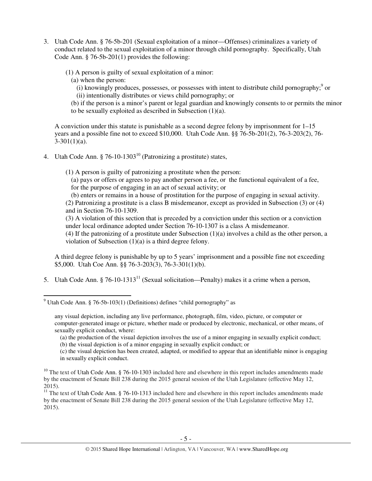- 3. Utah Code Ann. § 76-5b-201 (Sexual exploitation of a minor—Offenses) criminalizes a variety of conduct related to the sexual exploitation of a minor through child pornography. Specifically, Utah Code Ann. § 76-5b-201(1) provides the following:
	- (1) A person is guilty of sexual exploitation of a minor:
		- (a) when the person:

l

- $(i)$  knowingly produces, possesses, or possesses with intent to distribute child pornography;<sup>9</sup> or
- (ii) intentionally distributes or views child pornography; or

(b) if the person is a minor's parent or legal guardian and knowingly consents to or permits the minor to be sexually exploited as described in Subsection (1)(a).

A conviction under this statute is punishable as a second degree felony by imprisonment for 1–15 years and a possible fine not to exceed \$10,000. Utah Code Ann. §§ 76-5b-201(2), 76-3-203(2), 76-  $3-301(1)(a)$ .

- 4. Utah Code Ann. § 76-10-1303<sup>10</sup> (Patronizing a prostitute) states,
	- (1) A person is guilty of patronizing a prostitute when the person:

(a) pays or offers or agrees to pay another person a fee, or the functional equivalent of a fee, for the purpose of engaging in an act of sexual activity; or

(b) enters or remains in a house of prostitution for the purpose of engaging in sexual activity. (2) Patronizing a prostitute is a class B misdemeanor, except as provided in Subsection (3) or (4) and in Section 76-10-1309.

(3) A violation of this section that is preceded by a conviction under this section or a conviction under local ordinance adopted under Section 76-10-1307 is a class A misdemeanor.

(4) If the patronizing of a prostitute under Subsection (1)(a) involves a child as the other person, a violation of Subsection (1)(a) is a third degree felony.

A third degree felony is punishable by up to 5 years' imprisonment and a possible fine not exceeding \$5,000. Utah Coe Ann. §§ 76-3-203(3), 76-3-301(1)(b).

5. Utah Code Ann. § 76-10-1313<sup>11</sup> (Sexual solicitation—Penalty) makes it a crime when a person,

(a) the production of the visual depiction involves the use of a minor engaging in sexually explicit conduct; (b) the visual depiction is of a minor engaging in sexually explicit conduct; or

(c) the visual depiction has been created, adapted, or modified to appear that an identifiable minor is engaging in sexually explicit conduct.

<sup>&</sup>lt;sup>9</sup> Utah Code Ann. § 76-5b-103(1) (Definitions) defines "child pornography" as

any visual depiction, including any live performance, photograph, film, video, picture, or computer or computer-generated image or picture, whether made or produced by electronic, mechanical, or other means, of sexually explicit conduct, where:

<sup>&</sup>lt;sup>10</sup> The text of Utah Code Ann.  $\S$  76-10-1303 included here and elsewhere in this report includes amendments made by the enactment of Senate Bill 238 during the 2015 general session of the Utah Legislature (effective May 12, 2015).

<sup>&</sup>lt;sup>11</sup> The text of Utah Code Ann. § 76-10-1313 included here and elsewhere in this report includes amendments made by the enactment of Senate Bill 238 during the 2015 general session of the Utah Legislature (effective May 12, 2015).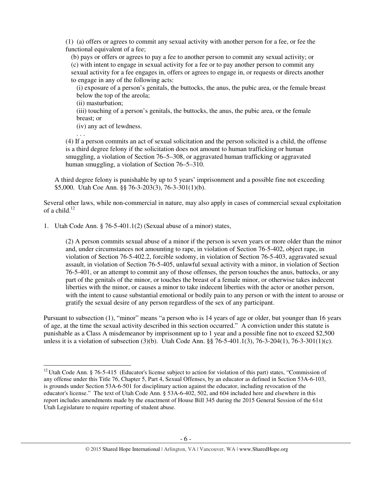(1) (a) offers or agrees to commit any sexual activity with another person for a fee, or fee the functional equivalent of a fee;

(b) pays or offers or agrees to pay a fee to another person to commit any sexual activity; or (c) with intent to engage in sexual activity for a fee or to pay another person to commit any sexual activity for a fee engages in, offers or agrees to engage in, or requests or directs another to engage in any of the following acts:

(i) exposure of a person's genitals, the buttocks, the anus, the pubic area, or the female breast below the top of the areola;

(ii) masturbation;

(iii) touching of a person's genitals, the buttocks, the anus, the pubic area, or the female breast; or

(iv) any act of lewdness.

. . .

l

(4) If a person commits an act of sexual solicitation and the person solicited is a child, the offense is a third degree felony if the solicitation does not amount to human trafficking or human smuggling, a violation of Section 76–5–308, or aggravated human trafficking or aggravated human smuggling, a violation of Section 76–5–310.

A third degree felony is punishable by up to 5 years' imprisonment and a possible fine not exceeding \$5,000. Utah Coe Ann. §§ 76-3-203(3), 76-3-301(1)(b).

Several other laws, while non-commercial in nature, may also apply in cases of commercial sexual exploitation of a child. $12$ 

1. Utah Code Ann. § 76-5-401.1(2) (Sexual abuse of a minor) states,

(2) A person commits sexual abuse of a minor if the person is seven years or more older than the minor and, under circumstances not amounting to rape, in violation of Section 76-5-402, object rape, in violation of Section 76-5-402.2, forcible sodomy, in violation of Section 76-5-403, aggravated sexual assault, in violation of Section 76-5-405, unlawful sexual activity with a minor, in violation of Section 76-5-401, or an attempt to commit any of those offenses, the person touches the anus, buttocks, or any part of the genitals of the minor, or touches the breast of a female minor, or otherwise takes indecent liberties with the minor, or causes a minor to take indecent liberties with the actor or another person, with the intent to cause substantial emotional or bodily pain to any person or with the intent to arouse or gratify the sexual desire of any person regardless of the sex of any participant.

Pursuant to subsection (1), "minor" means "a person who is 14 years of age or older, but younger than 16 years of age, at the time the sexual activity described in this section occurred." A conviction under this statute is punishable as a Class A misdemeanor by imprisonment up to 1 year and a possible fine not to exceed \$2,500 unless it is a violation of subsection (3)(b). Utah Code Ann. §§ 76-5-401.1(3), 76-3-204(1), 76-3-301(1)(c).

 $12$  Utah Code Ann. § 76-5-415 (Educator's license subject to action for violation of this part) states, "Commission of any offense under this Title 76, Chapter 5, Part 4, Sexual Offenses, by an educator as defined in Section 53A-6-103, is grounds under Section 53A-6-501 for disciplinary action against the educator, including revocation of the educator's license." The text of Utah Code Ann. § 53A-6-402, 502, and 604 included here and elsewhere in this report includes amendments made by the enactment of House Bill 345 during the 2015 General Session of the 61st Utah Legislature to require reporting of student abuse.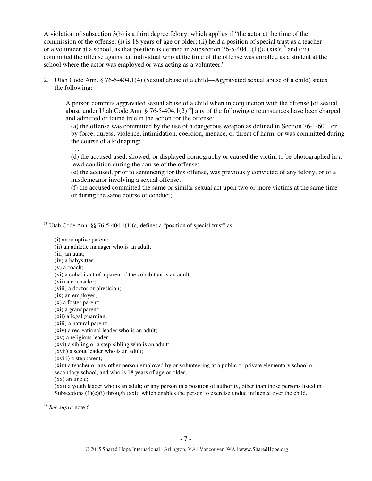A violation of subsection 3(b) is a third degree felony, which applies if "the actor at the time of the commission of the offense: (i) is 18 years of age or older; (ii) held a position of special trust as a teacher or a volunteer at a school, as that position is defined in Subsection 76-5-404.1(1)(c)(xix);<sup>13</sup> and (iii) committed the offense against an individual who at the time of the offense was enrolled as a student at the school where the actor was employed or was acting as a volunteer."

2. Utah Code Ann. § 76-5-404.1(4) (Sexual abuse of a child—Aggravated sexual abuse of a child) states the following:

A person commits aggravated sexual abuse of a child when in conjunction with the offense [of sexual abuse under Utah Code Ann. § 76-5-404.1(2)<sup>14</sup>] any of the following circumstances have been charged and admitted or found true in the action for the offense:

(a) the offense was committed by the use of a dangerous weapon as defined in Section 76-1-601, or by force, duress, violence, intimidation, coercion, menace, or threat of harm, or was committed during the course of a kidnaping;

. . .

(d) the accused used, showed, or displayed pornography or caused the victim to be photographed in a lewd condition during the course of the offense;

(e) the accused, prior to sentencing for this offense, was previously convicted of any felony, or of a misdemeanor involving a sexual offense;

(f) the accused committed the same or similar sexual act upon two or more victims at the same time or during the same course of conduct;

<sup>13</sup> Utah Code Ann. §§ 76-5-404.1(1)(c) defines a "position of special trust" as:

(i) an adoptive parent;

(ii) an athletic manager who is an adult;

(iii) an aunt;

(iv) a babysitter;

(v) a coach;

l

(vi) a cohabitant of a parent if the cohabitant is an adult;

(vii) a counselor;

(viii) a doctor or physician;

(ix) an employer;

(x) a foster parent;

(xi) a grandparent;

(xii) a legal guardian;

(xiii) a natural parent;

(xiv) a recreational leader who is an adult;

(xv) a religious leader;

(xvi) a sibling or a step-sibling who is an adult;

(xvii) a scout leader who is an adult;

(xviii) a stepparent;

(xix) a teacher or any other person employed by or volunteering at a public or private elementary school or secondary school, and who is 18 years of age or older;

(xx) an uncle;

(xxi) a youth leader who is an adult; or any person in a position of authority, other than those persons listed in Subsections  $(1)(c)(i)$  through (xxi), which enables the person to exercise undue influence over the child.

<sup>14</sup> *See supra* note 6.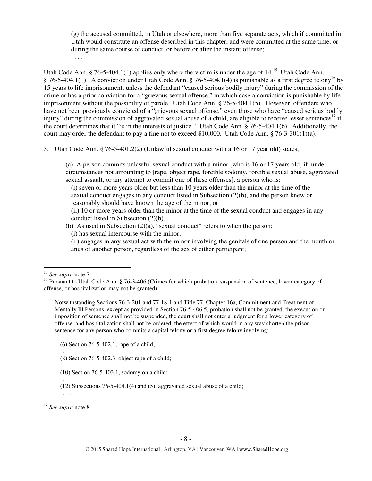(g) the accused committed, in Utah or elsewhere, more than five separate acts, which if committed in Utah would constitute an offense described in this chapter, and were committed at the same time, or during the same course of conduct, or before or after the instant offense;

. . . .

Utah Code Ann. § 76-5-404.1(4) applies only where the victim is under the age of 14.<sup>15</sup> Utah Code Ann. § 76-5-404.1(1). A conviction under Utah Code Ann. § 76-5-404.1(4) is punishable as a first degree felony<sup>16</sup> by 15 years to life imprisonment, unless the defendant "caused serious bodily injury" during the commission of the crime or has a prior conviction for a "grievous sexual offense," in which case a conviction is punishable by life imprisonment without the possibility of parole. Utah Code Ann. § 76-5-404.1(5). However, offenders who have not been previously convicted of a "grievous sexual offense," even those who have "caused serious bodily injury" during the commission of aggravated sexual abuse of a child, are eligible to receive lesser sentences<sup>17</sup> if the court determines that it "is in the interests of justice." Utah Code Ann. § 76-5-404.1(6). Additionally, the court may order the defendant to pay a fine not to exceed \$10,000. Utah Code Ann. § 76-3-301(1)(a).

3. Utah Code Ann. § 76-5-401.2(2) (Unlawful sexual conduct with a 16 or 17 year old) states,

(a) A person commits unlawful sexual conduct with a minor [who is 16 or 17 years old] if, under circumstances not amounting to [rape, object rape, forcible sodomy, forcible sexual abuse, aggravated sexual assault, or any attempt to commit one of these offenses], a person who is:

(i) seven or more years older but less than 10 years older than the minor at the time of the sexual conduct engages in any conduct listed in Subsection (2)(b), and the person knew or reasonably should have known the age of the minor; or

(ii) 10 or more years older than the minor at the time of the sexual conduct and engages in any conduct listed in Subsection (2)(b).

- (b) As used in Subsection  $(2)(a)$ , "sexual conduct" refers to when the person:
	- (i) has sexual intercourse with the minor;

(ii) engages in any sexual act with the minor involving the genitals of one person and the mouth or anus of another person, regardless of the sex of either participant;

<sup>15</sup> *See supra* note 7.

 $\overline{a}$ 

Notwithstanding Sections 76-3-201 and 77-18-1 and Title 77, Chapter 16a, Commitment and Treatment of Mentally Ill Persons, except as provided in Section 76-5-406.5, probation shall not be granted, the execution or imposition of sentence shall not be suspended, the court shall not enter a judgment for a lower category of offense, and hospitalization shall not be ordered, the effect of which would in any way shorten the prison sentence for any person who commits a capital felony or a first degree felony involving:

. . .

. . . .

<sup>17</sup> *See supra* note 8.

<sup>&</sup>lt;sup>16</sup> Pursuant to Utah Code Ann. § 76-3-406 (Crimes for which probation, suspension of sentence, lower category of offense, or hospitalization may not be granted),

<sup>(6)</sup> Section 76-5-402.1, rape of a child;

<sup>. . .</sup>  (8) Section 76-5-402.3, object rape of a child;

<sup>. . .</sup> 

<sup>(10)</sup> Section 76-5-403.1, sodomy on a child;

<sup>. . .</sup>  (12) Subsections 76-5-404.1(4) and (5), aggravated sexual abuse of a child;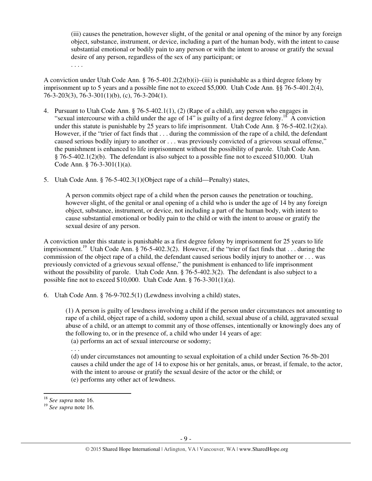(iii) causes the penetration, however slight, of the genital or anal opening of the minor by any foreign object, substance, instrument, or device, including a part of the human body, with the intent to cause substantial emotional or bodily pain to any person or with the intent to arouse or gratify the sexual desire of any person, regardless of the sex of any participant; or . . . .

A conviction under Utah Code Ann. § 76-5-401.2(2)(b)(i)–(iii) is punishable as a third degree felony by imprisonment up to 5 years and a possible fine not to exceed \$5,000. Utah Code Ann. §§ 76-5-401.2(4), 76-3-203(3), 76-3-301(1)(b), (c), 76-3-204(1).

- 4. Pursuant to Utah Code Ann. § 76-5-402.1(1), (2) (Rape of a child), any person who engages in "sexual intercourse with a child under the age of  $14$ " is guilty of a first degree felony.<sup>18</sup> A conviction under this statute is punishable by 25 years to life imprisonment. Utah Code Ann. § 76-5-402.1(2)(a). However, if the "trier of fact finds that . . . during the commission of the rape of a child, the defendant caused serious bodily injury to another or . . . was previously convicted of a grievous sexual offense," the punishment is enhanced to life imprisonment without the possibility of parole. Utah Code Ann. § 76-5-402.1(2)(b). The defendant is also subject to a possible fine not to exceed \$10,000. Utah Code Ann. § 76-3-301(1)(a).
- 5. Utah Code Ann. § 76-5-402.3(1)(Object rape of a child—Penalty) states,

A person commits object rape of a child when the person causes the penetration or touching, however slight, of the genital or anal opening of a child who is under the age of 14 by any foreign object, substance, instrument, or device, not including a part of the human body, with intent to cause substantial emotional or bodily pain to the child or with the intent to arouse or gratify the sexual desire of any person.

A conviction under this statute is punishable as a first degree felony by imprisonment for 25 years to life imprisonment.<sup>19</sup> Utah Code Ann. § 76-5-402.3(2). However, if the "trier of fact finds that . . . during the commission of the object rape of a child, the defendant caused serious bodily injury to another or . . . was previously convicted of a grievous sexual offense," the punishment is enhanced to life imprisonment without the possibility of parole. Utah Code Ann. § 76-5-402.3(2). The defendant is also subject to a possible fine not to exceed \$10,000. Utah Code Ann. § 76-3-301(1)(a).

6. Utah Code Ann. § 76-9-702.5(1) (Lewdness involving a child) states,

(1) A person is guilty of lewdness involving a child if the person under circumstances not amounting to rape of a child, object rape of a child, sodomy upon a child, sexual abuse of a child, aggravated sexual abuse of a child, or an attempt to commit any of those offenses, intentionally or knowingly does any of the following to, or in the presence of, a child who under 14 years of age:

(a) performs an act of sexual intercourse or sodomy;

. . .

(d) under circumstances not amounting to sexual exploitation of a child under Section 76-5b-201 causes a child under the age of 14 to expose his or her genitals, anus, or breast, if female, to the actor, with the intent to arouse or gratify the sexual desire of the actor or the child; or (e) performs any other act of lewdness.

<sup>18</sup> *See supra* note 16.

<sup>19</sup> *See supra* note 16.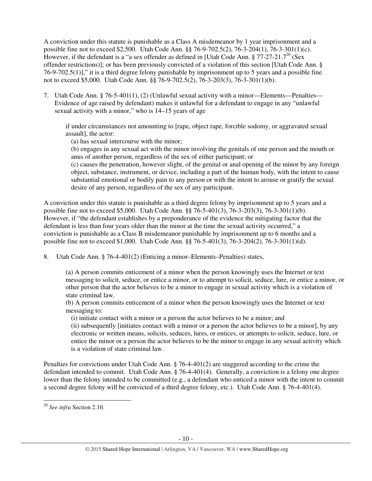A conviction under this statute is punishable as a Class A misdemeanor by 1 year imprisonment and a possible fine not to exceed \$2,500. Utah Code Ann. §§ 76-9-702.5(2), 76-3-204(1), 76-3-301(1)(c). However, if the defendant is a "a sex offender as defined in [Utah Code Ann. § 77-27-21.7<sup>20</sup> (Sex offender restrictions)]; or has been previously convicted of a violation of this section [Utah Code Ann. § 76-9-702.5(1)]," it is a third degree felony punishable by imprisonment up to 5 years and a possible fine not to exceed \$5,000. Utah Code Ann. §§ 76-9-702.5(2), 76-3-203(3), 76-3-301(1)(b).

7. Utah Code Ann. § 76-5-401(1), (2) (Unlawful sexual activity with a minor—Elements—Penalties— Evidence of age raised by defendant) makes it unlawful for a defendant to engage in any "unlawful sexual activity with a minor," who is 14–15 years of age

if under circumstances not amounting to [rape, object rape, forcible sodomy, or aggravated sexual assault], the actor:

(a) has sexual intercourse with the minor;

(b) engages in any sexual act with the minor involving the genitals of one person and the mouth or anus of another person, regardless of the sex of either participant; or

(c) causes the penetration, however slight, of the genital or anal opening of the minor by any foreign object, substance, instrument, or device, including a part of the human body, with the intent to cause substantial emotional or bodily pain to any person or with the intent to arouse or gratify the sexual desire of any person, regardless of the sex of any participant.

A conviction under this statute is punishable as a third degree felony by imprisonment up to 5 years and a possible fine not to exceed \$5,000. Utah Code Ann. §§ 76-5-401(3), 76-3-203(3), 76-3-301(1)(b). However, if "the defendant establishes by a preponderance of the evidence the mitigating factor that the defendant is less than four years older than the minor at the time the sexual activity occurred," a conviction is punishable as a Class B misdemeanor punishable by imprisonment up to 6 months and a possible fine not to exceed \$1,000. Utah Code Ann. §§ 76-5-401(3), 76-3-204(2), 76-3-301(1)(d).

8. Utah Code Ann. § 76-4-401(2) (Enticing a minor–Elements–Penalties) states,

(a) A person commits enticement of a minor when the person knowingly uses the Internet or text messaging to solicit, seduce, or entice a minor, or to attempt to solicit, seduce, lure, or entice a minor, or other person that the actor believes to be a minor to engage in sexual activity which is a violation of state criminal law.

(b) A person commits enticement of a minor when the person knowingly uses the Internet or text messaging to:

(i) initiate contact with a minor or a person the actor believes to be a minor; and

(ii) subsequently [initiates contact with a minor or a person the actor believes to be a minor], by any electronic or written means, solicits, seduces, lures, or entices, or attempts to solicit, seduce, lure, or entice the minor or a person the actor believes to be the minor to engage in any sexual activity which is a violation of state criminal law.

Penalties for convictions under Utah Code Ann. § 76-4-401(2) are staggered according to the crime the defendant intended to commit. Utah Code Ann. § 76-4-401(4). Generally, a conviction is a felony one degree lower than the felony intended to be committed (e.g., a defendant who enticed a minor with the intent to commit a second degree felony will be convicted of a third degree felony, etc.). Utah Code Ann. § 76-4-401(4).

<sup>20</sup> *See infra* Section 2.10.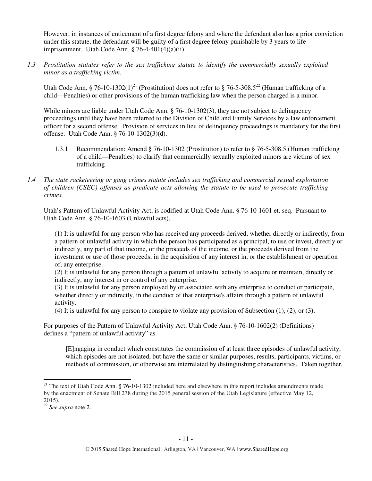However, in instances of enticement of a first degree felony and where the defendant also has a prior conviction under this statute, the defendant will be guilty of a first degree felony punishable by 3 years to life imprisonment. Utah Code Ann. § 76-4-401(4)(a)(ii).

*1.3 Prostitution statutes refer to the sex trafficking statute to identify the commercially sexually exploited minor as a trafficking victim.* 

Utah Code Ann. § 76-10-1302(1)<sup>21</sup> (Prostitution) does not refer to § 76-5-308.5<sup>22</sup> (Human trafficking of a child—Penalties) or other provisions of the human trafficking law when the person charged is a minor.

While minors are liable under Utah Code Ann. § 76-10-1302(3), they are not subject to delinquency proceedings until they have been referred to the Division of Child and Family Services by a law enforcement officer for a second offense. Provision of services in lieu of delinquency proceedings is mandatory for the first offense. Utah Code Ann. § 76-10-1302(3)(d).

- 1.3.1 Recommendation: Amend § 76-10-1302 (Prostitution) to refer to § 76-5-308.5 (Human trafficking of a child—Penalties) to clarify that commercially sexually exploited minors are victims of sex trafficking
- *1.4 The state racketeering or gang crimes statute includes sex trafficking and commercial sexual exploitation of children (CSEC) offenses as predicate acts allowing the statute to be used to prosecute trafficking crimes.*

Utah's Pattern of Unlawful Activity Act, is codified at Utah Code Ann. § 76-10-1601 et. seq. Pursuant to Utah Code Ann. § 76-10-1603 (Unlawful acts),

(1) It is unlawful for any person who has received any proceeds derived, whether directly or indirectly, from a pattern of unlawful activity in which the person has participated as a principal, to use or invest, directly or indirectly, any part of that income, or the proceeds of the income, or the proceeds derived from the investment or use of those proceeds, in the acquisition of any interest in, or the establishment or operation of, any enterprise.

(2) It is unlawful for any person through a pattern of unlawful activity to acquire or maintain, directly or indirectly, any interest in or control of any enterprise.

(3) It is unlawful for any person employed by or associated with any enterprise to conduct or participate, whether directly or indirectly, in the conduct of that enterprise's affairs through a pattern of unlawful activity.

(4) It is unlawful for any person to conspire to violate any provision of Subsection (1), (2), or (3).

For purposes of the Pattern of Unlawful Activity Act, Utah Code Ann. § 76-10-1602(2) (Definitions) defines a "pattern of unlawful activity" as

[E]ngaging in conduct which constitutes the commission of at least three episodes of unlawful activity, which episodes are not isolated, but have the same or similar purposes, results, participants, victims, or methods of commission, or otherwise are interrelated by distinguishing characteristics. Taken together,

<sup>&</sup>lt;sup>21</sup> The text of Utah Code Ann. § 76-10-1302 included here and elsewhere in this report includes amendments made by the enactment of Senate Bill 238 during the 2015 general session of the Utah Legislature (effective May 12, 2015).

<sup>22</sup> *See supra* note 2.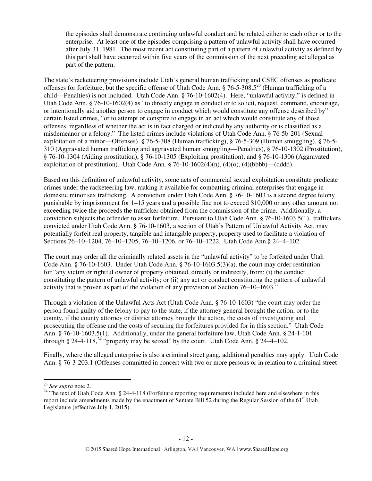the episodes shall demonstrate continuing unlawful conduct and be related either to each other or to the enterprise. At least one of the episodes comprising a pattern of unlawful activity shall have occurred after July 31, 1981. The most recent act constituting part of a pattern of unlawful activity as defined by this part shall have occurred within five years of the commission of the next preceding act alleged as part of the pattern.

The state's racketeering provisions include Utah's general human trafficking and CSEC offenses as predicate offenses for forfeiture, but the specific offense of Utah Code Ann. § 76-5-308.5<sup>23</sup> (Human trafficking of a child—Penalties) is not included. Utah Code Ann. § 76-10-1602(4). Here, "unlawful activity," is defined in Utah Code Ann. § 76-10-1602(4) as "to directly engage in conduct or to solicit, request, command, encourage, or intentionally aid another person to engage in conduct which would constitute any offense described by" certain listed crimes, "or to attempt or conspire to engage in an act which would constitute any of those offenses, regardless of whether the act is in fact charged or indicted by any authority or is classified as a misdemeanor or a felony." The listed crimes include violations of Utah Code Ann. § 76-5b-201 (Sexual exploitation of a minor—Offenses), § 76-5-308 (Human trafficking), § 76-5-309 (Human smuggling), § 76-5- 310 (Aggravated human trafficking and aggravated human smuggling—Penalties), § 76-10-1302 (Prostitution), § 76-10-1304 (Aiding prostitution), § 76-10-1305 (Exploiting prostitution), and § 76-10-1306 (Aggravated exploitation of prostitution). Utah Code Ann.  $\S$  76-10-1602(4)(n), (4)(o), (4)(bbbb)—(dddd).

Based on this definition of unlawful activity, some acts of commercial sexual exploitation constitute predicate crimes under the racketeering law, making it available for combatting criminal enterprises that engage in domestic minor sex trafficking. A conviction under Utah Code Ann. § 76-10-1603 is a second degree felony punishable by imprisonment for 1–15 years and a possible fine not to exceed \$10,000 or any other amount not exceeding twice the proceeds the trafficker obtained from the commission of the crime. Additionally, a conviction subjects the offender to asset forfeiture. Pursuant to Utah Code Ann. § 76-10-1603.5(1), traffickers convicted under Utah Code Ann. § 76-10-1603, a section of Utah's Pattern of Unlawful Activity Act, may potentially forfeit real property, tangible and intangible property, property used to facilitate a violation of Sections 76–10–1204, 76–10–1205, 76–10–1206, or 76–10–1222. Utah Code Ann.§ 24–4–102.

The court may order all the criminally related assets in the "unlawful activity" to be forfeited under Utah Code Ann.  $\S$  76-10-1603. Under Utah Code Ann.  $\S$  76-10-1603.5(3)(a), the court may order restitution for "any victim or rightful owner of property obtained, directly or indirectly, from: (i) the conduct constituting the pattern of unlawful activity; or (ii) any act or conduct constituting the pattern of unlawful activity that is proven as part of the violation of any provision of Section 76–10–1603."

Through a violation of the Unlawful Acts Act (Utah Code Ann. § 76-10-1603) "the court may order the person found guilty of the felony to pay to the state, if the attorney general brought the action, or to the county, if the county attorney or district attorney brought the action, the costs of investigating and prosecuting the offense and the costs of securing the forfeitures provided for in this section." Utah Code Ann. § 76-10-1603.5(1). Additionally, under the general forfeiture law, Utah Code Ann. § 24-1-101 through § 24-4-118,<sup>24</sup> "property may be seized" by the court. Utah Code Ann. § 24-4-102.

Finally, where the alleged enterprise is also a criminal street gang, additional penalties may apply. Utah Code Ann. § 76-3-203.1 (Offenses committed in concert with two or more persons or in relation to a criminal street

l

<sup>23</sup> *See supra* note 2.

 $24$  The text of Utah Code Ann. § 24-4-118 (Forfeiture reporting requirements) included here and elsewhere in this report include amendments made by the enactment of Sentate Bill 52 during the Regular Session of the 61<sup>st</sup> Utah Legislature (effective July 1, 2015).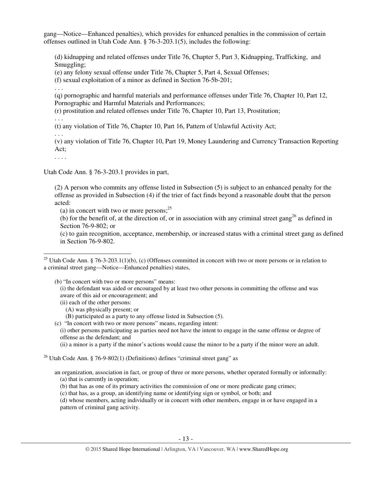gang—Notice—Enhanced penalties), which provides for enhanced penalties in the commission of certain offenses outlined in Utah Code Ann. § 76-3-203.1(5), includes the following:

(d) kidnapping and related offenses under Title 76, Chapter 5, Part 3, Kidnapping, Trafficking, and Smuggling;

(e) any felony sexual offense under Title 76, Chapter 5, Part 4, Sexual Offenses;

(f) sexual exploitation of a minor as defined in Section 76-5b-201;

. . .

(q) pornographic and harmful materials and performance offenses under Title 76, Chapter 10, Part 12, Pornographic and Harmful Materials and Performances;

(r) prostitution and related offenses under Title 76, Chapter 10, Part 13, Prostitution;

. . .

(t) any violation of Title 76, Chapter 10, Part 16, Pattern of Unlawful Activity Act;

. . .

(v) any violation of Title 76, Chapter 10, Part 19, Money Laundering and Currency Transaction Reporting Act;

. . . .

l

Utah Code Ann. § 76-3-203.1 provides in part,

(2) A person who commits any offense listed in Subsection (5) is subject to an enhanced penalty for the offense as provided in Subsection (4) if the trier of fact finds beyond a reasonable doubt that the person acted:

(a) in concert with two or more persons; $^{25}$ 

(b) for the benefit of, at the direction of, or in association with any criminal street gang<sup>26</sup> as defined in Section 76-9-802; or

(c) to gain recognition, acceptance, membership, or increased status with a criminal street gang as defined in Section 76-9-802.

<sup>25</sup> Utah Code Ann. § 76-3-203.1(1)(b), (c) (Offenses committed in concert with two or more persons or in relation to a criminal street gang—Notice—Enhanced penalties) states,

(b) "In concert with two or more persons" means: (i) the defendant was aided or encouraged by at least two other persons in committing the offense and was aware of this aid or encouragement; and

(ii) each of the other persons:

(A) was physically present; or

(B) participated as a party to any offense listed in Subsection (5).

(c) "In concert with two or more persons" means, regarding intent:

(i) other persons participating as parties need not have the intent to engage in the same offense or degree of offense as the defendant; and

(ii) a minor is a party if the minor's actions would cause the minor to be a party if the minor were an adult.

<sup>26</sup> Utah Code Ann. § 76-9-802(1) (Definitions) defines "criminal street gang" as

an organization, association in fact, or group of three or more persons, whether operated formally or informally: (a) that is currently in operation;

(b) that has as one of its primary activities the commission of one or more predicate gang crimes;

(c) that has, as a group, an identifying name or identifying sign or symbol, or both; and

(d) whose members, acting individually or in concert with other members, engage in or have engaged in a pattern of criminal gang activity.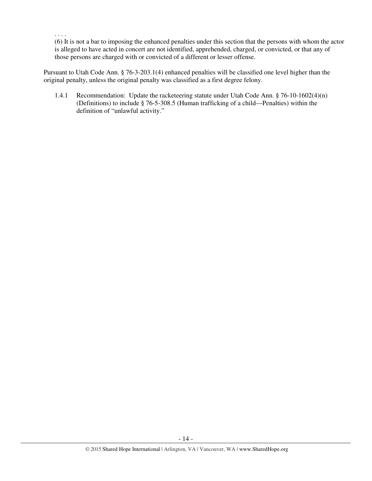(6) It is not a bar to imposing the enhanced penalties under this section that the persons with whom the actor is alleged to have acted in concert are not identified, apprehended, charged, or convicted, or that any of those persons are charged with or convicted of a different or lesser offense.

Pursuant to Utah Code Ann. § 76-3-203.1(4) enhanced penalties will be classified one level higher than the original penalty, unless the original penalty was classified as a first degree felony.

. . . .

1.4.1 Recommendation: Update the racketeering statute under Utah Code Ann. § 76-10-1602(4)(n) (Definitions) to include § 76-5-308.5 (Human trafficking of a child—Penalties) within the definition of "unlawful activity."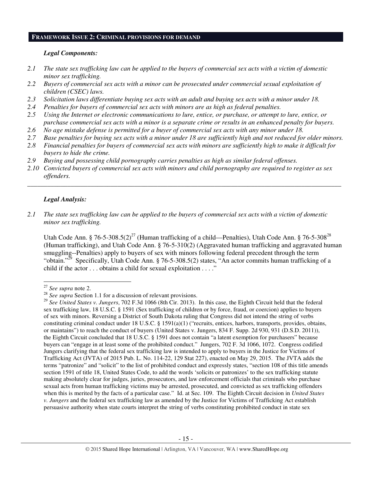#### **FRAMEWORK ISSUE 2: CRIMINAL PROVISIONS FOR DEMAND**

#### *Legal Components:*

- *2.1 The state sex trafficking law can be applied to the buyers of commercial sex acts with a victim of domestic minor sex trafficking.*
- *2.2 Buyers of commercial sex acts with a minor can be prosecuted under commercial sexual exploitation of children (CSEC) laws.*
- *2.3 Solicitation laws differentiate buying sex acts with an adult and buying sex acts with a minor under 18.*
- *2.4 Penalties for buyers of commercial sex acts with minors are as high as federal penalties.*
- *2.5 Using the Internet or electronic communications to lure, entice, or purchase, or attempt to lure, entice, or purchase commercial sex acts with a minor is a separate crime or results in an enhanced penalty for buyers.*
- *2.6 No age mistake defense is permitted for a buyer of commercial sex acts with any minor under 18.*
- *2.7 Base penalties for buying sex acts with a minor under 18 are sufficiently high and not reduced for older minors.*
- *2.8 Financial penalties for buyers of commercial sex acts with minors are sufficiently high to make it difficult for buyers to hide the crime.*
- *2.9 Buying and possessing child pornography carries penalties as high as similar federal offenses.*
- *2.10 Convicted buyers of commercial sex acts with minors and child pornography are required to register as sex offenders.*

\_\_\_\_\_\_\_\_\_\_\_\_\_\_\_\_\_\_\_\_\_\_\_\_\_\_\_\_\_\_\_\_\_\_\_\_\_\_\_\_\_\_\_\_\_\_\_\_\_\_\_\_\_\_\_\_\_\_\_\_\_\_\_\_\_\_\_\_\_\_\_\_\_\_\_\_\_\_\_\_\_\_\_\_\_\_\_\_\_\_\_\_\_\_

#### *Legal Analysis:*

*2.1 The state sex trafficking law can be applied to the buyers of commercial sex acts with a victim of domestic minor sex trafficking.*

Utah Code Ann. § 76-5-308.5(2)<sup>27</sup> (Human trafficking of a child—Penalties), Utah Code Ann. § 76-5-308<sup>28</sup> (Human trafficking), and Utah Code Ann. § 76-5-310(2) (Aggravated human trafficking and aggravated human smuggling--Penalties) apply to buyers of sex with minors following federal precedent through the term "obtain."<sup>29</sup> Specifically, Utah Code Ann. § 76-5-308.5(2) states, "An actor commits human trafficking of a child if the actor . . . obtains a child for sexual exploitation . . . ."

l

<sup>27</sup> *See supra* note 2.

<sup>&</sup>lt;sup>28</sup> See supra Section 1.1 for a discussion of relevant provisions.

<sup>29</sup> *See United States v. Jungers*, 702 F.3d 1066 (8th Cir. 2013). In this case, the Eighth Circuit held that the federal sex trafficking law, 18 U.S.C. § 1591 (Sex trafficking of children or by force, fraud, or coercion) applies to buyers of sex with minors. Reversing a District of South Dakota ruling that Congress did not intend the string of verbs constituting criminal conduct under 18 U.S.C. § 1591(a)(1) ("recruits, entices, harbors, transports, provides, obtains, or maintains") to reach the conduct of buyers (United States v. Jungers, 834 F. Supp. 2d 930, 931 (D.S.D. 2011)), the Eighth Circuit concluded that 18 U.S.C. § 1591 does not contain "a latent exemption for purchasers" because buyers can "engage in at least some of the prohibited conduct." Jungers, 702 F. 3d 1066, 1072. Congress codified Jungers clarifying that the federal sex trafficking law is intended to apply to buyers in the Justice for Victims of Trafficking Act (JVTA) of 2015 Pub. L. No. 114-22, 129 Stat 227), enacted on May 29, 2015. The JVTA adds the terms "patronize" and "solicit" to the list of prohibited conduct and expressly states, "section 108 of this title amends section 1591 of title 18, United States Code, to add the words 'solicits or patronizes' to the sex trafficking statute making absolutely clear for judges, juries, prosecutors, and law enforcement officials that criminals who purchase sexual acts from human trafficking victims may be arrested, prosecuted, and convicted as sex trafficking offenders when this is merited by the facts of a particular case." Id. at Sec. 109. The Eighth Circuit decision in *United States v. Jungers* and the federal sex trafficking law as amended by the Justice for Victims of Trafficking Act establish persuasive authority when state courts interpret the string of verbs constituting prohibited conduct in state sex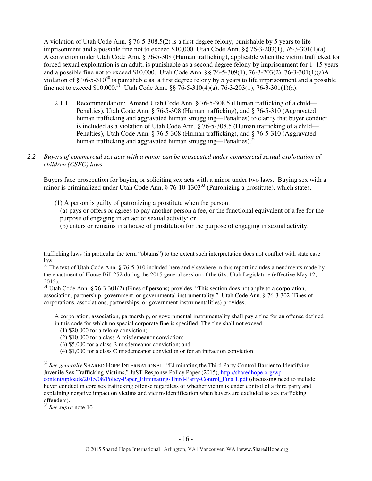A violation of Utah Code Ann. § 76-5-308.5(2) is a first degree felony, punishable by 5 years to life imprisonment and a possible fine not to exceed \$10,000. Utah Code Ann. §§ 76-3-203(1), 76-3-301(1)(a). A conviction under Utah Code Ann. § 76-5-308 (Human trafficking), applicable when the victim trafficked for forced sexual exploitation is an adult, is punishable as a second degree felony by imprisonment for 1–15 years and a possible fine not to exceed \$10,000. Utah Code Ann. §§ 76-5-309(1), 76-3-203(2), 76-3-301(1)(a)A violation of  $\S 76-5-310^{30}$  is punishable as a first degree felony by 5 years to life imprisonment and a possible fine not to exceed \$10,000.<sup>31</sup> Utah Code Ann. §§ 76-5-310(4)(a), 76-3-203(1), 76-3-301(1)(a).

- 2.1.1 Recommendation: Amend Utah Code Ann. § 76-5-308.5 (Human trafficking of a child— Penalties), Utah Code Ann. § 76-5-308 (Human trafficking), and § 76-5-310 (Aggravated human trafficking and aggravated human smuggling—Penalties) to clarify that buyer conduct is included as a violation of Utah Code Ann. § 76-5-308.5 (Human trafficking of a child— Penalties), Utah Code Ann. § 76-5-308 (Human trafficking), and § 76-5-310 (Aggravated human trafficking and aggravated human smuggling—Penalties).<sup>32</sup>
- *2.2 Buyers of commercial sex acts with a minor can be prosecuted under commercial sexual exploitation of children (CSEC) laws.*

Buyers face prosecution for buying or soliciting sex acts with a minor under two laws. Buying sex with a minor is criminalized under Utah Code Ann.  $\S$  76-10-1303<sup>33</sup> (Patronizing a prostitute), which states,

- (1) A person is guilty of patronizing a prostitute when the person:
	- (a) pays or offers or agrees to pay another person a fee, or the functional equivalent of a fee for the purpose of engaging in an act of sexual activity; or
	- (b) enters or remains in a house of prostitution for the purpose of engaging in sexual activity.

<sup>31</sup> Utah Code Ann. § 76-3-301(2) (Fines of persons) provides, "This section does not apply to a corporation, association, partnership, government, or governmental instrumentality." Utah Code Ann. § 76-3-302 (Fines of corporations, associations, partnerships, or government instrumentalities) provides,

A corporation, association, partnership, or governmental instrumentality shall pay a fine for an offense defined in this code for which no special corporate fine is specified. The fine shall not exceed:

- (1) \$20,000 for a felony conviction;
- (2) \$10,000 for a class A misdemeanor conviction;
- (3) \$5,000 for a class B misdemeanor conviction; and
- (4) \$1,000 for a class C misdemeanor conviction or for an infraction conviction.

<sup>32</sup> See generally SHARED HOPE INTERNATIONAL, "Eliminating the Third Party Control Barrier to Identifying Juvenile Sex Trafficking Victims," JuST Response Policy Paper (2015), http://sharedhope.org/wpcontent/uploads/2015/08/Policy-Paper\_Eliminating-Third-Party-Control\_Final1.pdf (discussing need to include buyer conduct in core sex trafficking offense regardless of whether victim is under control of a third party and explaining negative impact on victims and victim-identification when buyers are excluded as sex trafficking offenders).

<sup>33</sup> *See supra* note 10.

trafficking laws (in particular the term "obtains") to the extent such interpretation does not conflict with state case law.

<sup>&</sup>lt;sup>30</sup> The text of Utah Code Ann. § 76-5-310 included here and elsewhere in this report includes amendments made by the enactment of House Bill 252 during the 2015 general session of the 61st Utah Legislature (effective May 12, 2015).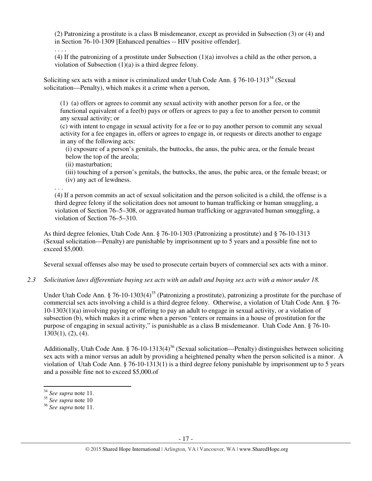(2) Patronizing a prostitute is a class B misdemeanor, except as provided in Subsection (3) or (4) and in Section 76-10-1309 [Enhanced penalties -- HIV positive offender].

. . . .

(4) If the patronizing of a prostitute under Subsection (1)(a) involves a child as the other person, a violation of Subsection (1)(a) is a third degree felony.

Soliciting sex acts with a minor is criminalized under Utah Code Ann.  $\S 76$ -10-1313<sup>34</sup> (Sexual solicitation—Penalty), which makes it a crime when a person,

(1) (a) offers or agrees to commit any sexual activity with another person for a fee, or the functional equivalent of a fee(b) pays or offers or agrees to pay a fee to another person to commit any sexual activity; or

(c) with intent to engage in sexual activity for a fee or to pay another person to commit any sexual activity for a fee engages in, offers or agrees to engage in, or requests or directs another to engage in any of the following acts:

(i) exposure of a person's genitals, the buttocks, the anus, the pubic area, or the female breast below the top of the areola;

(ii) masturbation;

(iii) touching of a person's genitals, the buttocks, the anus, the pubic area, or the female breast; or (iv) any act of lewdness.

. . .

(4) If a person commits an act of sexual solicitation and the person solicited is a child, the offense is a third degree felony if the solicitation does not amount to human trafficking or human smuggling, a violation of Section 76–5–308, or aggravated human trafficking or aggravated human smuggling, a violation of Section 76–5–310.

As third degree felonies, Utah Code Ann. § 76-10-1303 (Patronizing a prostitute) and § 76-10-1313 (Sexual solicitation—Penalty) are punishable by imprisonment up to 5 years and a possible fine not to exceed \$5,000.

Several sexual offenses also may be used to prosecute certain buyers of commercial sex acts with a minor.

*2.3 Solicitation laws differentiate buying sex acts with an adult and buying sex acts with a minor under 18.*

Under Utah Code Ann. § 76-10-1303(4)<sup>35</sup> (Patronizing a prostitute), patronizing a prostitute for the purchase of commercial sex acts involving a child is a third degree felony. Otherwise, a violation of Utah Code Ann. § 76- 10-1303(1)(a) involving paying or offering to pay an adult to engage in sexual activity, or a violation of subsection (b), which makes it a crime when a person "enters or remains in a house of prostitution for the purpose of engaging in sexual activity," is punishable as a class B misdemeanor. Utah Code Ann. § 76-10- 1303(1), (2), (4).

Additionally, Utah Code Ann. § 76-10-1313(4)<sup>36</sup> (Sexual solicitation—Penalty) distinguishes between soliciting sex acts with a minor versus an adult by providing a heightened penalty when the person solicited is a minor. A violation of Utah Code Ann. § 76-10-1313(1) is a third degree felony punishable by imprisonment up to 5 years and a possible fine not to exceed \$5,000.of

l

<sup>34</sup> *See supra* note 11.

<sup>35</sup> *See supra* note 10

<sup>36</sup> *See supra* note 11.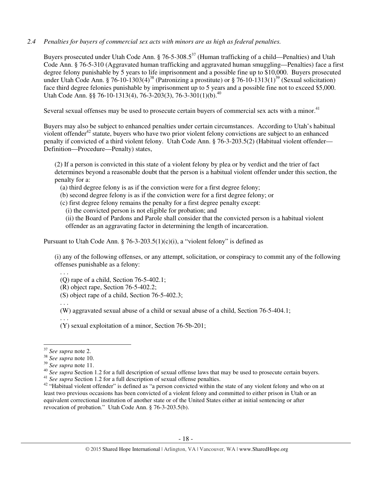## *2.4 Penalties for buyers of commercial sex acts with minors are as high as federal penalties.*

Buyers prosecuted under Utah Code Ann.  $\S 76-5-308.5^{37}$  (Human trafficking of a child—Penalties) and Utah Code Ann. § 76-5-310 (Aggravated human trafficking and aggravated human smuggling—Penalties) face a first degree felony punishable by 5 years to life imprisonment and a possible fine up to \$10,000. Buyers prosecuted under Utah Code Ann. § 76-10-1303(4)<sup>38</sup> (Patronizing a prostitute) or § 76-10-1313(1)<sup>39</sup> (Sexual solicitation) face third degree felonies punishable by imprisonment up to 5 years and a possible fine not to exceed \$5,000. Utah Code Ann. §§ 76-10-1313(4), 76-3-203(3), 76-3-301(1)(b).<sup>40</sup>

Several sexual offenses may be used to prosecute certain buyers of commercial sex acts with a minor.<sup>41</sup>

Buyers may also be subject to enhanced penalties under certain circumstances. According to Utah's habitual violent offender $42$  statute, buyers who have two prior violent felony convictions are subject to an enhanced penalty if convicted of a third violent felony. Utah Code Ann. § 76-3-203.5(2) (Habitual violent offender— Definition—Procedure—Penalty) states,

(2) If a person is convicted in this state of a violent felony by plea or by verdict and the trier of fact determines beyond a reasonable doubt that the person is a habitual violent offender under this section, the penalty for a:

- (a) third degree felony is as if the conviction were for a first degree felony;
- (b) second degree felony is as if the conviction were for a first degree felony; or
- (c) first degree felony remains the penalty for a first degree penalty except:
	- (i) the convicted person is not eligible for probation; and

(ii) the Board of Pardons and Parole shall consider that the convicted person is a habitual violent offender as an aggravating factor in determining the length of incarceration.

Pursuant to Utah Code Ann. § 76-3-203.5(1)(c)(i), a "violent felony" is defined as

(i) any of the following offenses, or any attempt, solicitation, or conspiracy to commit any of the following offenses punishable as a felony:

(Q) rape of a child, Section 76-5-402.1;

(R) object rape, Section 76-5-402.2;

(S) object rape of a child, Section 76-5-402.3;

. . .

. . .

(W) aggravated sexual abuse of a child or sexual abuse of a child, Section 76-5-404.1;

. . . (Y) sexual exploitation of a minor, Section 76-5b-201;

<sup>37</sup> *See supra* note 2.

<sup>38</sup> *See supra* note 10.

<sup>39</sup> *See supra* note 11.

<sup>&</sup>lt;sup>40</sup> See supra Section 1.2 for a full description of sexual offense laws that may be used to prosecute certain buyers. <sup>41</sup> See supra Section 1.2 for a full description of sexual offense penalties.

<sup>&</sup>lt;sup>42</sup> "Habitual violent offender" is defined as "a person convicted within the state of any violent felony and who on at least two previous occasions has been convicted of a violent felony and committed to either prison in Utah or an equivalent correctional institution of another state or of the United States either at initial sentencing or after revocation of probation." Utah Code Ann. § 76-3-203.5(b).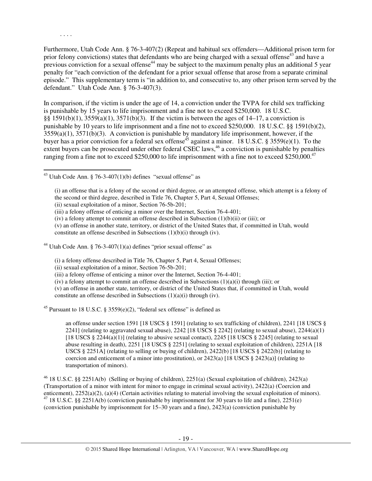Furthermore, Utah Code Ann. § 76-3-407(2) (Repeat and habitual sex offenders—Additional prison term for prior felony convictions) states that defendants who are being charged with a sexual offense<sup>43</sup> and have a previous conviction for a sexual offense<sup>44</sup> may be subject to the maximum penalty plus an additional 5 year penalty for "each conviction of the defendant for a prior sexual offense that arose from a separate criminal episode." This supplementary term is "in addition to, and consecutive to, any other prison term served by the defendant." Utah Code Ann. § 76-3-407(3).

In comparison, if the victim is under the age of 14, a conviction under the TVPA for child sex trafficking is punishable by 15 years to life imprisonment and a fine not to exceed \$250,000. 18 U.S.C. §§ 1591(b)(1), 3559(a)(1), 3571(b)(3). If the victim is between the ages of 14–17, a conviction is punishable by 10 years to life imprisonment and a fine not to exceed \$250,000. 18 U.S.C. §§ 1591(b)(2), 3559(a)(1), 3571(b)(3). A conviction is punishable by mandatory life imprisonment, however, if the buyer has a prior conviction for a federal sex offense<sup>45</sup> against a minor. 18 U.S.C. § 3559(e)(1). To the extent buyers can be prosecuted under other federal CSEC laws,<sup>46</sup> a conviction is punishable by penalties ranging from a fine not to exceed  $$250,000$  to life imprisonment with a fine not to exceed  $$250,000$ .<sup>47</sup>

<sup>43</sup> Utah Code Ann. § 76-3-407(1)(b) defines "sexual offense" as

. . . .

 $\overline{a}$ 

(i) an offense that is a felony of the second or third degree, or an attempted offense, which attempt is a felony of the second or third degree, described in Title 76, Chapter 5, Part 4, Sexual Offenses;

(ii) sexual exploitation of a minor, Section 76-5b-201;

(iii) a felony offense of enticing a minor over the Internet, Section 76-4-401;

(iv) a felony attempt to commit an offense described in Subsection  $(1)(b)(ii)$  or (iii); or

(v) an offense in another state, territory, or district of the United States that, if committed in Utah, would constitute an offense described in Subsections (1)(b)(i) through (iv).

<sup>44</sup> Utah Code Ann. § 76-3-407(1)(a) defines "prior sexual offense" as

- (i) a felony offense described in Title 76, Chapter 5, Part 4, Sexual Offenses;
- (ii) sexual exploitation of a minor, Section 76-5b-201;
- (iii) a felony offense of enticing a minor over the Internet, Section 76-4-401;
- (iv) a felony attempt to commit an offense described in Subsections  $(1)(a)(i)$  through (iii); or

(v) an offense in another state, territory, or district of the United States that, if committed in Utah, would constitute an offense described in Subsections  $(1)(a)(i)$  through  $(iv)$ .

<sup>45</sup> Pursuant to 18 U.S.C. § 3559(e)(2), "federal sex offense" is defined as

an offense under section 1591 [18 USCS § 1591] (relating to sex trafficking of children), 2241 [18 USCS § 2241] (relating to aggravated sexual abuse), 2242 [18 USCS  $\S$  2242] (relating to sexual abuse), 2244(a)(1) [18 USCS  $\S$  2244(a)(1)] (relating to abusive sexual contact), 2245 [18 USCS  $\S$  2245] (relating to sexual abuse resulting in death), 2251 [18 USCS § 2251] (relating to sexual exploitation of children), 2251A [18 USCS § 2251A] (relating to selling or buying of children), 2422(b) [18 USCS § 2422(b)] (relating to coercion and enticement of a minor into prostitution), or  $2423(a)$  [18 USCS §  $2423(a)$ ] (relating to transportation of minors).

<sup>46</sup> 18 U.S.C. §§ 2251A(b) (Selling or buying of children), 2251(a) (Sexual exploitation of children), 2423(a) (Transportation of a minor with intent for minor to engage in criminal sexual activity), 2422(a) (Coercion and enticement), 2252(a)(2), (a)(4) (Certain activities relating to material involving the sexual exploitation of minors). <sup>47</sup> 18 U.S.C. §§ 2251A(b) (conviction punishable by imprisonment for 30 years to life and a fine), 2251(e) (conviction punishable by imprisonment for  $15-30$  years and a fine),  $2423(a)$  (conviction punishable by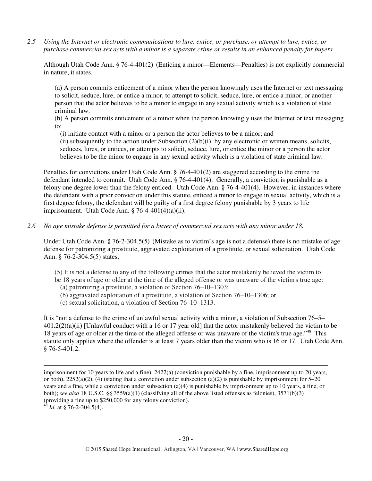*2.5 Using the Internet or electronic communications to lure, entice, or purchase, or attempt to lure, entice, or purchase commercial sex acts with a minor is a separate crime or results in an enhanced penalty for buyers.* 

Although Utah Code Ann. § 76-4-401(2) (Enticing a minor—Elements—Penalties) is not explicitly commercial in nature, it states,

(a) A person commits enticement of a minor when the person knowingly uses the Internet or text messaging to solicit, seduce, lure, or entice a minor, to attempt to solicit, seduce, lure, or entice a minor, or another person that the actor believes to be a minor to engage in any sexual activity which is a violation of state criminal law.

(b) A person commits enticement of a minor when the person knowingly uses the Internet or text messaging to:

(i) initiate contact with a minor or a person the actor believes to be a minor; and

(ii) subsequently to the action under Subsection  $(2)(b)(i)$ , by any electronic or written means, solicits, seduces, lures, or entices, or attempts to solicit, seduce, lure, or entice the minor or a person the actor believes to be the minor to engage in any sexual activity which is a violation of state criminal law.

Penalties for convictions under Utah Code Ann. § 76-4-401(2) are staggered according to the crime the defendant intended to commit. Utah Code Ann. § 76-4-401(4). Generally, a conviction is punishable as a felony one degree lower than the felony enticed. Utah Code Ann. § 76-4-401(4). However, in instances where the defendant with a prior conviction under this statute, enticed a minor to engage in sexual activity, which is a first degree felony, the defendant will be guilty of a first degree felony punishable by 3 years to life imprisonment. Utah Code Ann. § 76-4-401(4)(a)(ii).

#### *2.6 No age mistake defense is permitted for a buyer of commercial sex acts with any minor under 18.*

Under Utah Code Ann. § 76-2-304.5(5) (Mistake as to victim's age is not a defense) there is no mistake of age defense for patronizing a prostitute, aggravated exploitation of a prostitute, or sexual solicitation. Utah Code Ann. § 76-2-304.5(5) states,

(5) It is not a defense to any of the following crimes that the actor mistakenly believed the victim to

- be 18 years of age or older at the time of the alleged offense or was unaware of the victim's true age:
	- (a) patronizing a prostitute, a violation of Section 76–10–1303;
	- (b) aggravated exploitation of a prostitute, a violation of Section 76–10–1306; or
	- (c) sexual solicitation, a violation of Section 76–10–1313.

It is "not a defense to the crime of unlawful sexual activity with a minor, a violation of Subsection 76–5– 401.2(2)(a)(ii) [Unlawful conduct with a 16 or 17 year old] that the actor mistakenly believed the victim to be 18 years of age or older at the time of the alleged offense or was unaware of the victim's true age."<sup>48</sup> This statute only applies where the offender is at least 7 years older than the victim who is 16 or 17. Utah Code Ann. § 76-5-401.2.

imprisonment for 10 years to life and a fine), 2422(a) (conviction punishable by a fine, imprisonment up to 20 years, or both),  $2252(a)(2)$ , (4) (stating that a conviction under subsection (a)(2) is punishable by imprisonment for 5–20 years and a fine, while a conviction under subsection (a)(4) is punishable by imprisonment up to 10 years, a fine, or both); *see also* 18 U.S.C. §§ 3559(a)(1) (classifying all of the above listed offenses as felonies), 3571(b)(3) (providing a fine up to \$250,000 for any felony conviction).

 $4\bar{8}$  *Id.* at § 76-2-304.5(4).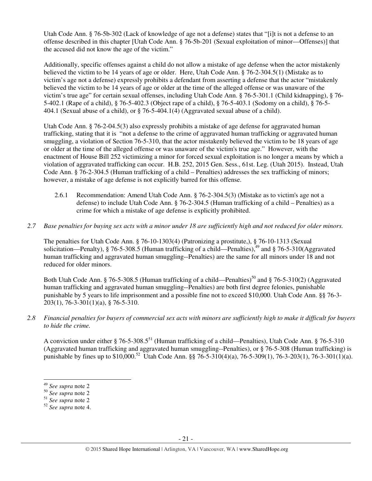Utah Code Ann. § 76-5b-302 (Lack of knowledge of age not a defense) states that "[i]t is not a defense to an offense described in this chapter [Utah Code Ann. § 76-5b-201 (Sexual exploitation of minor—Offenses)] that the accused did not know the age of the victim."

Additionally, specific offenses against a child do not allow a mistake of age defense when the actor mistakenly believed the victim to be 14 years of age or older. Here, Utah Code Ann. § 76-2-304.5(1) (Mistake as to victim's age not a defense) expressly prohibits a defendant from asserting a defense that the actor "mistakenly believed the victim to be 14 years of age or older at the time of the alleged offense or was unaware of the victim's true age" for certain sexual offenses, including Utah Code Ann. § 76-5-301.1 (Child kidnapping), § 76- 5-402.1 (Rape of a child), § 76-5-402.3 (Object rape of a child), § 76-5-403.1 (Sodomy on a child), § 76-5- 404.1 (Sexual abuse of a child), or § 76-5-404.1(4) (Aggravated sexual abuse of a child).

Utah Code Ann. § 76-2-04.5(3) also expressly prohibits a mistake of age defense for aggravated human trafficking, stating that it is "not a defense to the crime of aggravated human trafficking or aggravated human smuggling, a violation of Section 76-5-310, that the actor mistakenly believed the victim to be 18 years of age or older at the time of the alleged offense or was unaware of the victim's true age." However, with the enactment of House Bill 252 victimizing a minor for forced sexual exploitation is no longer a means by which a violation of aggravated trafficking can occur. H.B. 252, 2015 Gen. Sess., 61st. Leg. (Utah 2015). Instead, Utah Code Ann. § 76-2-304.5 (Human trafficking of a child – Penalties) addresses the sex trafficking of minors; however, a mistake of age defense is not explicitly barred for this offense.

- 2.6.1 Recommendation: Amend Utah Code Ann. § 76-2-304.5(3) (Mistake as to victim's age not a defense) to include Utah Code Ann. § 76-2-304.5 (Human trafficking of a child – Penalties) as a crime for which a mistake of age defense is explicitly prohibited.
- *2.7 Base penalties for buying sex acts with a minor under 18 are sufficiently high and not reduced for older minors.*

The penalties for Utah Code Ann. § 76-10-1303(4) (Patronizing a prostitute,), § 76-10-1313 (Sexual solicitation—Penalty), § 76-5-308.5 (Human trafficking of a child—Penalties),  $49$  and § 76-5-310(Aggravated human trafficking and aggravated human smuggling--Penalties) are the same for all minors under 18 and not reduced for older minors.

Both Utah Code Ann. § 76-5-308.5 (Human trafficking of a child—Penalties)<sup>50</sup> and § 76-5-310(2) (Aggravated human trafficking and aggravated human smuggling--Penalties) are both first degree felonies, punishable punishable by 5 years to life imprisonment and a possible fine not to exceed \$10,000. Utah Code Ann. §§ 76-3- 203(1), 76-3-301(1)(a), § 76-5-310.

*2.8 Financial penalties for buyers of commercial sex acts with minors are sufficiently high to make it difficult for buyers to hide the crime.* 

A conviction under either § 76-5-308.5<sup>51</sup> (Human trafficking of a child—Penalties), Utah Code Ann. § 76-5-310 (Aggravated human trafficking and aggravated human smuggling--Penalties), or § 76-5-308 (Human trafficking) is punishable by fines up to \$10,000.<sup>52</sup> Utah Code Ann. §§ 76-5-310(4)(a), 76-5-309(1), 76-3-203(1), 76-3-301(1)(a).

<sup>49</sup> *See supra* note 2

<sup>50</sup> *See supra* note 2

<sup>51</sup> *See supra* note 2

<sup>52</sup> *See supra* note 4.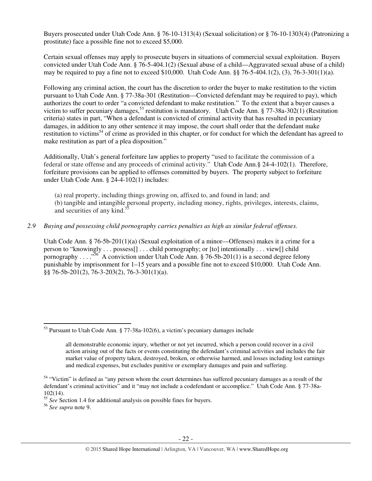Buyers prosecuted under Utah Code Ann. § 76-10-1313(4) (Sexual solicitation) or § 76-10-1303(4) (Patronizing a prostitute) face a possible fine not to exceed \$5,000.

Certain sexual offenses may apply to prosecute buyers in situations of commercial sexual exploitation. Buyers convicted under Utah Code Ann. § 76-5-404.1(2) (Sexual abuse of a child—Aggravated sexual abuse of a child) may be required to pay a fine not to exceed  $$10,000$ . Utah Code Ann.  $§$  76-5-404.1(2), (3), 76-3-301(1)(a).

Following any criminal action, the court has the discretion to order the buyer to make restitution to the victim pursuant to Utah Code Ann. § 77-38a-301 (Restitution—Convicted defendant may be required to pay), which authorizes the court to order "a convicted defendant to make restitution." To the extent that a buyer causes a victim to suffer pecuniary damages,<sup>53</sup> restitution is mandatory. Utah Code Ann. § 77-38a-302(1) (Restitution criteria) states in part, "When a defendant is convicted of criminal activity that has resulted in pecuniary damages, in addition to any other sentence it may impose, the court shall order that the defendant make restitution to victims<sup>54</sup> of crime as provided in this chapter, or for conduct for which the defendant has agreed to make restitution as part of a plea disposition."

Additionally, Utah's general forfeiture law applies to property "used to facilitate the commission of a federal or state offense and any proceeds of criminal activity." Utah Code Ann.§ 24-4-102(1). Therefore, forfeiture provisions can be applied to offenses committed by buyers. The property subject to forfeiture under Utah Code Ann. § 24-4-102(1) includes:

(a) real property, including things growing on, affixed to, and found in land; and (b) tangible and intangible personal property, including money, rights, privileges, interests, claims, and securities of any kind. $5<sup>5</sup>$ 

## *2.9 Buying and possessing child pornography carries penalties as high as similar federal offenses.*

Utah Code Ann. § 76-5b-201(1)(a) (Sexual exploitation of a minor—Offenses) makes it a crime for a person to "knowingly . . . possess[] . . . child pornography; or [to] intentionally . . . view[] child pornography . . . .  $\frac{1}{56}$  A conviction under Utah Code Ann. § 76-5b-201(1) is a second degree felony punishable by imprisonment for 1–15 years and a possible fine not to exceed \$10,000. Utah Code Ann. §§ 76-5b-201(2), 76-3-203(2), 76-3-301(1)(a).

<sup>55</sup> *See* Section 1.4 for additional analysis on possible fines for buyers.

<sup>56</sup> *See supra* note 9.

l

<sup>53</sup> Pursuant to Utah Code Ann. § 77-38a-102(6), a victim's pecuniary damages include

all demonstrable economic injury, whether or not yet incurred, which a person could recover in a civil action arising out of the facts or events constituting the defendant's criminal activities and includes the fair market value of property taken, destroyed, broken, or otherwise harmed, and losses including lost earnings and medical expenses, but excludes punitive or exemplary damages and pain and suffering.

<sup>&</sup>lt;sup>54</sup> "Victim" is defined as "any person whom the court determines has suffered pecuniary damages as a result of the defendant's criminal activities" and it "may not include a codefendant or accomplice." Utah Code Ann. § 77-38a-102(14).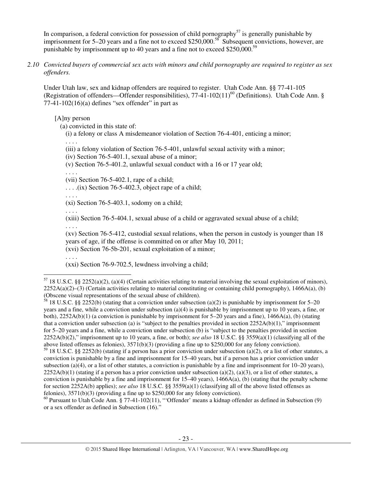In comparison, a federal conviction for possession of child pornography<sup>57</sup> is generally punishable by imprisonment for 5–20 years and a fine not to exceed \$250,000.<sup>58</sup> Subsequent convictions, however, are punishable by imprisonment up to 40 years and a fine not to exceed \$250,000.<sup>59</sup>

*2.10 Convicted buyers of commercial sex acts with minors and child pornography are required to register as sex offenders.* 

Under Utah law, sex and kidnap offenders are required to register. Utah Code Ann. §§ 77-41-105 (Registration of offenders—Offender responsibilities),  $77-41-102(11)^{60}$  (Definitions). Utah Code Ann. §  $77-41-102(16)(a)$  defines "sex offender" in part as

[A]ny person

(a) convicted in this state of:

(i) a felony or class A misdemeanor violation of Section 76-4-401, enticing a minor;

. . . .

(iii) a felony violation of Section 76-5-401, unlawful sexual activity with a minor;

(iv) Section 76-5-401.1, sexual abuse of a minor;

(v) Section 76-5-401.2, unlawful sexual conduct with a 16 or 17 year old;

. . . .

(vii) Section 76-5-402.1, rape of a child;

 $\ldots$  . . . .(ix) Section 76-5-402.3, object rape of a child;

. . . .

 $(x_i)$  Section 76-5-403.1, sodomy on a child;

. . . .

(xiii) Section 76-5-404.1, sexual abuse of a child or aggravated sexual abuse of a child;

. . . .

(xv) Section 76-5-412, custodial sexual relations, when the person in custody is younger than 18 years of age, if the offense is committed on or after May 10, 2011; (xvi) Section 76-5b-201, sexual exploitation of a minor;

. . . .

 $\overline{a}$ 

(xxi) Section 76-9-702.5, lewdness involving a child;

<sup>58</sup> 18 U.S.C. §§ 2252(b) (stating that a conviction under subsection (a)(2) is punishable by imprisonment for 5–20 years and a fine, while a conviction under subsection (a)(4) is punishable by imprisonment up to 10 years, a fine, or both),  $2252A(b)(1)$  (a conviction is punishable by imprisonment for 5–20 years and a fine),  $1466A(a)$ , (b) (stating that a conviction under subsection (a) is "subject to the penalties provided in section  $2252A(b)(1)$ ," imprisonment for 5–20 years and a fine, while a conviction under subsection (b) is "subject to the penalties provided in section 2252A(b)(2)," imprisonment up to 10 years, a fine, or both); *see also* 18 U.S.C. §§ 3559(a)(1) (classifying all of the above listed offenses as felonies), 3571(b)(3) (providing a fine up to \$250,000 for any felony conviction).

<sup>60</sup> Pursuant to Utah Code Ann. § 77-41-102(11), "Offender' means a kidnap offender as defined in Subsection (9) or a sex offender as defined in Subsection (16)."

 $57$  18 U.S.C. §§ 2252(a)(2), (a)(4) (Certain activities relating to material involving the sexual exploitation of minors),  $2252A(a)(2)$ –(3) (Certain activities relating to material constituting or containing child pornography), 1466A(a), (b) (Obscene visual representations of the sexual abuse of children).

 $59$  18 U.S.C. §§ 2252(b) (stating if a person has a prior conviction under subsection (a)(2), or a list of other statutes, a conviction is punishable by a fine and imprisonment for 15–40 years, but if a person has a prior conviction under subsection (a)(4), or a list of other statutes, a conviction is punishable by a fine and imprisonment for  $10-20$  years),  $2252A(b)(1)$  (stating if a person has a prior conviction under subsection (a)(2), (a)(3), or a list of other statutes, a conviction is punishable by a fine and imprisonment for  $15-40$  years),  $1466A(a)$ , (b) (stating that the penalty scheme for section 2252A(b) applies); *see also* 18 U.S.C. §§ 3559(a)(1) (classifying all of the above listed offenses as felonies), 3571(b)(3) (providing a fine up to \$250,000 for any felony conviction).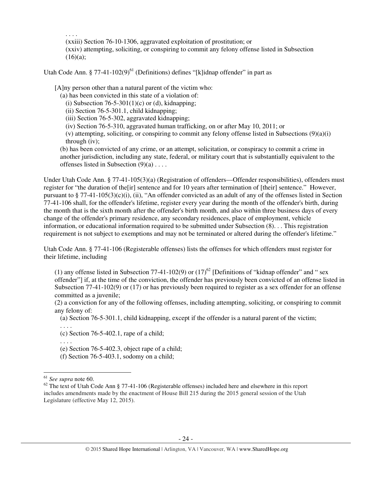. . . . (xxiii) Section 76-10-1306, aggravated exploitation of prostitution; or (xxiv) attempting, soliciting, or conspiring to commit any felony offense listed in Subsection  $(16)(a);$ 

Utah Code Ann. § 77-41-102 $(9)^{61}$  (Definitions) defines "[k]idnap offender" in part as

[A]ny person other than a natural parent of the victim who:

(a) has been convicted in this state of a violation of:

(i) Subsection  $76-5-301(1)(c)$  or (d), kidnapping;

(ii) Section 76-5-301.1, child kidnapping;

(iii) Section 76-5-302, aggravated kidnapping;

(iv) Section 76-5-310, aggravated human trafficking, on or after May 10, 2011; or

(v) attempting, soliciting, or conspiring to commit any felony offense listed in Subsections (9)(a)(i) through (iv);

(b) has been convicted of any crime, or an attempt, solicitation, or conspiracy to commit a crime in another jurisdiction, including any state, federal, or military court that is substantially equivalent to the offenses listed in Subsection (9)(a) . . . .

Under Utah Code Ann. § 77-41-105(3)(a) (Registration of offenders—Offender responsibilities), offenders must register for "the duration of the[ir] sentence and for 10 years after termination of [their] sentence." However, pursuant to  $\S 77-41-105(3)(c)(i)$ , (ii), "An offender convicted as an adult of any of the offenses listed in Section 77-41-106 shall, for the offender's lifetime, register every year during the month of the offender's birth, during the month that is the sixth month after the offender's birth month, and also within three business days of every change of the offender's primary residence, any secondary residences, place of employment, vehicle information, or educational information required to be submitted under Subsection (8). . . This registration requirement is not subject to exemptions and may not be terminated or altered during the offender's lifetime."

Utah Code Ann. § 77-41-106 (Registerable offenses) lists the offenses for which offenders must register for their lifetime, including

(1) any offense listed in Subsection 77-41-102(9) or  $(17)^{62}$  [Definitions of "kidnap offender" and " sex offender"] if, at the time of the conviction, the offender has previously been convicted of an offense listed in Subsection 77-41-102(9) or (17) or has previously been required to register as a sex offender for an offense committed as a juvenile;

(2) a conviction for any of the following offenses, including attempting, soliciting, or conspiring to commit any felony of:

(a) Section 76-5-301.1, child kidnapping, except if the offender is a natural parent of the victim;

. . . . (c) Section 76-5-402.1, rape of a child;

. . . .

(e) Section 76-5-402.3, object rape of a child;

(f) Section 76-5-403.1, sodomy on a child;

l

<sup>61</sup> *See supra* note 60.

 $62$  The text of Utah Code Ann § 77-41-106 (Registerable offenses) included here and elsewhere in this report includes amendments made by the enactment of House Bill 215 during the 2015 general session of the Utah Legislature (effective May 12, 2015).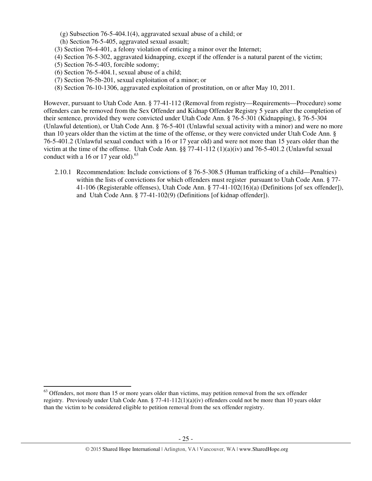- (g) Subsection 76-5-404.1(4), aggravated sexual abuse of a child; or
- (h) Section 76-5-405, aggravated sexual assault;
- (3) Section 76-4-401, a felony violation of enticing a minor over the Internet;
- (4) Section 76-5-302, aggravated kidnapping, except if the offender is a natural parent of the victim;
- (5) Section 76-5-403, forcible sodomy;

l

- (6) Section 76-5-404.1, sexual abuse of a child;
- (7) Section 76-5b-201, sexual exploitation of a minor; or
- (8) Section 76-10-1306, aggravated exploitation of prostitution, on or after May 10, 2011.

However, pursuant to Utah Code Ann. § 77-41-112 (Removal from registry—Requirements—Procedure) some offenders can be removed from the Sex Offender and Kidnap Offender Registry 5 years after the completion of their sentence, provided they were convicted under Utah Code Ann. § 76-5-301 (Kidnapping), § 76-5-304 (Unlawful detention), or Utah Code Ann. § 76-5-401 (Unlawful sexual activity with a minor) and were no more than 10 years older than the victim at the time of the offense, or they were convicted under Utah Code Ann. § 76-5-401.2 (Unlawful sexual conduct with a 16 or 17 year old) and were not more than 15 years older than the victim at the time of the offense. Utah Code Ann. §§ 77-41-112 (1)(a)(iv) and 76-5-401.2 (Unlawful sexual conduct with a 16 or 17 year old). $^{63}$ 

2.10.1 Recommendation: Include convictions of § 76-5-308.5 (Human trafficking of a child—Penalties) within the lists of convictions for which offenders must register pursuant to Utah Code Ann. § 77-41-106 (Registerable offenses), Utah Code Ann. § 77-41-102(16)(a) (Definitions [of sex offender]), and Utah Code Ann. § 77-41-102(9) (Definitions [of kidnap offender]).

 $63$  Offenders, not more than 15 or more years older than victims, may petition removal from the sex offender registry. Previously under Utah Code Ann.  $\S 77-41-112(1)(a)(iv)$  offenders could not be more than 10 years older than the victim to be considered eligible to petition removal from the sex offender registry.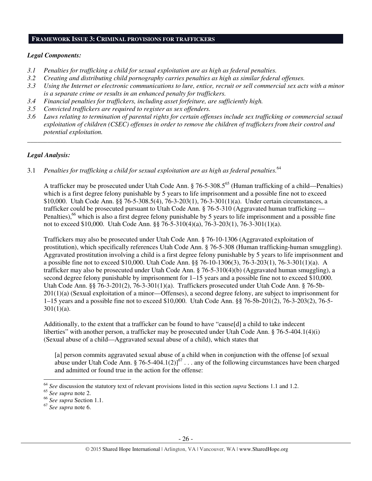#### **FRAMEWORK ISSUE 3: CRIMINAL PROVISIONS FOR TRAFFICKERS**

#### *Legal Components:*

- *3.1 Penalties for trafficking a child for sexual exploitation are as high as federal penalties.*
- *3.2 Creating and distributing child pornography carries penalties as high as similar federal offenses.*
- *3.3 Using the Internet or electronic communications to lure, entice, recruit or sell commercial sex acts with a minor is a separate crime or results in an enhanced penalty for traffickers.*
- *3.4 Financial penalties for traffickers, including asset forfeiture, are sufficiently high.*
- *3.5 Convicted traffickers are required to register as sex offenders.*
- *3.6 Laws relating to termination of parental rights for certain offenses include sex trafficking or commercial sexual exploitation of children (CSEC) offenses in order to remove the children of traffickers from their control and potential exploitation.*

*\_\_\_\_\_\_\_\_\_\_\_\_\_\_\_\_\_\_\_\_\_\_\_\_\_\_\_\_\_\_\_\_\_\_\_\_\_\_\_\_\_\_\_\_\_\_\_\_\_\_\_\_\_\_\_\_\_\_\_\_\_\_\_\_\_\_\_\_\_\_\_\_\_\_\_\_\_\_\_\_\_\_\_\_\_\_\_\_\_\_\_\_\_\_* 

# *Legal Analysis:*

3.1 *Penalties for trafficking a child for sexual exploitation are as high as federal penalties.*<sup>64</sup>

A trafficker may be prosecuted under Utah Code Ann. § 76-5-308.5<sup>65</sup> (Human trafficking of a child—Penalties) which is a first degree felony punishable by 5 years to life imprisonment and a possible fine not to exceed \$10,000. Utah Code Ann. §§ 76-5-308.5(4), 76-3-203(1), 76-3-301(1)(a). Under certain circumstances, a trafficker could be prosecuted pursuant to Utah Code Ann. § 76-5-310 (Aggravated human trafficking — Penalties),<sup>66</sup> which is also a first degree felony punishable by 5 years to life imprisonment and a possible fine not to exceed \$10,000. Utah Code Ann. §§ 76-5-310(4)(a), 76-3-203(1), 76-3-301(1)(a).

Traffickers may also be prosecuted under Utah Code Ann. § 76-10-1306 (Aggravated exploitation of prostitution), which specifically references Utah Code Ann. § 76-5-308 (Human trafficking-human smuggling). Aggravated prostitution involving a child is a first degree felony punishable by 5 years to life imprisonment and a possible fine not to exceed \$10,000. Utah Code Ann. §§ 76-10-1306(3), 76-3-203(1), 76-3-301(1)(a). A trafficker may also be prosecuted under Utah Code Ann. § 76-5-310(4)(b) (Aggravated human smuggling), a second degree felony punishable by imprisonment for 1–15 years and a possible fine not to exceed \$10,000. Utah Code Ann. §§ 76-3-201(2), 76-3-301(1)(a). Traffickers prosecuted under Utah Code Ann. § 76-5b-201(1)(a) (Sexual exploitation of a minor—Offenses), a second degree felony, are subject to imprisonment for 1–15 years and a possible fine not to exceed \$10,000. Utah Code Ann. §§ 76-5b-201(2), 76-3-203(2), 76-5-  $301(1)(a)$ .

Additionally, to the extent that a trafficker can be found to have "cause[d] a child to take indecent liberties" with another person, a trafficker may be prosecuted under Utah Code Ann. § 76-5-404.1(4)(i) (Sexual abuse of a child—Aggravated sexual abuse of a child), which states that

[a] person commits aggravated sexual abuse of a child when in conjunction with the offense [of sexual abuse under Utah Code Ann. § 76-5-404.1(2)]<sup>67</sup> . . . any of the following circumstances have been charged and admitted or found true in the action for the offense:

l

<sup>64</sup> *See* discussion the statutory text of relevant provisions listed in this section *supra* Sections 1.1 and 1.2.

<sup>65</sup> *See supra* note 2.

<sup>66</sup> *See supra* Section 1.1.

<sup>67</sup> *See supra* note 6.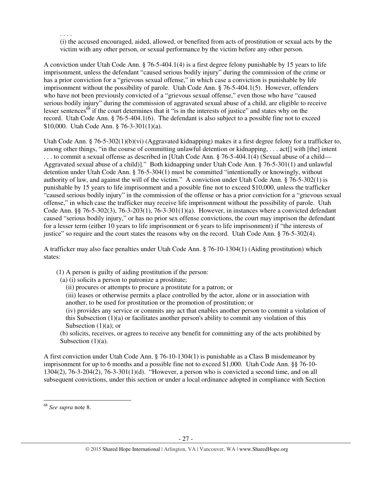(i) the accused encouraged, aided, allowed, or benefited from acts of prostitution or sexual acts by the victim with any other person, or sexual performance by the victim before any other person.

A conviction under Utah Code Ann. § 76-5-404.1(4) is a first degree felony punishable by 15 years to life imprisonment, unless the defendant "caused serious bodily injury" during the commission of the crime or has a prior conviction for a "grievous sexual offense," in which case a conviction is punishable by life imprisonment without the possibility of parole. Utah Code Ann. § 76-5-404.1(5). However, offenders who have not been previously convicted of a "grievous sexual offense," even those who have "caused serious bodily injury" during the commission of aggravated sexual abuse of a child, are eligible to receive lesser sentences<sup>68</sup> if the court determines that it "is in the interests of justice" and states why on the record. Utah Code Ann. § 76-5-404.1(6). The defendant is also subject to a possible fine not to exceed \$10,000. Utah Code Ann. § 76-3-301(1)(a).

Utah Code Ann. § 76-5-302(1)(b)(vi) (Aggravated kidnapping) makes it a first degree felony for a trafficker to, among other things, "in the course of committing unlawful detention or kidnapping, . . . act[] with [the] intent . . . to commit a sexual offense as described in [Utah Code Ann. § 76-5-404.1(4) (Sexual abuse of a child— Aggravated sexual abuse of a child)]." Both kidnapping under Utah Code Ann. § 76-5-301(1) and unlawful detention under Utah Code Ann. § 76-5-304(1) must be committed "intentionally or knowingly, without authority of law, and against the will of the victim." A conviction under Utah Code Ann. § 76-5-302(1) is punishable by 15 years to life imprisonment and a possible fine not to exceed \$10,000, unless the trafficker "caused serious bodily injury" in the commission of the offense or has a prior conviction for a "grievous sexual offense," in which case the trafficker may receive life imprisonment without the possibility of parole. Utah Code Ann. §§ 76-5-302(3), 76-3-203(1), 76-3-301(1)(a). However, in instances where a convicted defendant caused "serious bodily injury," or has no prior sex offense convictions, the court may imprison the defendant for a lesser term (either 10 years to life imprisonment or 6 years to life imprisonment) if "the interests of justice" so require and the court states the reasons why on the record. Utah Code Ann. § 76-5-302(4).

A trafficker may also face penalties under Utah Code Ann. § 76-10-1304(1) (Aiding prostitution) which states:

(1) A person is guilty of aiding prostitution if the person:

(a) (i) solicits a person to patronize a prostitute;

(ii) procures or attempts to procure a prostitute for a patron; or

(iii) leases or otherwise permits a place controlled by the actor, alone or in association with another, to be used for prostitution or the promotion of prostitution; or

(iv) provides any service or commits any act that enables another person to commit a violation of this Subsection  $(1)(a)$  or facilitates another person's ability to commit any violation of this Subsection (1)(a); or

(b) solicits, receives, or agrees to receive any benefit for committing any of the acts prohibited by Subsection  $(1)(a)$ .

A first conviction under Utah Code Ann. § 76-10-1304(1) is punishable as a Class B misdemeanor by imprisonment for up to 6 months and a possible fine not to exceed \$1,000. Utah Code Ann. §§ 76-10-  $1304(2)$ , 76-3-204 $(2)$ , 76-3-301(1)(d). "However, a person who is convicted a second time, and on all subsequent convictions, under this section or under a local ordinance adopted in compliance with Section

l

. . . .

<sup>68</sup> *See supra* note 8.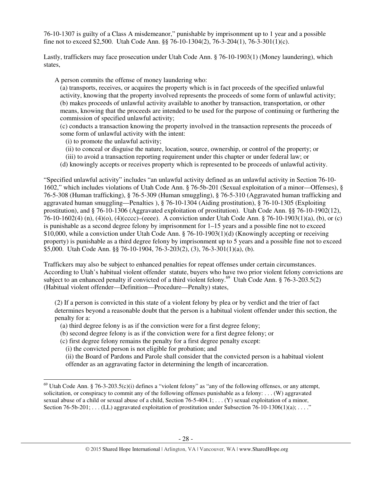76-10-1307 is guilty of a Class A misdemeanor," punishable by imprisonment up to 1 year and a possible fine not to exceed \$2,500. Utah Code Ann. §§ 76-10-1304(2), 76-3-204(1), 76-3-301(1)(c).

Lastly, traffickers may face prosecution under Utah Code Ann. § 76-10-1903(1) (Money laundering), which states,

A person commits the offense of money laundering who:

(a) transports, receives, or acquires the property which is in fact proceeds of the specified unlawful activity, knowing that the property involved represents the proceeds of some form of unlawful activity; (b) makes proceeds of unlawful activity available to another by transaction, transportation, or other means, knowing that the proceeds are intended to be used for the purpose of continuing or furthering the commission of specified unlawful activity;

(c) conducts a transaction knowing the property involved in the transaction represents the proceeds of some form of unlawful activity with the intent:

(i) to promote the unlawful activity;

- (ii) to conceal or disguise the nature, location, source, ownership, or control of the property; or
- (iii) to avoid a transaction reporting requirement under this chapter or under federal law; or
- (d) knowingly accepts or receives property which is represented to be proceeds of unlawful activity.

"Specified unlawful activity" includes "an unlawful activity defined as an unlawful activity in Section 76-10- 1602," which includes violations of Utah Code Ann. § 76-5b-201 (Sexual exploitation of a minor—Offenses), § 76-5-308 (Human trafficking), § 76-5-309 (Human smuggling), § 76-5-310 (Aggravated human trafficking and aggravated human smuggling—Penalties ), § 76-10-1304 (Aiding prostitution), § 76-10-1305 (Exploiting prostitution), and § 76-10-1306 (Aggravated exploitation of prostitution). Utah Code Ann. §§ 76-10-1902(12), 76-10-1602(4) (n), (4)(o), (4)(cccc)–(eeee). A conviction under Utah Code Ann. § 76-10-1903(1)(a), (b), or (c) is punishable as a second degree felony by imprisonment for 1–15 years and a possible fine not to exceed \$10,000, while a conviction under Utah Code Ann. § 76-10-1903(1)(d) (Knowingly accepting or receiving property) is punishable as a third degree felony by imprisonment up to 5 years and a possible fine not to exceed \$5,000. Utah Code Ann. §§ 76-10-1904, 76-3-203(2), (3), 76-3-301(1)(a), (b).

Traffickers may also be subject to enhanced penalties for repeat offenses under certain circumstances. According to Utah's habitual violent offender statute, buyers who have two prior violent felony convictions are subject to an enhanced penalty if convicted of a third violent felony.<sup>69</sup> Utah Code Ann. § 76-3-203.5(2) (Habitual violent offender—Definition—Procedure—Penalty) states,

(2) If a person is convicted in this state of a violent felony by plea or by verdict and the trier of fact determines beyond a reasonable doubt that the person is a habitual violent offender under this section, the penalty for a:

- (a) third degree felony is as if the conviction were for a first degree felony;
- (b) second degree felony is as if the conviction were for a first degree felony; or
- (c) first degree felony remains the penalty for a first degree penalty except:
	- (i) the convicted person is not eligible for probation; and

 $\overline{a}$ 

(ii) the Board of Pardons and Parole shall consider that the convicted person is a habitual violent offender as an aggravating factor in determining the length of incarceration.

<sup>&</sup>lt;sup>69</sup> Utah Code Ann. § 76-3-203.5(c)(i) defines a "violent felony" as "any of the following offenses, or any attempt, solicitation, or conspiracy to commit any of the following offenses punishable as a felony: . . . (W) aggravated sexual abuse of a child or sexual abuse of a child, Section  $76-5-404.1$ ; ... (Y) sexual exploitation of a minor, Section  $76-5b-201$ ; ... (LL) aggravated exploitation of prostitution under Subsection  $76-10-1306(1)(a)$ ; ..."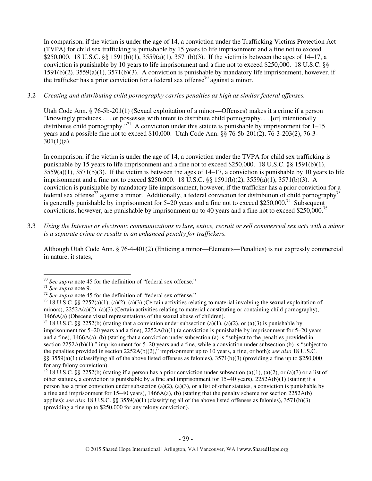In comparison, if the victim is under the age of 14, a conviction under the Trafficking Victims Protection Act (TVPA) for child sex trafficking is punishable by 15 years to life imprisonment and a fine not to exceed \$250,000. 18 U.S.C. §§ 1591(b)(1), 3559(a)(1), 3571(b)(3). If the victim is between the ages of 14–17, a conviction is punishable by 10 years to life imprisonment and a fine not to exceed \$250,000. 18 U.S.C. §§ 1591(b)(2), 3559(a)(1), 3571(b)(3). A conviction is punishable by mandatory life imprisonment, however, if the trafficker has a prior conviction for a federal sex offense<sup>70</sup> against a minor.

# 3.2 *Creating and distributing child pornography carries penalties as high as similar federal offenses.*

Utah Code Ann. § 76-5b-201(1) (Sexual exploitation of a minor—Offenses) makes it a crime if a person "knowingly produces . . . or possesses with intent to distribute child pornography. . . [or] intentionally distributes child pornography."<sup>71</sup> A conviction under this statute is punishable by imprisonment for  $1-15$ years and a possible fine not to exceed \$10,000. Utah Code Ann. §§ 76-5b-201(2), 76-3-203(2), 76-3-  $301(1)(a)$ .

In comparison, if the victim is under the age of 14, a conviction under the TVPA for child sex trafficking is punishable by 15 years to life imprisonment and a fine not to exceed \$250,000. 18 U.S.C. §§ 1591(b)(1),  $3559(a)(1)$ ,  $3571(b)(3)$ . If the victim is between the ages of  $14-17$ , a conviction is punishable by 10 years to life imprisonment and a fine not to exceed \$250,000. 18 U.S.C. §§ 1591(b)(2), 3559(a)(1), 3571(b)(3). A conviction is punishable by mandatory life imprisonment, however, if the trafficker has a prior conviction for a federal sex offense<sup>72</sup> against a minor. Additionally, a federal conviction for distribution of child pornography<sup>73</sup> is generally punishable by imprisonment for  $5-20$  years and a fine not to exceed \$250,000.<sup>74</sup> Subsequent convictions, however, are punishable by imprisonment up to 40 years and a fine not to exceed \$250,000.<sup>75</sup>

3.3 *Using the Internet or electronic communications to lure, entice, recruit or sell commercial sex acts with a minor is a separate crime or results in an enhanced penalty for traffickers.* 

Although Utah Code Ann. § 76-4-401(2) (Enticing a minor—Elements—Penalties) is not expressly commercial in nature, it states,

<sup>70</sup> *See supra* note 45 for the definition of "federal sex offense."

<sup>71</sup> *See supra* note 9.

<sup>72</sup> *See supra* note 45 for the definition of "federal sex offense."

<sup>&</sup>lt;sup>73</sup> 18 U.S.C. §§ 2252(a)(1), (a)(2), (a)(3) (Certain activities relating to material involving the sexual exploitation of minors),  $2252A(a)(2)$ ,  $(a)(3)$  (Certain activities relating to material constituting or containing child pornography), 1466A(a) (Obscene visual representations of the sexual abuse of children).

<sup>&</sup>lt;sup>74</sup> 18 U.S.C. §§ 2252(b) (stating that a conviction under subsection (a)(1), (a)(2), or (a)(3) is punishable by imprisonment for 5–20 years and a fine), 2252A(b)(1) (a conviction is punishable by imprisonment for 5–20 years and a fine), 1466A(a), (b) (stating that a conviction under subsection (a) is "subject to the penalties provided in section 2252A(b)(1)," imprisonment for 5–20 years and a fine, while a conviction under subsection (b) is "subject to the penalties provided in section 2252A(b)(2)," imprisonment up to 10 years, a fine, or both); *see also* 18 U.S.C. §§ 3559(a)(1) (classifying all of the above listed offenses as felonies),  $3571(b)(3)$  (providing a fine up to \$250,000 for any felony conviction).

<sup>&</sup>lt;sup>75</sup> 18 U.S.C. §§ 2252(b) (stating if a person has a prior conviction under subsection (a)(1), (a)(2), or (a)(3) or a list of other statutes, a conviction is punishable by a fine and imprisonment for  $15-40$  years),  $2252A(b)(1)$  (stating if a person has a prior conviction under subsection (a)(2), (a)(3), or a list of other statutes, a conviction is punishable by a fine and imprisonment for  $15-40$  years),  $1466A(a)$ , (b) (stating that the penalty scheme for section  $2252A(b)$ applies); *see also* 18 U.S.C. §§ 3559(a)(1) (classifying all of the above listed offenses as felonies), 3571(b)(3) (providing a fine up to \$250,000 for any felony conviction).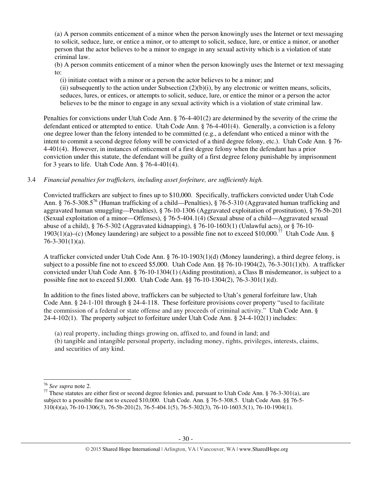(a) A person commits enticement of a minor when the person knowingly uses the Internet or text messaging to solicit, seduce, lure, or entice a minor, or to attempt to solicit, seduce, lure, or entice a minor, or another person that the actor believes to be a minor to engage in any sexual activity which is a violation of state criminal law.

(b) A person commits enticement of a minor when the person knowingly uses the Internet or text messaging to:

(i) initiate contact with a minor or a person the actor believes to be a minor; and

(ii) subsequently to the action under Subsection  $(2)(b)(i)$ , by any electronic or written means, solicits, seduces, lures, or entices, or attempts to solicit, seduce, lure, or entice the minor or a person the actor believes to be the minor to engage in any sexual activity which is a violation of state criminal law.

Penalties for convictions under Utah Code Ann. § 76-4-401(2) are determined by the severity of the crime the defendant enticed or attempted to entice. Utah Code Ann. § 76-4-401(4). Generally, a conviction is a felony one degree lower than the felony intended to be committed (e.g., a defendant who enticed a minor with the intent to commit a second degree felony will be convicted of a third degree felony, etc.). Utah Code Ann. § 76- 4-401(4). However, in instances of enticement of a first degree felony when the defendant has a prior conviction under this statute, the defendant will be guilty of a first degree felony punishable by imprisonment for 3 years to life. Utah Code Ann. § 76-4-401(4).

3.4 *Financial penalties for traffickers, including asset forfeiture, are sufficiently high.*

Convicted traffickers are subject to fines up to \$10,000. Specifically, traffickers convicted under Utah Code Ann. § 76-5-308.5<sup>76</sup> (Human trafficking of a child—Penalties), § 76-5-310 (Aggravated human trafficking and aggravated human smuggling—Penalties), § 76-10-1306 (Aggravated exploitation of prostitution), § 76-5b-201 (Sexual exploitation of a minor—Offenses), § 76-5-404.1(4) (Sexual abuse of a child—Aggravated sexual abuse of a child),  $\S$  76-5-302 (Aggravated kidnapping),  $\S$  76-10-1603(1) (Unlawful acts), or  $\S$  76-10-1903(1)(a)–(c) (Money laundering) are subject to a possible fine not to exceed \$10,000.<sup>77</sup> Utah Code Ann. §  $76 - 3 - 301(1)(a)$ .

A trafficker convicted under Utah Code Ann. § 76-10-1903(1)(d) (Money laundering), a third degree felony, is subject to a possible fine not to exceed \$5,000. Utah Code Ann. §§ 76-10-1904(2), 76-3-301(1)(b). A trafficker convicted under Utah Code Ann. § 76-10-1304(1) (Aiding prostitution), a Class B misdemeanor, is subject to a possible fine not to exceed \$1,000. Utah Code Ann. §§ 76-10-1304(2), 76-3-301(1)(d).

In addition to the fines listed above, traffickers can be subjected to Utah's general forfeiture law, Utah Code Ann. § 24-1-101 through § 24-4-118. These forfeiture provisions cover property "used to facilitate the commission of a federal or state offense and any proceeds of criminal activity." Utah Code Ann. § 24-4-102(1). The property subject to forfeiture under Utah Code Ann. § 24-4-102(1) includes:

(a) real property, including things growing on, affixed to, and found in land; and

(b) tangible and intangible personal property, including money, rights, privileges, interests, claims, and securities of any kind.

l

<sup>76</sup> *See supra* note 2.

 $77$  These statutes are either first or second degree felonies and, pursuant to Utah Code Ann. § 76-3-301(a), are subject to a possible fine not to exceed \$10,000. Utah Code. Ann. § 76-5-308.5. Utah Code Ann. §§ 76-5- 310(4)(a), 76-10-1306(3), 76-5b-201(2), 76-5-404.1(5), 76-5-302(3), 76-10-1603.5(1), 76-10-1904(1).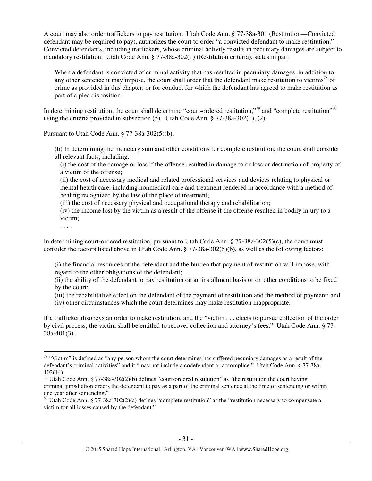A court may also order traffickers to pay restitution. Utah Code Ann. § 77-38a-301 (Restitution—Convicted defendant may be required to pay), authorizes the court to order "a convicted defendant to make restitution." Convicted defendants, including traffickers, whose criminal activity results in pecuniary damages are subject to mandatory restitution. Utah Code Ann. § 77-38a-302(1) (Restitution criteria), states in part,

When a defendant is convicted of criminal activity that has resulted in pecuniary damages, in addition to any other sentence it may impose, the court shall order that the defendant make restitution to victims<sup>78</sup> of crime as provided in this chapter, or for conduct for which the defendant has agreed to make restitution as part of a plea disposition.

In determining restitution, the court shall determine "court-ordered restitution,"<sup>79</sup> and "complete restitution"<sup>80</sup> using the criteria provided in subsection (5). Utah Code Ann. § 77-38a-302(1), (2).

Pursuant to Utah Code Ann. § 77-38a-302(5)(b),

(b) In determining the monetary sum and other conditions for complete restitution, the court shall consider all relevant facts, including:

(i) the cost of the damage or loss if the offense resulted in damage to or loss or destruction of property of a victim of the offense;

(ii) the cost of necessary medical and related professional services and devices relating to physical or mental health care, including nonmedical care and treatment rendered in accordance with a method of healing recognized by the law of the place of treatment;

(iii) the cost of necessary physical and occupational therapy and rehabilitation;

(iv) the income lost by the victim as a result of the offense if the offense resulted in bodily injury to a victim;

. . . .

l

In determining court-ordered restitution, pursuant to Utah Code Ann. § 77-38a-302(5)(c), the court must consider the factors listed above in Utah Code Ann. § 77-38a-302(5)(b), as well as the following factors:

(i) the financial resources of the defendant and the burden that payment of restitution will impose, with regard to the other obligations of the defendant;

(ii) the ability of the defendant to pay restitution on an installment basis or on other conditions to be fixed by the court;

(iii) the rehabilitative effect on the defendant of the payment of restitution and the method of payment; and

(iv) other circumstances which the court determines may make restitution inappropriate.

If a trafficker disobeys an order to make restitution, and the "victim . . . elects to pursue collection of the order by civil process, the victim shall be entitled to recover collection and attorney's fees." Utah Code Ann. § 77- 38a-401(3).

 $78$  "Victim" is defined as "any person whom the court determines has suffered pecuniary damages as a result of the defendant's criminal activities" and it "may not include a codefendant or accomplice." Utah Code Ann. § 77-38a-102(14).

<sup>&</sup>lt;sup>79</sup> Utah Code Ann. § 77-38a-302(2)(b) defines "court-ordered restitution" as "the restitution the court having criminal jurisdiction orders the defendant to pay as a part of the criminal sentence at the time of sentencing or within one year after sentencing."

 $80$  Utah Code Ann. § 77-38a-302(2)(a) defines "complete restitution" as the "restitution necessary to compensate a victim for all losses caused by the defendant."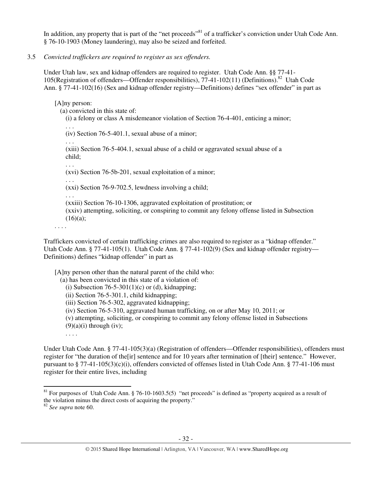In addition, any property that is part of the "net proceeds"<sup>81</sup> of a trafficker's conviction under Utah Code Ann. § 76-10-1903 (Money laundering), may also be seized and forfeited.

3.5 *Convicted traffickers are required to register as sex offenders.*

Under Utah law, sex and kidnap offenders are required to register. Utah Code Ann. §§ 77-41- 105(Registration of offenders—Offender responsibilities),  $77-41-102(11)$  (Definitions).<sup>82</sup> Utah Code Ann. § 77-41-102(16) (Sex and kidnap offender registry—Definitions) defines "sex offender" in part as

[A]ny person:

(a) convicted in this state of:

(i) a felony or class A misdemeanor violation of Section 76-4-401, enticing a minor;

. . . (iv) Section 76-5-401.1, sexual abuse of a minor;

. . .

(xiii) Section 76-5-404.1, sexual abuse of a child or aggravated sexual abuse of a child;

. . .

(xvi) Section 76-5b-201, sexual exploitation of a minor;

. . . (xxi) Section 76-9-702.5, lewdness involving a child;

. . .

(xxiii) Section 76-10-1306, aggravated exploitation of prostitution; or (xxiv) attempting, soliciting, or conspiring to commit any felony offense listed in Subsection  $(16)(a)$ ;

. . . .

Traffickers convicted of certain trafficking crimes are also required to register as a "kidnap offender." Utah Code Ann. § 77-41-105(1). Utah Code Ann. § 77-41-102(9) (Sex and kidnap offender registry— Definitions) defines "kidnap offender" in part as

[A]ny person other than the natural parent of the child who:

(a) has been convicted in this state of a violation of:

(i) Subsection 76-5-301(1)(c) or (d), kidnapping;

(ii) Section 76-5-301.1, child kidnapping;

(iii) Section 76-5-302, aggravated kidnapping;

(iv) Section 76-5-310, aggravated human trafficking, on or after May 10, 2011; or

(v) attempting, soliciting, or conspiring to commit any felony offense listed in Subsections

 $(9)(a)(i)$  through (iv);

Under Utah Code Ann. § 77-41-105(3)(a) (Registration of offenders—Offender responsibilities), offenders must register for "the duration of the[ir] sentence and for 10 years after termination of [their] sentence." However, pursuant to § 77-41-105(3)(c)(i), offenders convicted of offenses listed in Utah Code Ann. § 77-41-106 must register for their entire lives, including

l

. . . .

 $81$  For purposes of Utah Code Ann. § 76-10-1603.5(5) "net proceeds" is defined as "property acquired as a result of the violation minus the direct costs of acquiring the property."

<sup>82</sup> *See supra* note 60.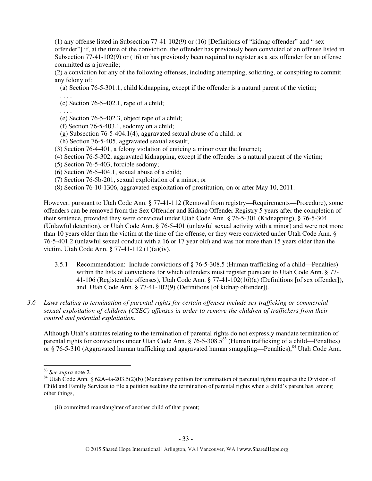(1) any offense listed in Subsection 77-41-102(9) or (16) [Definitions of "kidnap offender" and " sex offender"] if, at the time of the conviction, the offender has previously been convicted of an offense listed in Subsection 77-41-102(9) or (16) or has previously been required to register as a sex offender for an offense committed as a juvenile;

(2) a conviction for any of the following offenses, including attempting, soliciting, or conspiring to commit any felony of:

(a) Section 76-5-301.1, child kidnapping, except if the offender is a natural parent of the victim;

. . . .

(c) Section 76-5-402.1, rape of a child;

. . . .

- (e) Section 76-5-402.3, object rape of a child;
- (f) Section 76-5-403.1, sodomy on a child;
- (g) Subsection 76-5-404.1(4), aggravated sexual abuse of a child; or
- (h) Section 76-5-405, aggravated sexual assault;
- (3) Section 76-4-401, a felony violation of enticing a minor over the Internet;
- (4) Section 76-5-302, aggravated kidnapping, except if the offender is a natural parent of the victim;
- (5) Section 76-5-403, forcible sodomy;
- (6) Section 76-5-404.1, sexual abuse of a child;
- (7) Section 76-5b-201, sexual exploitation of a minor; or
- (8) Section 76-10-1306, aggravated exploitation of prostitution, on or after May 10, 2011.

However, pursuant to Utah Code Ann. § 77-41-112 (Removal from registry—Requirements—Procedure), some offenders can be removed from the Sex Offender and Kidnap Offender Registry 5 years after the completion of their sentence, provided they were convicted under Utah Code Ann. § 76-5-301 (Kidnapping), § 76-5-304 (Unlawful detention), or Utah Code Ann. § 76-5-401 (unlawful sexual activity with a minor) and were not more than 10 years older than the victim at the time of the offense, or they were convicted under Utah Code Ann. § 76-5-401.2 (unlawful sexual conduct with a 16 or 17 year old) and was not more than 15 years older than the victim. Utah Code Ann. § 77-41-112 (1)(a)(iv).

- 3.5.1 Recommendation: Include convictions of § 76-5-308.5 (Human trafficking of a child—Penalties) within the lists of convictions for which offenders must register pursuant to Utah Code Ann. § 77-41-106 (Registerable offenses), Utah Code Ann. § 77-41-102(16)(a) (Definitions [of sex offender]), and Utah Code Ann. § 77-41-102(9) (Definitions [of kidnap offender]).
- *3.6 Laws relating to termination of parental rights for certain offenses include sex trafficking or commercial sexual exploitation of children (CSEC) offenses in order to remove the children of traffickers from their control and potential exploitation.*

Although Utah's statutes relating to the termination of parental rights do not expressly mandate termination of parental rights for convictions under Utah Code Ann.  $\hat{\S}$  76-5-308.5<sup>83</sup> (Human trafficking of a child—Penalties) or § 76-5-310 (Aggravated human trafficking and aggravated human smuggling—Penalties),<sup>84</sup> Utah Code Ann.

l

<sup>83</sup> *See supra* note 2.

<sup>&</sup>lt;sup>84</sup> Utah Code Ann. § 62A-4a-203.5(2)(b) (Mandatory petition for termination of parental rights) requires the Division of Child and Family Services to file a petition seeking the termination of parental rights when a child's parent has, among other things,

<sup>(</sup>ii) committed manslaughter of another child of that parent;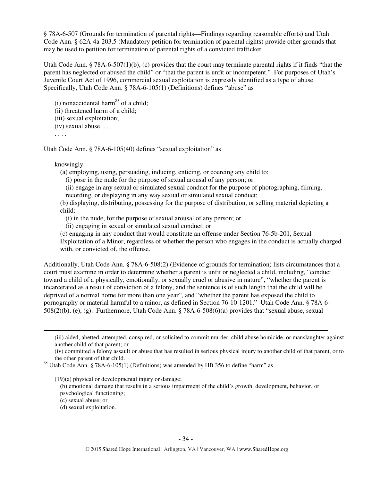§ 78A-6-507 (Grounds for termination of parental rights—Findings regarding reasonable efforts) and Utah Code Ann. § 62A-4a-203.5 (Mandatory petition for termination of parental rights) provide other grounds that may be used to petition for termination of parental rights of a convicted trafficker.

Utah Code Ann. § 78A-6-507(1)(b), (c) provides that the court may terminate parental rights if it finds "that the parent has neglected or abused the child" or "that the parent is unfit or incompetent." For purposes of Utah's Juvenile Court Act of 1996, commercial sexual exploitation is expressly identified as a type of abuse. Specifically, Utah Code Ann. § 78A-6-105(1) (Definitions) defines "abuse" as

(i) nonaccidental harm<sup>85</sup> of a child;

(ii) threatened harm of a child;

(iii) sexual exploitation;

(iv) sexual abuse. . . .

. . . .

Utah Code Ann. § 78A-6-105(40) defines "sexual exploitation" as

## knowingly:

(a) employing, using, persuading, inducing, enticing, or coercing any child to:

(i) pose in the nude for the purpose of sexual arousal of any person; or

(ii) engage in any sexual or simulated sexual conduct for the purpose of photographing, filming, recording, or displaying in any way sexual or simulated sexual conduct;

(b) displaying, distributing, possessing for the purpose of distribution, or selling material depicting a child:

(i) in the nude, for the purpose of sexual arousal of any person; or

(ii) engaging in sexual or simulated sexual conduct; or

(c) engaging in any conduct that would constitute an offense under Section 76-5b-201, Sexual Exploitation of a Minor, regardless of whether the person who engages in the conduct is actually charged with, or convicted of, the offense.

Additionally, Utah Code Ann. § 78A-6-508(2) (Evidence of grounds for termination) lists circumstances that a court must examine in order to determine whether a parent is unfit or neglected a child, including, "conduct toward a child of a physically, emotionally, or sexually cruel or abusive in nature", "whether the parent is incarcerated as a result of conviction of a felony, and the sentence is of such length that the child will be deprived of a normal home for more than one year", and "whether the parent has exposed the child to pornography or material harmful to a minor, as defined in Section 76-10-1201." Utah Code Ann. § 78A-6- 508(2)(b), (e), (g). Furthermore, Utah Code Ann. § 78A-6-508(6)(a) provides that "sexual abuse, sexual

(iii) aided, abetted, attempted, conspired, or solicited to commit murder, child abuse homicide, or manslaughter against another child of that parent; or

(iv) committed a felony assault or abuse that has resulted in serious physical injury to another child of that parent, or to the other parent of that child.

<sup>85</sup> Utah Code Ann. § 78A-6-105(1) (Definitions) was amended by HB 356 to define "harm" as

(19)(a) physical or developmental injury or damage;

(b) emotional damage that results in a serious impairment of the child's growth, development, behavior, or psychological functioning;

(c) sexual abuse; or

 $\overline{a}$ 

(d) sexual exploitation.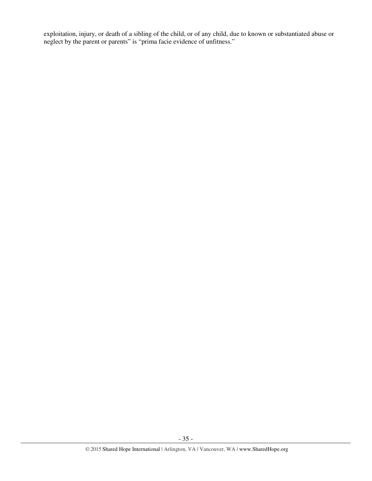exploitation, injury, or death of a sibling of the child, or of any child, due to known or substantiated abuse or neglect by the parent or parents" is "prima facie evidence of unfitness."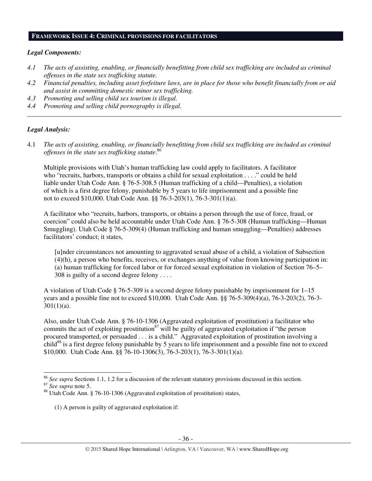#### **FRAMEWORK ISSUE 4: CRIMINAL PROVISIONS FOR FACILITATORS**

#### *Legal Components:*

- *4.1 The acts of assisting, enabling, or financially benefitting from child sex trafficking are included as criminal offenses in the state sex trafficking statute.*
- *4.2 Financial penalties, including asset forfeiture laws, are in place for those who benefit financially from or aid and assist in committing domestic minor sex trafficking.*

*\_\_\_\_\_\_\_\_\_\_\_\_\_\_\_\_\_\_\_\_\_\_\_\_\_\_\_\_\_\_\_\_\_\_\_\_\_\_\_\_\_\_\_\_\_\_\_\_\_\_\_\_\_\_\_\_\_\_\_\_\_\_\_\_\_\_\_\_\_\_\_\_\_\_\_\_\_\_\_\_\_\_\_\_\_\_\_\_\_\_\_\_\_\_* 

- *4.3 Promoting and selling child sex tourism is illegal.*
- *4.4 Promoting and selling child pornography is illegal.*

#### *Legal Analysis:*

4.1 *The acts of assisting, enabling, or financially benefitting from child sex trafficking are included as criminal offenses in the state sex trafficking statute*. 86

Multiple provisions with Utah's human trafficking law could apply to facilitators. A facilitator who "recruits, harbors, transports or obtains a child for sexual exploitation . . . ." could be held liable under Utah Code Ann. § 76-5-308.5 (Human trafficking of a child—Penalties), a violation of which is a first degree felony, punishable by 5 years to life imprisonment and a possible fine not to exceed \$10,000. Utah Code Ann. §§ 76-3-203(1), 76-3-301(1)(a).

A facilitator who "recruits, harbors, transports, or obtains a person through the use of force, fraud, or coercion" could also be held accountable under Utah Code Ann. § 76-5-308 (Human trafficking—Human Smuggling). Utah Code § 76-5-309(4) (Human trafficking and human smuggling—Penalties) addresses facilitators' conduct; it states,

[u]nder circumstances not amounting to aggravated sexual abuse of a child, a violation of Subsection (4)(h), a person who benefits, receives, or exchanges anything of value from knowing participation in: (a) human trafficking for forced labor or for forced sexual exploitation in violation of Section 76–5– 308 is guilty of a second degree felony . . . .

A violation of Utah Code  $\S$  76-5-309 is a second degree felony punishable by imprisonment for  $1-15$ years and a possible fine not to exceed \$10,000. Utah Code Ann. §§ 76-5-309(4)(a), 76-3-203(2), 76-3-  $301(1)(a)$ .

Also, under Utah Code Ann. § 76-10-1306 (Aggravated exploitation of prostitution) a facilitator who commits the act of exploiting prostitution<sup>87</sup> will be guilty of aggravated exploitation if "the person" procured transported, or persuaded . . . is a child." Aggravated exploitation of prostitution involving a child<sup>88</sup> is a first degree felony punishable by 5 years to life imprisonment and a possible fine not to exceed \$10,000. Utah Code Ann. §§ 76-10-1306(3), 76-3-203(1), 76-3-301(1)(a).

 $\overline{a}$ 

(1) A person is guilty of aggravated exploitation if:

<sup>86</sup> *See supra* Sections 1.1, 1.2 for a discussion of the relevant statutory provisions discussed in this section.

<sup>87</sup> *See supra* note 5.

<sup>88</sup> Utah Code Ann. § 76-10-1306 (Aggravated exploitation of prostitution) states,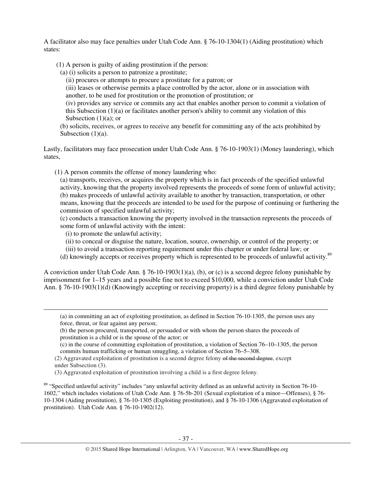A facilitator also may face penalties under Utah Code Ann. § 76-10-1304(1) (Aiding prostitution) which states:

- (1) A person is guilty of aiding prostitution if the person:
	- (a) (i) solicits a person to patronize a prostitute;

(ii) procures or attempts to procure a prostitute for a patron; or

(iii) leases or otherwise permits a place controlled by the actor, alone or in association with another, to be used for prostitution or the promotion of prostitution; or

(iv) provides any service or commits any act that enables another person to commit a violation of this Subsection  $(1)(a)$  or facilitates another person's ability to commit any violation of this Subsection  $(1)(a)$ ; or

(b) solicits, receives, or agrees to receive any benefit for committing any of the acts prohibited by Subsection  $(1)(a)$ .

Lastly, facilitators may face prosecution under Utah Code Ann. § 76-10-1903(1) (Money laundering), which states,

(1) A person commits the offense of money laundering who:

(a) transports, receives, or acquires the property which is in fact proceeds of the specified unlawful activity, knowing that the property involved represents the proceeds of some form of unlawful activity; (b) makes proceeds of unlawful activity available to another by transaction, transportation, or other means, knowing that the proceeds are intended to be used for the purpose of continuing or furthering the commission of specified unlawful activity;

(c) conducts a transaction knowing the property involved in the transaction represents the proceeds of some form of unlawful activity with the intent:

(i) to promote the unlawful activity;

 $\overline{a}$ 

- (ii) to conceal or disguise the nature, location, source, ownership, or control of the property; or
- (iii) to avoid a transaction reporting requirement under this chapter or under federal law; or
- (d) knowingly accepts or receives property which is represented to be proceeds of unlawful activity.<sup>89</sup>

A conviction under Utah Code Ann. § 76-10-1903(1)(a), (b), or (c) is a second degree felony punishable by imprisonment for 1–15 years and a possible fine not to exceed \$10,000, while a conviction under Utah Code Ann. § 76-10-1903(1)(d) (Knowingly accepting or receiving property) is a third degree felony punishable by

(3) Aggravated exploitation of prostitution involving a child is a first degree felony.

<sup>89</sup> "Specified unlawful activity" includes "any unlawful activity defined as an unlawful activity in Section 76-10- 1602," which includes violations of Utah Code Ann. § 76-5b-201 (Sexual exploitation of a minor—Offenses), § 76- 10-1304 (Aiding prostitution), § 76-10-1305 (Exploiting prostitution), and § 76-10-1306 (Aggravated exploitation of prostitution). Utah Code Ann. § 76-10-1902(12).

<sup>(</sup>a) in committing an act of exploiting prostitution, as defined in Section 76-10-1305, the person uses any force, threat, or fear against any person;

<sup>(</sup>b) the person procured, transported, or persuaded or with whom the person shares the proceeds of prostitution is a child or is the spouse of the actor; or

<sup>(</sup>c) in the course of committing exploitation of prostitution, a violation of Section 76–10–1305, the person commits human trafficking or human smuggling, a violation of Section 76–5–308.

<sup>(2)</sup> Aggravated exploitation of prostitution is a second degree felony of the second degree, except under Subsection (3).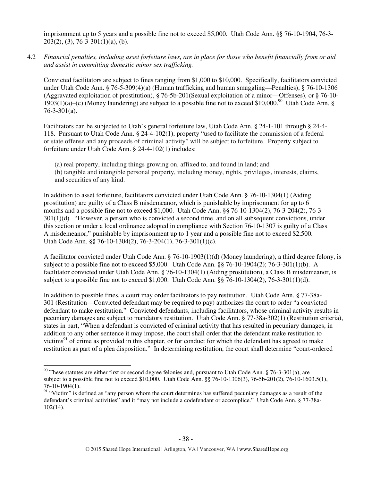imprisonment up to 5 years and a possible fine not to exceed \$5,000. Utah Code Ann. §§ 76-10-1904, 76-3-  $203(2)$ , (3), 76-3-301(1)(a), (b).

4.2 *Financial penalties, including asset forfeiture laws, are in place for those who benefit financially from or aid and assist in committing domestic minor sex trafficking.* 

Convicted facilitators are subject to fines ranging from \$1,000 to \$10,000. Specifically, facilitators convicted under Utah Code Ann. § 76-5-309(4)(a) (Human trafficking and human smuggling—Penalties), § 76-10-1306 (Aggravated exploitation of prostitution), § 76-5b-201(Sexual exploitation of a minor—Offenses), or § 76-10- 1903(1)(a)–(c) (Money laundering) are subject to a possible fine not to exceed \$10,000.<sup>90</sup> Utah Code Ann. § 76-3-301(a).

Facilitators can be subjected to Utah's general forfeiture law, Utah Code Ann. § 24-1-101 through § 24-4- 118. Pursuant to Utah Code Ann. § 24-4-102(1), property "used to facilitate the commission of a federal or state offense and any proceeds of criminal activity" will be subject to forfeiture. Property subject to forfeiture under Utah Code Ann. § 24-4-102(1) includes:

(a) real property, including things growing on, affixed to, and found in land; and (b) tangible and intangible personal property, including money, rights, privileges, interests, claims, and securities of any kind.

In addition to asset forfeiture, facilitators convicted under Utah Code Ann. § 76-10-1304(1) (Aiding prostitution) are guilty of a Class B misdemeanor, which is punishable by imprisonment for up to 6 months and a possible fine not to exceed \$1,000. Utah Code Ann. §§ 76-10-1304(2), 76-3-204(2), 76-3- 301(1)(d). "However, a person who is convicted a second time, and on all subsequent convictions, under this section or under a local ordinance adopted in compliance with Section 76-10-1307 is guilty of a Class A misdemeanor," punishable by imprisonment up to 1 year and a possible fine not to exceed \$2,500. Utah Code Ann. §§ 76-10-1304(2), 76-3-204(1), 76-3-301(1)(c).

A facilitator convicted under Utah Code Ann. § 76-10-1903(1)(d) (Money laundering), a third degree felony, is subject to a possible fine not to exceed \$5,000. Utah Code Ann. §§ 76-10-1904(2); 76-3-301(1)(b). A facilitator convicted under Utah Code Ann. § 76-10-1304(1) (Aiding prostitution), a Class B misdemeanor, is subject to a possible fine not to exceed \$1,000. Utah Code Ann. §§ 76-10-1304(2), 76-3-301(1)(d).

In addition to possible fines, a court may order facilitators to pay restitution. Utah Code Ann. § 77-38a-301 (Restitution—Convicted defendant may be required to pay) authorizes the court to order "a convicted defendant to make restitution." Convicted defendants, including facilitators, whose criminal activity results in pecuniary damages are subject to mandatory restitution. Utah Code Ann. § 77-38a-302(1) (Restitution criteria), states in part, "When a defendant is convicted of criminal activity that has resulted in pecuniary damages, in addition to any other sentence it may impose, the court shall order that the defendant make restitution to victims $^{91}$  of crime as provided in this chapter, or for conduct for which the defendant has agreed to make restitution as part of a plea disposition." In determining restitution, the court shall determine "court-ordered

 $90$  These statutes are either first or second degree felonies and, pursuant to Utah Code Ann. § 76-3-301(a), are subject to a possible fine not to exceed \$10,000. Utah Code Ann. §§ 76-10-1306(3), 76-5b-201(2), 76-10-1603.5(1), 76-10-1904(1).

<sup>&</sup>lt;sup>91</sup> "Victim" is defined as "any person whom the court determines has suffered pecuniary damages as a result of the defendant's criminal activities" and it "may not include a codefendant or accomplice." Utah Code Ann. § 77-38a-102(14).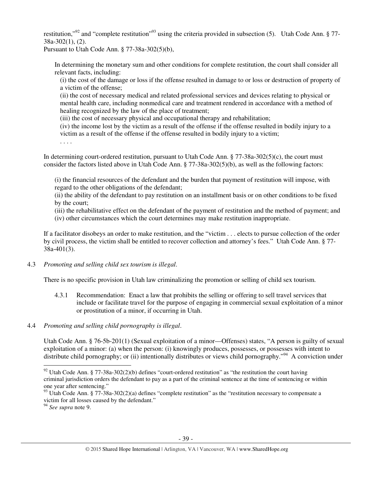restitution,"<sup>92</sup> and "complete restitution"<sup>93</sup> using the criteria provided in subsection (5). Utah Code Ann. § 77-38a-302(1), (2).

Pursuant to Utah Code Ann. § 77-38a-302(5)(b),

In determining the monetary sum and other conditions for complete restitution, the court shall consider all relevant facts, including:

(i) the cost of the damage or loss if the offense resulted in damage to or loss or destruction of property of a victim of the offense;

(ii) the cost of necessary medical and related professional services and devices relating to physical or mental health care, including nonmedical care and treatment rendered in accordance with a method of healing recognized by the law of the place of treatment;

(iii) the cost of necessary physical and occupational therapy and rehabilitation;

(iv) the income lost by the victim as a result of the offense if the offense resulted in bodily injury to a victim as a result of the offense if the offense resulted in bodily injury to a victim;

. . . .

In determining court-ordered restitution, pursuant to Utah Code Ann.  $\S 77-38a-302(5)(c)$ , the court must consider the factors listed above in Utah Code Ann. § 77-38a-302(5)(b), as well as the following factors:

(i) the financial resources of the defendant and the burden that payment of restitution will impose, with regard to the other obligations of the defendant;

(ii) the ability of the defendant to pay restitution on an installment basis or on other conditions to be fixed by the court;

(iii) the rehabilitative effect on the defendant of the payment of restitution and the method of payment; and

(iv) other circumstances which the court determines may make restitution inappropriate.

If a facilitator disobeys an order to make restitution, and the "victim . . . elects to pursue collection of the order by civil process, the victim shall be entitled to recover collection and attorney's fees." Utah Code Ann. § 77- 38a-401(3).

#### 4.3 *Promoting and selling child sex tourism is illegal*.

There is no specific provision in Utah law criminalizing the promotion or selling of child sex tourism.

- 4.3.1 Recommendation: Enact a law that prohibits the selling or offering to sell travel services that include or facilitate travel for the purpose of engaging in commercial sexual exploitation of a minor or prostitution of a minor, if occurring in Utah.
- 4.4 *Promoting and selling child pornography is illegal*.

Utah Code Ann. § 76-5b-201(1) (Sexual exploitation of a minor—Offenses) states, "A person is guilty of sexual exploitation of a minor: (a) when the person: (i) knowingly produces, possesses, or possesses with intent to distribute child pornography; or (ii) intentionally distributes or views child pornography."<sup>94</sup> A conviction under  $\overline{a}$ 

<sup>&</sup>lt;sup>92</sup> Utah Code Ann. § 77-38a-302(2)(b) defines "court-ordered restitution" as "the restitution the court having criminal jurisdiction orders the defendant to pay as a part of the criminal sentence at the time of sentencing or within one year after sentencing."

 $93$  Utah Code Ann. § 77-38a-302(2)(a) defines "complete restitution" as the "restitution necessary to compensate a victim for all losses caused by the defendant."

<sup>94</sup> *See supra* note 9.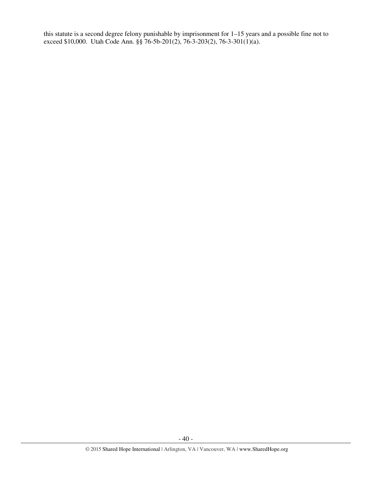this statute is a second degree felony punishable by imprisonment for 1–15 years and a possible fine not to exceed \$10,000. Utah Code Ann. §§ 76-5b-201(2), 76-3-203(2), 76-3-301(1)(a).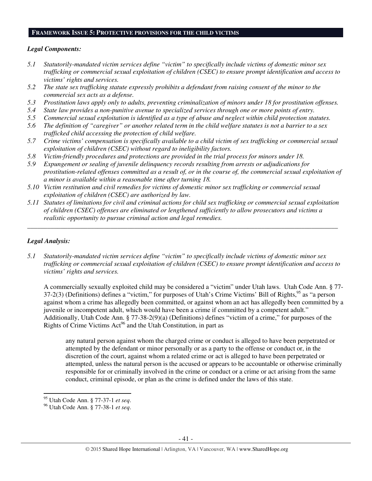#### **FRAMEWORK ISSUE 5: PROTECTIVE PROVISIONS FOR THE CHILD VICTIMS**

#### *Legal Components:*

- *5.1 Statutorily-mandated victim services define "victim" to specifically include victims of domestic minor sex trafficking or commercial sexual exploitation of children (CSEC) to ensure prompt identification and access to victims' rights and services.*
- *5.2 The state sex trafficking statute expressly prohibits a defendant from raising consent of the minor to the commercial sex acts as a defense.*
- *5.3 Prostitution laws apply only to adults, preventing criminalization of minors under 18 for prostitution offenses.*
- *5.4 State law provides a non-punitive avenue to specialized services through one or more points of entry.*
- *5.5 Commercial sexual exploitation is identified as a type of abuse and neglect within child protection statutes.*
- *5.6 The definition of "caregiver" or another related term in the child welfare statutes is not a barrier to a sex trafficked child accessing the protection of child welfare.*
- *5.7 Crime victims' compensation is specifically available to a child victim of sex trafficking or commercial sexual exploitation of children (CSEC) without regard to ineligibility factors.*
- *5.8 Victim-friendly procedures and protections are provided in the trial process for minors under 18.*
- *5.9 Expungement or sealing of juvenile delinquency records resulting from arrests or adjudications for prostitution-related offenses committed as a result of, or in the course of, the commercial sexual exploitation of a minor is available within a reasonable time after turning 18.*
- *5.10 Victim restitution and civil remedies for victims of domestic minor sex trafficking or commercial sexual exploitation of children (CSEC) are authorized by law.*
- *5.11 Statutes of limitations for civil and criminal actions for child sex trafficking or commercial sexual exploitation of children (CSEC) offenses are eliminated or lengthened sufficiently to allow prosecutors and victims a realistic opportunity to pursue criminal action and legal remedies.*

*\_\_\_\_\_\_\_\_\_\_\_\_\_\_\_\_\_\_\_\_\_\_\_\_\_\_\_\_\_\_\_\_\_\_\_\_\_\_\_\_\_\_\_\_\_\_\_\_\_\_\_\_\_\_\_\_\_\_\_\_\_\_\_\_\_\_\_\_\_\_\_\_\_\_\_\_\_\_\_\_\_\_\_\_\_\_\_\_\_\_\_\_\_* 

## *Legal Analysis:*

l

*5.1 Statutorily-mandated victim services define "victim" to specifically include victims of domestic minor sex trafficking or commercial sexual exploitation of children (CSEC) to ensure prompt identification and access to victims' rights and services.* 

A commercially sexually exploited child may be considered a "victim" under Utah laws. Utah Code Ann. § 77- 37-2(3) (Definitions) defines a "victim," for purposes of Utah's Crime Victims' Bill of Rights,<sup>95</sup> as "a person against whom a crime has allegedly been committed, or against whom an act has allegedly been committed by a juvenile or incompetent adult, which would have been a crime if committed by a competent adult." Additionally, Utah Code Ann. § 77-38-2(9)(a) (Definitions) defines "victim of a crime," for purposes of the Rights of Crime Victims  $Act^{96}$  and the Utah Constitution, in part as

any natural person against whom the charged crime or conduct is alleged to have been perpetrated or attempted by the defendant or minor personally or as a party to the offense or conduct or, in the discretion of the court, against whom a related crime or act is alleged to have been perpetrated or attempted, unless the natural person is the accused or appears to be accountable or otherwise criminally responsible for or criminally involved in the crime or conduct or a crime or act arising from the same conduct, criminal episode, or plan as the crime is defined under the laws of this state.

<sup>95</sup> Utah Code Ann. § 77-37-1 *et seq*.

<sup>96</sup> Utah Code Ann. § 77-38-1 *et seq*.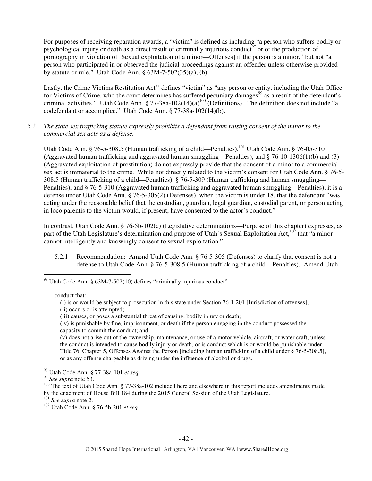For purposes of receiving reparation awards, a "victim" is defined as including "a person who suffers bodily or psychological injury or death as a direct result of criminally injurious conduct<sup>97</sup> or of the production of pornography in violation of [Sexual exploitation of a minor—Offenses] if the person is a minor," but not "a person who participated in or observed the judicial proceedings against an offender unless otherwise provided by statute or rule." Utah Code Ann. § 63M-7-502(35)(a), (b).

Lastly, the Crime Victims Restitution Act<sup>98</sup> defines "victim" as "any person or entity, including the Utah Office for Victims of Crime, who the court determines has suffered pecuniary damages<sup>99</sup> as a result of the defendant's criminal activities." Utah Code Ann. § 77-38a-102(14)(a)<sup>100</sup> (Definitions). The definition does not include "a codefendant or accomplice." Utah Code Ann. § 77-38a-102(14)(b).

*5.2 The state sex trafficking statute expressly prohibits a defendant from raising consent of the minor to the commercial sex acts as a defense.* 

Utah Code Ann. § 76-5-308.5 (Human trafficking of a child—Penalties),<sup>101</sup> Utah Code Ann. § 76-05-310 (Aggravated human trafficking and aggravated human smuggling—Penalties), and § 76-10-1306(1)(b) and (3) (Aggravated exploitation of prostitution) do not expressly provide that the consent of a minor to a commercial sex act is immaterial to the crime. While not directly related to the victim's consent for Utah Code Ann. § 76-5- 308.5 (Human trafficking of a child—Penalties), § 76-5-309 (Human trafficking and human smuggling— Penalties), and § 76-5-310 (Aggravated human trafficking and aggravated human smuggling—Penalties), it is a defense under Utah Code Ann. § 76-5-305(2) (Defenses), when the victim is under 18, that the defendant "was acting under the reasonable belief that the custodian, guardian, legal guardian, custodial parent, or person acting in loco parentis to the victim would, if present, have consented to the actor's conduct."

In contrast, Utah Code Ann. § 76-5b-102(c) (Legislative determinations—Purpose of this chapter) expresses, as part of the Utah Legislature's determination and purpose of Utah's Sexual Exploitation Act,<sup>102</sup> that "a minor" cannot intelligently and knowingly consent to sexual exploitation."

5.2.1 Recommendation: Amend Utah Code Ann. § 76-5-305 (Defenses) to clarify that consent is not a defense to Utah Code Ann. § 76-5-308.5 (Human trafficking of a child—Penalties). Amend Utah

conduct that:

 $\overline{a}$ 

(i) is or would be subject to prosecution in this state under Section 76-1-201 [Jurisdiction of offenses];

(v) does not arise out of the ownership, maintenance, or use of a motor vehicle, aircraft, or water craft, unless the conduct is intended to cause bodily injury or death, or is conduct which is or would be punishable under Title 76, Chapter 5, Offenses Against the Person [including human trafficking of a child under § 76-5-308.5], or as any offense chargeable as driving under the influence of alcohol or drugs.

<sup>98</sup> Utah Code Ann. § 77-38a-101 *et seq*.

<sup>101</sup> *See supra* note 2.

<sup>102</sup> Utah Code Ann. § 76-5b-201 *et seq*.

 $97$  Utah Code Ann. § 63M-7-502(10) defines "criminally injurious conduct"

<sup>(</sup>ii) occurs or is attempted;

<sup>(</sup>iii) causes, or poses a substantial threat of causing, bodily injury or death;

<sup>(</sup>iv) is punishable by fine, imprisonment, or death if the person engaging in the conduct possessed the capacity to commit the conduct; and

<sup>99</sup> *See supra* note 53.

<sup>&</sup>lt;sup>100</sup> The text of Utah Code Ann. § 77-38a-102 included here and elsewhere in this report includes amendments made by the enactment of House Bill 184 during the 2015 General Session of the Utah Legislature.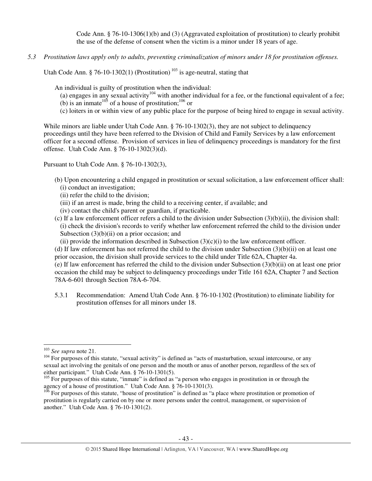Code Ann. § 76-10-1306(1)(b) and (3) (Aggravated exploitation of prostitution) to clearly prohibit the use of the defense of consent when the victim is a minor under 18 years of age.

*5.3 Prostitution laws apply only to adults, preventing criminalization of minors under 18 for prostitution offenses.* 

Utah Code Ann. § 76-10-1302(1) (Prostitution)<sup>103</sup> is age-neutral, stating that

An individual is guilty of prostitution when the individual:

- (a) engages in any sexual activity<sup>104</sup> with another individual for a fee, or the functional equivalent of a fee;
- (b) is an inmate<sup>105</sup> of a house of prostitution;<sup>106</sup> or
- (c) loiters in or within view of any public place for the purpose of being hired to engage in sexual activity.

While minors are liable under Utah Code Ann. § 76-10-1302(3), they are not subject to delinquency proceedings until they have been referred to the Division of Child and Family Services by a law enforcement officer for a second offense. Provision of services in lieu of delinquency proceedings is mandatory for the first offense. Utah Code Ann. § 76-10-1302(3)(d).

Pursuant to Utah Code Ann. § 76-10-1302(3),

- (b) Upon encountering a child engaged in prostitution or sexual solicitation, a law enforcement officer shall: (i) conduct an investigation;
	- (ii) refer the child to the division;
	- (iii) if an arrest is made, bring the child to a receiving center, if available; and
	- (iv) contact the child's parent or guardian, if practicable.
- (c) If a law enforcement officer refers a child to the division under Subsection (3)(b)(ii), the division shall: (i) check the division's records to verify whether law enforcement referred the child to the division under Subsection  $(3)(b)(ii)$  on a prior occasion; and
	- (ii) provide the information described in Subsection  $(3)(c)(i)$  to the law enforcement officer.

(d) If law enforcement has not referred the child to the division under Subsection (3)(b)(ii) on at least one prior occasion, the division shall provide services to the child under Title 62A, Chapter 4a.

(e) If law enforcement has referred the child to the division under Subsection (3)(b)(ii) on at least one prior occasion the child may be subject to delinquency proceedings under Title 161 62A, Chapter 7 and Section 78A-6-601 through Section 78A-6-704.

5.3.1 Recommendation: Amend Utah Code Ann. § 76-10-1302 (Prostitution) to eliminate liability for prostitution offenses for all minors under 18.

<sup>103</sup> *See supra* note 21.

<sup>&</sup>lt;sup>104</sup> For purposes of this statute, "sexual activity" is defined as "acts of masturbation, sexual intercourse, or any sexual act involving the genitals of one person and the mouth or anus of another person, regardless of the sex of either participant." Utah Code Ann. § 76-10-1301(5).

 $105$  For purposes of this statute, "inmate" is defined as "a person who engages in prostitution in or through the agency of a house of prostitution." Utah Code Ann. § 76-10-1301(3).

 $106$  For purposes of this statute, "house of prostitution" is defined as "a place where prostitution or promotion of prostitution is regularly carried on by one or more persons under the control, management, or supervision of another." Utah Code Ann. § 76-10-1301(2).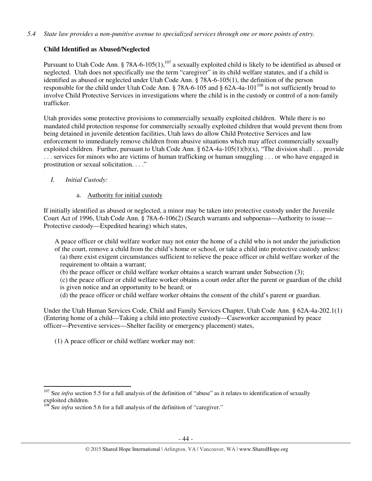## *5.4 State law provides a non-punitive avenue to specialized services through one or more points of entry.*

# **Child Identified as Abused/Neglected**

Pursuant to Utah Code Ann. § 78A-6-105(1),<sup>107</sup> a sexually exploited child is likely to be identified as abused or neglected. Utah does not specifically use the term "caregiver" in its child welfare statutes, and if a child is identified as abused or neglected under Utah Code Ann. § 78A-6-105(1), the definition of the person responsible for the child under Utah Code Ann. § 78A-6-105 and § 62A-4a-101<sup>108</sup> is not sufficiently broad to involve Child Protective Services in investigations where the child is in the custody or control of a non-family trafficker.

Utah provides some protective provisions to commercially sexually exploited children. While there is no mandated child protection response for commercially sexually exploited children that would prevent them from being detained in juvenile detention facilities, Utah laws do allow Child Protective Services and law enforcement to immediately remove children from abusive situations which may affect commercially sexually exploited children. Further, pursuant to Utah Code Ann. §  $62A-4a-105(1)(b)(x)$ , "The division shall . . . provide . . . services for minors who are victims of human trafficking or human smuggling . . . or who have engaged in prostitution or sexual solicitation. . . ."

## *I. Initial Custody:*

 $\overline{a}$ 

## a. Authority for initial custody

If initially identified as abused or neglected, a minor may be taken into protective custody under the Juvenile Court Act of 1996, Utah Code Ann. § 78A-6-106(2) (Search warrants and subpoenas—Authority to issue— Protective custody—Expedited hearing) which states,

A peace officer or child welfare worker may not enter the home of a child who is not under the jurisdiction of the court, remove a child from the child's home or school, or take a child into protective custody unless: (a) there exist exigent circumstances sufficient to relieve the peace officer or child welfare worker of the requirement to obtain a warrant;

(b) the peace officer or child welfare worker obtains a search warrant under Subsection (3);

(c) the peace officer or child welfare worker obtains a court order after the parent or guardian of the child

- is given notice and an opportunity to be heard; or
- (d) the peace officer or child welfare worker obtains the consent of the child's parent or guardian.

Under the Utah Human Services Code, Child and Family Services Chapter, Utah Code Ann. § 62A-4a-202.1(1) (Entering home of a child—Taking a child into protective custody—Caseworker accompanied by peace officer—Preventive services—Shelter facility or emergency placement) states,

(1) A peace officer or child welfare worker may not:

<sup>&</sup>lt;sup>107</sup> See *infra* section 5.5 for a full analysis of the definition of "abuse" as it relates to identification of sexually exploited children.

<sup>&</sup>lt;sup>108</sup> See *infra* section 5.6 for a full analysis of the definition of "caregiver."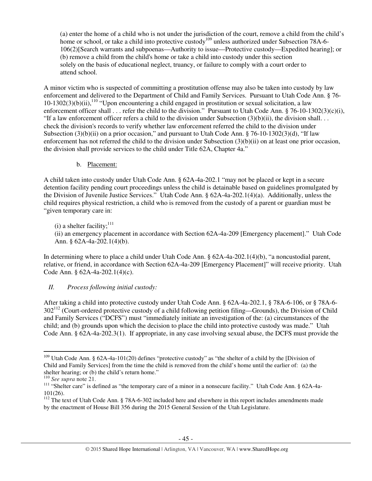(a) enter the home of a child who is not under the jurisdiction of the court, remove a child from the child's home or school, or take a child into protective custody<sup>109</sup> unless authorized under Subsection 78A-6-106(2)[Search warrants and subpoenas—Authority to issue—Protective custody—Expedited hearing]; or (b) remove a child from the child's home or take a child into custody under this section solely on the basis of educational neglect, truancy, or failure to comply with a court order to attend school.

A minor victim who is suspected of committing a prostitution offense may also be taken into custody by law enforcement and delivered to the Department of Child and Family Services. Pursuant to Utah Code Ann. § 76-  $10-1302(3)(b)(ii)$ ,  $^{110}$  "Upon encountering a child engaged in prostitution or sexual solicitation, a law enforcement officer shall . . . refer the child to the division." Pursuant to Utah Code Ann. § 76-10-1302(3)(c)(i), "If a law enforcement officer refers a child to the division under Subsection  $(3)(b)(ii)$ , the division shall... check the division's records to verify whether law enforcement referred the child to the division under Subsection (3)(b)(ii) on a prior occasion," and pursuant to Utah Code Ann. § 76-10-1302(3)(d), "If law enforcement has not referred the child to the division under Subsection (3)(b)(ii) on at least one prior occasion, the division shall provide services to the child under Title 62A, Chapter 4a."

b. Placement:

A child taken into custody under Utah Code Ann. § 62A-4a-202.1 "may not be placed or kept in a secure detention facility pending court proceedings unless the child is detainable based on guidelines promulgated by the Division of Juvenile Justice Services." Utah Code Ann. § 62A-4a-202.1(4)(a). Additionally, unless the child requires physical restriction, a child who is removed from the custody of a parent or guardian must be "given temporary care in:

(i) a shelter facility;  $^{111}$ 

(ii) an emergency placement in accordance with Section 62A-4a-209 [Emergency placement]." Utah Code Ann. § 62A-4a-202.1(4)(b).

In determining where to place a child under Utah Code Ann. § 62A-4a-202.1(4)(b), "a noncustodial parent, relative, or friend, in accordance with Section 62A-4a-209 [Emergency Placement]" will receive priority. Utah Code Ann. § 62A-4a-202.1(4)(c).

# *II. Process following initial custody:*

After taking a child into protective custody under Utah Code Ann. § 62A-4a-202.1, § 78A-6-106, or § 78A-6-  $302^{112}$  (Court-ordered protective custody of a child following petition filing—Grounds), the Division of Child and Family Services ("DCFS") must "immediately initiate an investigation of the: (a) circumstances of the child; and (b) grounds upon which the decision to place the child into protective custody was made." Utah Code Ann. § 62A-4a-202.3(1). If appropriate, in any case involving sexual abuse, the DCFS must provide the

<sup>109</sup> Utah Code Ann. § 62A-4a-101(20) defines "protective custody" as "the shelter of a child by the [Division of Child and Family Services] from the time the child is removed from the child's home until the earlier of: (a) the shelter hearing; or (b) the child's return home."

<sup>110</sup> *See supra* note 21.

<sup>&</sup>lt;sup>111</sup> "Shelter care" is defined as "the temporary care of a minor in a nonsecure facility." Utah Code Ann. § 62A-4a-101(26).

 $112$  The text of Utah Code Ann. § 78A-6-302 included here and elsewhere in this report includes amendments made by the enactment of House Bill 356 during the 2015 General Session of the Utah Legislature.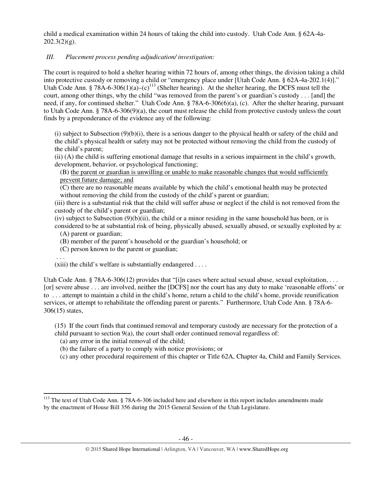child a medical examination within 24 hours of taking the child into custody. Utah Code Ann. § 62A-4a- $202.3(2)(g)$ .

# *III. Placement process pending adjudication/ investigation:*

The court is required to hold a shelter hearing within 72 hours of, among other things, the division taking a child into protective custody or removing a child or "emergency place under [Utah Code Ann. § 62A-4a-202.1(4)]." Utah Code Ann. § 78A-6-306(1)(a)–(c)<sup>113</sup> (Shelter hearing). At the shelter hearing, the DCFS must tell the court, among other things, why the child "was removed from the parent's or guardian's custody . . . [and] the need, if any, for continued shelter." Utah Code Ann. § 78A-6-306(6)(a), (c). After the shelter hearing, pursuant to Utah Code Ann. § 78A-6-306(9)(a), the court must release the child from protective custody unless the court finds by a preponderance of the evidence any of the following:

(i) subject to Subsection (9)(b)(i), there is a serious danger to the physical health or safety of the child and the child's physical health or safety may not be protected without removing the child from the custody of the child's parent;

(ii) (A) the child is suffering emotional damage that results in a serious impairment in the child's growth, development, behavior, or psychological functioning;

(B) the parent or guardian is unwilling or unable to make reasonable changes that would sufficiently prevent future damage; and

(C) there are no reasonable means available by which the child's emotional health may be protected without removing the child from the custody of the child's parent or guardian;

(iii) there is a substantial risk that the child will suffer abuse or neglect if the child is not removed from the custody of the child's parent or guardian;

 $(iv)$  subject to Subsection  $(9)(b)(ii)$ , the child or a minor residing in the same household has been, or is considered to be at substantial risk of being, physically abused, sexually abused, or sexually exploited by a:

- (A) parent or guardian;
- (B) member of the parent's household or the guardian's household; or
- (C) person known to the parent or guardian;

. . .

 $\overline{a}$ 

 $(xiii)$  the child's welfare is substantially endangered ....

Utah Code Ann. § 78A-6-306(12) provides that "[i]n cases where actual sexual abuse, sexual exploitation, ... [or] severe abuse . . . are involved, neither the [DCFS] nor the court has any duty to make 'reasonable efforts' or to . . . attempt to maintain a child in the child's home, return a child to the child's home, provide reunification services, or attempt to rehabilitate the offending parent or parents." Furthermore, Utah Code Ann. § 78A-6- 306(15) states,

(15) If the court finds that continued removal and temporary custody are necessary for the protection of a child pursuant to section 9(a), the court shall order continued removal regardless of:

- (a) any error in the initial removal of the child;
- (b) the failure of a party to comply with notice provisions; or
- (c) any other procedural requirement of this chapter or Title 62A, Chapter 4a, Child and Family Services.

<sup>&</sup>lt;sup>113</sup> The text of Utah Code Ann. § 78A-6-306 included here and elsewhere in this report includes amendments made by the enactment of House Bill 356 during the 2015 General Session of the Utah Legislature.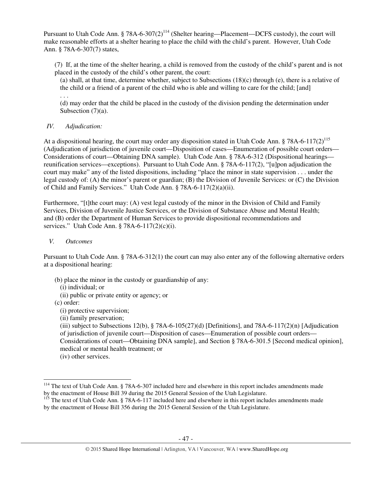Pursuant to Utah Code Ann. § 78A-6-307(2)<sup>114</sup> (Shelter hearing—Placement—DCFS custody), the court will make reasonable efforts at a shelter hearing to place the child with the child's parent. However, Utah Code Ann. § 78A-6-307(7) states,

(7) If, at the time of the shelter hearing, a child is removed from the custody of the child's parent and is not placed in the custody of the child's other parent, the court:

(a) shall, at that time, determine whether, subject to Subsections (18)(c) through (e), there is a relative of the child or a friend of a parent of the child who is able and willing to care for the child; [and] . . .

(d) may order that the child be placed in the custody of the division pending the determination under Subsection  $(7)(a)$ .

*IV. Adjudication:* 

At a dispositional hearing, the court may order any disposition stated in Utah Code Ann. § 78A-6-117(2)<sup>115</sup> (Adjudication of jurisdiction of juvenile court—Disposition of cases—Enumeration of possible court orders— Considerations of court—Obtaining DNA sample). Utah Code Ann. § 78A-6-312 (Dispositional hearings reunification services—exceptions). Pursuant to Utah Code Ann. § 78A-6-117(2), "[u]pon adjudication the court may make" any of the listed dispositions, including "place the minor in state supervision . . . under the legal custody of: (A) the minor's parent or guardian; (B) the Division of Juvenile Services: or (C) the Division of Child and Family Services." Utah Code Ann. § 78A-6-117(2)(a)(ii).

Furthermore, "[t]the court may: (A) vest legal custody of the minor in the Division of Child and Family Services, Division of Juvenile Justice Services, or the Division of Substance Abuse and Mental Health; and (B) order the Department of Human Services to provide dispositional recommendations and services." Utah Code Ann. § 78A-6-117(2)(c)(i).

## *V. Outcomes*

Pursuant to Utah Code Ann. § 78A-6-312(1) the court can may also enter any of the following alternative orders at a dispositional hearing:

- (b) place the minor in the custody or guardianship of any:
	- (i) individual; or
- (ii) public or private entity or agency; or
- (c) order:

l

- (i) protective supervision;
- (ii) family preservation;

(iii) subject to Subsections 12(b),  $\S$  78A-6-105(27)(d) [Definitions], and 78A-6-117(2)(n) [Adjudication of jurisdiction of juvenile court—Disposition of cases—Enumeration of possible court orders— Considerations of court—Obtaining DNA sample], and Section § 78A-6-301.5 [Second medical opinion], medical or mental health treatment; or

(iv) other services.

<sup>&</sup>lt;sup>114</sup> The text of Utah Code Ann. § 78A-6-307 included here and elsewhere in this report includes amendments made by the enactment of House Bill 39 during the 2015 General Session of the Utah Legislature.

<sup>&</sup>lt;sup>115</sup> The text of Utah Code Ann. § 78A-6-117 included here and elsewhere in this report includes amendments made by the enactment of House Bill 356 during the 2015 General Session of the Utah Legislature.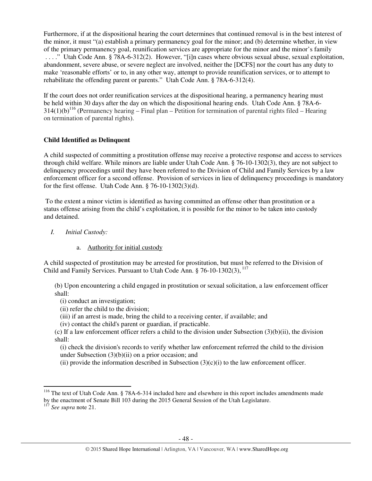Furthermore, if at the dispositional hearing the court determines that continued removal is in the best interest of the minor, it must "(a) establish a primary permanency goal for the minor; and (b) determine whether, in view of the primary permanency goal, reunification services are appropriate for the minor and the minor's family . . . ." Utah Code Ann. § 78A-6-312(2). However, "[i]n cases where obvious sexual abuse, sexual exploitation, abandonment, severe abuse, or severe neglect are involved, neither the [DCFS] nor the court has any duty to make 'reasonable efforts' or to, in any other way, attempt to provide reunification services, or to attempt to rehabilitate the offending parent or parents." Utah Code Ann. § 78A-6-312(4).

If the court does not order reunification services at the dispositional hearing, a permanency hearing must be held within 30 days after the day on which the dispositional hearing ends. Utah Code Ann. § 78A-6-  $314(1)(b)^{116}$  (Permanency hearing – Final plan – Petition for termination of parental rights filed – Hearing on termination of parental rights).

# **Child Identified as Delinquent**

A child suspected of committing a prostitution offense may receive a protective response and access to services through child welfare. While minors are liable under Utah Code Ann. § 76-10-1302(3), they are not subject to delinquency proceedings until they have been referred to the Division of Child and Family Services by a law enforcement officer for a second offense. Provision of services in lieu of delinquency proceedings is mandatory for the first offense. Utah Code Ann. § 76-10-1302(3)(d).

 To the extent a minor victim is identified as having committed an offense other than prostitution or a status offense arising from the child's exploitation, it is possible for the minor to be taken into custody and detained.

- *I. Initial Custody:* 
	- a. Authority for initial custody

A child suspected of prostitution may be arrested for prostitution, but must be referred to the Division of Child and Family Services. Pursuant to Utah Code Ann.  $\S$  76-10-1302(3),  $^{117}$ 

(b) Upon encountering a child engaged in prostitution or sexual solicitation, a law enforcement officer shall:

- (i) conduct an investigation;
- (ii) refer the child to the division;
- (iii) if an arrest is made, bring the child to a receiving center, if available; and
- (iv) contact the child's parent or guardian, if practicable.

(c) If a law enforcement officer refers a child to the division under Subsection (3)(b)(ii), the division shall:

(i) check the division's records to verify whether law enforcement referred the child to the division under Subsection  $(3)(b)(ii)$  on a prior occasion; and

(ii) provide the information described in Subsection  $(3)(c)(i)$  to the law enforcement officer.

<sup>&</sup>lt;sup>116</sup> The text of Utah Code Ann. § 78A-6-314 included here and elsewhere in this report includes amendments made by the enactment of Senate Bill 103 during the 2015 General Session of the Utah Legislature.

<sup>117</sup> *See supra* note 21.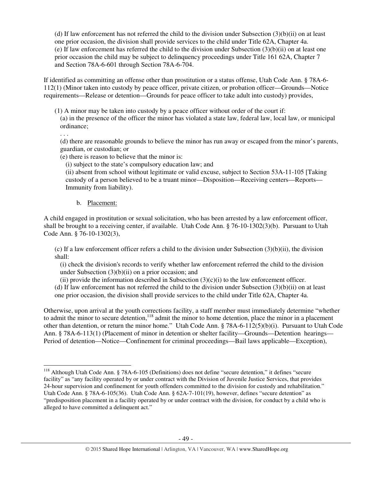(d) If law enforcement has not referred the child to the division under Subsection  $(3)(b)(ii)$  on at least one prior occasion, the division shall provide services to the child under Title 62A, Chapter 4a. (e) If law enforcement has referred the child to the division under Subsection (3)(b)(ii) on at least one prior occasion the child may be subject to delinquency proceedings under Title 161 62A, Chapter 7 and Section 78A-6-601 through Section 78A-6-704.

If identified as committing an offense other than prostitution or a status offense, Utah Code Ann. § 78A-6- 112(1) (Minor taken into custody by peace officer, private citizen, or probation officer—Grounds—Notice requirements—Release or detention—Grounds for peace officer to take adult into custody) provides,

(1) A minor may be taken into custody by a peace officer without order of the court if: (a) in the presence of the officer the minor has violated a state law, federal law, local law, or municipal ordinance; . . .

(d) there are reasonable grounds to believe the minor has run away or escaped from the minor's parents, guardian, or custodian; or

(e) there is reason to believe that the minor is:

(i) subject to the state's compulsory education law; and

(ii) absent from school without legitimate or valid excuse, subject to Section 53A-11-105 [Taking custody of a person believed to be a truant minor—Disposition—Receiving centers—Reports— Immunity from liability).

b. Placement:

 $\overline{a}$ 

A child engaged in prostitution or sexual solicitation, who has been arrested by a law enforcement officer, shall be brought to a receiving center, if available. Utah Code Ann. § 76-10-1302(3)(b). Pursuant to Utah Code Ann. § 76-10-1302(3),

(c) If a law enforcement officer refers a child to the division under Subsection  $(3)(b)(ii)$ , the division shall:

(i) check the division's records to verify whether law enforcement referred the child to the division under Subsection  $(3)(b)(ii)$  on a prior occasion; and

(ii) provide the information described in Subsection  $(3)(c)(i)$  to the law enforcement officer.

(d) If law enforcement has not referred the child to the division under Subsection (3)(b)(ii) on at least one prior occasion, the division shall provide services to the child under Title 62A, Chapter 4a.

Otherwise, upon arrival at the youth corrections facility, a staff member must immediately determine "whether to admit the minor to secure detention,<sup>118</sup> admit the minor to home detention, place the minor in a placement other than detention, or return the minor home." Utah Code Ann. § 78A-6-112(5)(b)(i). Pursuant to Utah Code Ann. § 78A-6-113(1) (Placement of minor in detention or shelter facility—Grounds—Detention hearings— Period of detention—Notice—Confinement for criminal proceedings—Bail laws applicable—Exception),

<sup>&</sup>lt;sup>118</sup> Although Utah Code Ann. § 78A-6-105 (Definitions) does not define "secure detention," it defines "secure facility" as "any facility operated by or under contract with the Division of Juvenile Justice Services, that provides 24-hour supervision and confinement for youth offenders committed to the division for custody and rehabilitation." Utah Code Ann. § 78A-6-105(36). Utah Code Ann. § 62A-7-101(19), however, defines "secure detention" as "predisposition placement in a facility operated by or under contract with the division, for conduct by a child who is alleged to have committed a delinquent act."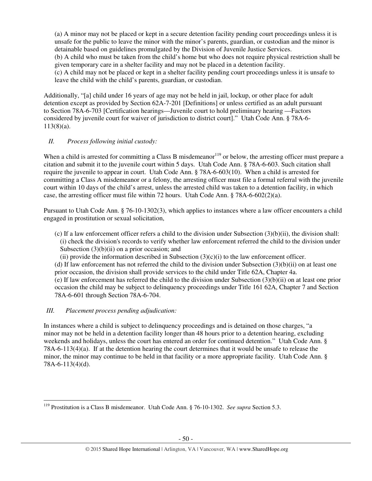(a) A minor may not be placed or kept in a secure detention facility pending court proceedings unless it is unsafe for the public to leave the minor with the minor's parents, guardian, or custodian and the minor is detainable based on guidelines promulgated by the Division of Juvenile Justice Services. (b) A child who must be taken from the child's home but who does not require physical restriction shall be given temporary care in a shelter facility and may not be placed in a detention facility. (c) A child may not be placed or kept in a shelter facility pending court proceedings unless it is unsafe to leave the child with the child's parents, guardian, or custodian.

Additionally, "[a] child under 16 years of age may not be held in jail, lockup, or other place for adult detention except as provided by Section 62A-7-201 [Definitions] or unless certified as an adult pursuant to Section 78A-6-703 [Certification hearings—Juvenile court to hold preliminary hearing —Factors considered by juvenile court for waiver of jurisdiction to district court]." Utah Code Ann. § 78A-6- 113(8)(a).

# *II. Process following initial custody:*

When a child is arrested for committing a Class B misdemeanor<sup>119</sup> or below, the arresting officer must prepare a citation and submit it to the juvenile court within 5 days. Utah Code Ann. § 78A-6-603. Such citation shall require the juvenile to appear in court. Utah Code Ann. § 78A-6-603(10). When a child is arrested for committing a Class A misdemeanor or a felony, the arresting officer must file a formal referral with the juvenile court within 10 days of the child's arrest, unless the arrested child was taken to a detention facility, in which case, the arresting officer must file within 72 hours. Utah Code Ann.  $\S 78A-6-602(2)(a)$ .

Pursuant to Utah Code Ann. § 76-10-1302(3), which applies to instances where a law officer encounters a child engaged in prostitution or sexual solicitation,

- (c) If a law enforcement officer refers a child to the division under Subsection (3)(b)(ii), the division shall: (i) check the division's records to verify whether law enforcement referred the child to the division under Subsection  $(3)(b)(ii)$  on a prior occasion; and
	- (ii) provide the information described in Subsection  $(3)(c)(i)$  to the law enforcement officer.

(d) If law enforcement has not referred the child to the division under Subsection  $(3)(b)(ii)$  on at least one prior occasion, the division shall provide services to the child under Title 62A, Chapter 4a.

(e) If law enforcement has referred the child to the division under Subsection (3)(b)(ii) on at least one prior occasion the child may be subject to delinquency proceedings under Title 161 62A, Chapter 7 and Section 78A-6-601 through Section 78A-6-704.

# *III. Placement process pending adjudication:*

l

In instances where a child is subject to delinquency proceedings and is detained on those charges, "a minor may not be held in a detention facility longer than 48 hours prior to a detention hearing, excluding weekends and holidays, unless the court has entered an order for continued detention." Utah Code Ann. § 78A-6-113(4)(a). If at the detention hearing the court determines that it would be unsafe to release the minor, the minor may continue to be held in that facility or a more appropriate facility. Utah Code Ann. § 78A-6-113(4)(d).

<sup>119</sup> Prostitution is a Class B misdemeanor. Utah Code Ann. § 76-10-1302. *See supra* Section 5.3.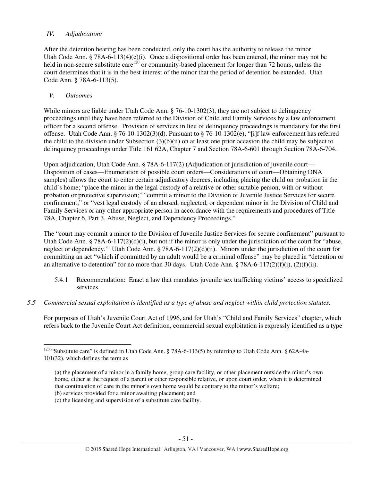## *IV. Adjudication:*

After the detention hearing has been conducted, only the court has the authority to release the minor. Utah Code Ann. § 78A-6-113(4)(e)(i). Once a dispositional order has been entered, the minor may not be held in non-secure substitute care<sup>120</sup> or community-based placement for longer than 72 hours, unless the court determines that it is in the best interest of the minor that the period of detention be extended. Utah Code Ann. § 78A-6-113(5).

## *V. Outcomes*

l

While minors are liable under Utah Code Ann. § 76-10-1302(3), they are not subject to delinquency proceedings until they have been referred to the Division of Child and Family Services by a law enforcement officer for a second offense. Provision of services in lieu of delinquency proceedings is mandatory for the first offense. Utah Code Ann. § 76-10-1302(3)(d). Pursuant to § 76-10-1302(e), "[i]f law enforcement has referred the child to the division under Subsection (3)(b)(ii) on at least one prior occasion the child may be subject to delinquency proceedings under Title 161 62A, Chapter 7 and Section 78A-6-601 through Section 78A-6-704.

Upon adjudication, Utah Code Ann. § 78A-6-117(2) (Adjudication of jurisdiction of juvenile court— Disposition of cases—Enumeration of possible court orders—Considerations of court—Obtaining DNA samples) allows the court to enter certain adjudicatory decrees, including placing the child on probation in the child's home; "place the minor in the legal custody of a relative or other suitable person, with or without probation or protective supervision;" "commit a minor to the Division of Juvenile Justice Services for secure confinement;" or "vest legal custody of an abused, neglected, or dependent minor in the Division of Child and Family Services or any other appropriate person in accordance with the requirements and procedures of Title 78A, Chapter 6, Part 3, Abuse, Neglect, and Dependency Proceedings."

The "court may commit a minor to the Division of Juvenile Justice Services for secure confinement" pursuant to Utah Code Ann. § 78A-6-117(2)(d)(i), but not if the minor is only under the jurisdiction of the court for "abuse, neglect or dependency." Utah Code Ann. § 78A-6-117(2)(d)(ii). Minors under the jurisdiction of the court for committing an act "which if committed by an adult would be a criminal offense" may be placed in "detention or an alternative to detention" for no more than 30 days. Utah Code Ann. § 78A-6-117(2)(f)(i), (2)(f)(ii).

- 5.4.1 Recommendation: Enact a law that mandates juvenile sex trafficking victims' access to specialized services.
- *5.5 Commercial sexual exploitation is identified as a type of abuse and neglect within child protection statutes.*

For purposes of Utah's Juvenile Court Act of 1996, and for Utah's "Child and Family Services" chapter, which refers back to the Juvenile Court Act definition, commercial sexual exploitation is expressly identified as a type

<sup>&</sup>lt;sup>120</sup> "Substitute care" is defined in Utah Code Ann. § 78A-6-113(5) by referring to Utah Code Ann. § 62A-4a-101(32), which defines the term as

<sup>(</sup>a) the placement of a minor in a family home, group care facility, or other placement outside the minor's own home, either at the request of a parent or other responsible relative, or upon court order, when it is determined that continuation of care in the minor's own home would be contrary to the minor's welfare;

<sup>(</sup>b) services provided for a minor awaiting placement; and

<sup>(</sup>c) the licensing and supervision of a substitute care facility.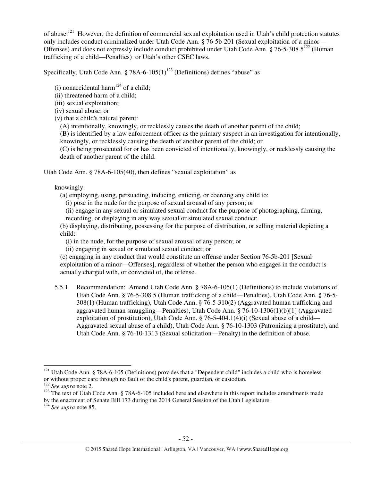of abuse.<sup>121</sup> However, the definition of commercial sexual exploitation used in Utah's child protection statutes only includes conduct criminalized under Utah Code Ann. § 76-5b-201 (Sexual exploitation of a minor— Offenses) and does not expressly include conduct prohibited under Utah Code Ann. § 76-5-308.5<sup>122</sup> (Human trafficking of a child—Penalties) or Utah's other CSEC laws.

Specifically, Utah Code Ann. § 78A-6-105(1)<sup>123</sup> (Definitions) defines "abuse" as

(i) nonaccidental harm<sup>124</sup> of a child;

- (ii) threatened harm of a child;
- (iii) sexual exploitation;
- (iv) sexual abuse; or
- (v) that a child's natural parent:

(A) intentionally, knowingly, or recklessly causes the death of another parent of the child;

(B) is identified by a law enforcement officer as the primary suspect in an investigation for intentionally, knowingly, or recklessly causing the death of another parent of the child; or

(C) is being prosecuted for or has been convicted of intentionally, knowingly, or recklessly causing the death of another parent of the child.

Utah Code Ann. § 78A-6-105(40), then defines "sexual exploitation" as

knowingly:

(a) employing, using, persuading, inducing, enticing, or coercing any child to:

(i) pose in the nude for the purpose of sexual arousal of any person; or

(ii) engage in any sexual or simulated sexual conduct for the purpose of photographing, filming,

recording, or displaying in any way sexual or simulated sexual conduct;

(b) displaying, distributing, possessing for the purpose of distribution, or selling material depicting a child:

(i) in the nude, for the purpose of sexual arousal of any person; or

(ii) engaging in sexual or simulated sexual conduct; or

(c) engaging in any conduct that would constitute an offense under Section 76-5b-201 [Sexual exploitation of a minor—Offenses], regardless of whether the person who engages in the conduct is actually charged with, or convicted of, the offense.

5.5.1 Recommendation: Amend Utah Code Ann. § 78A-6-105(1) (Definitions) to include violations of Utah Code Ann. § 76-5-308.5 (Human trafficking of a child—Penalties), Utah Code Ann. § 76-5- 308(1) (Human trafficking), Utah Code Ann. § 76-5-310(2) (Aggravated human trafficking and aggravated human smuggling—Penalties), Utah Code Ann. § 76-10-1306(1)(b)[1] (Aggravated exploitation of prostitution), Utah Code Ann.  $\S$  76-5-404.1(4)(i) (Sexual abuse of a child— Aggravated sexual abuse of a child), Utah Code Ann. § 76-10-1303 (Patronizing a prostitute), and Utah Code Ann. § 76-10-1313 (Sexual solicitation—Penalty) in the definition of abuse.

<sup>&</sup>lt;sup>121</sup> Utah Code Ann. § 78A-6-105 (Definitions) provides that a "Dependent child" includes a child who is homeless or without proper care through no fault of the child's parent, guardian, or custodian.

<sup>122</sup> *See supra* note 2.

<sup>&</sup>lt;sup>123</sup> The text of Utah Code Ann. § 78A-6-105 included here and elsewhere in this report includes amendments made

by the enactment of Senate Bill 173 during the 2014 General Session of the Utah Legislature.

<sup>124</sup> *See supra* note 85.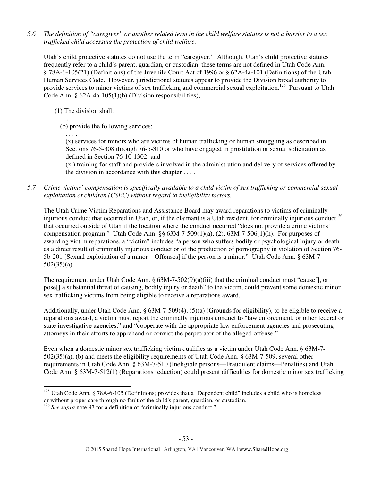*5.6 The definition of "caregiver" or another related term in the child welfare statutes is not a barrier to a sex trafficked child accessing the protection of child welfare.* 

Utah's child protective statutes do not use the term "caregiver." Although, Utah's child protective statutes frequently refer to a child's parent, guardian, or custodian, these terms are not defined in Utah Code Ann. § 78A-6-105(21) (Definitions) of the Juvenile Court Act of 1996 or § 62A-4a-101 (Definitions) of the Utah Human Services Code. However, jurisdictional statutes appear to provide the Division broad authority to provide services to minor victims of sex trafficking and commercial sexual exploitation.<sup>125</sup> Pursuant to Utah Code Ann. § 62A-4a-105(1)(b) (Division responsibilities),

(1) The division shall:

. . . .

l

(b) provide the following services:

. . . . (x) services for minors who are victims of human trafficking or human smuggling as described in Sections 76-5-308 through 76-5-310 or who have engaged in prostitution or sexual solicitation as defined in Section 76-10-1302; and

(xi) training for staff and providers involved in the administration and delivery of services offered by the division in accordance with this chapter . . . .

*5.7 Crime victims' compensation is specifically available to a child victim of sex trafficking or commercial sexual exploitation of children (CSEC) without regard to ineligibility factors.* 

The Utah Crime Victim Reparations and Assistance Board may award reparations to victims of criminally injurious conduct that occurred in Utah, or, if the claimant is a Utah resident, for criminally injurious conduct<sup>126</sup> that occurred outside of Utah if the location where the conduct occurred "does not provide a crime victims' compensation program." Utah Code Ann. §§ 63M-7-509(1)(a), (2), 63M-7-506(1)(h). For purposes of awarding victim reparations, a "victim" includes "a person who suffers bodily or psychological injury or death as a direct result of criminally injurious conduct or of the production of pornography in violation of Section 76- 5b-201 [Sexual exploitation of a minor—Offenses] if the person is a minor." Utah Code Ann. § 63M-7- 502(35)(a).

The requirement under Utah Code Ann. § 63M-7-502(9)(a)(iii) that the criminal conduct must "cause[], or pose[] a substantial threat of causing, bodily injury or death" to the victim, could prevent some domestic minor sex trafficking victims from being eligible to receive a reparations award.

Additionally, under Utah Code Ann. § 63M-7-509(4), (5)(a) (Grounds for eligibility), to be eligible to receive a reparations award, a victim must report the criminally injurious conduct to "law enforcement, or other federal or state investigative agencies," and "cooperate with the appropriate law enforcement agencies and prosecuting attorneys in their efforts to apprehend or convict the perpetrator of the alleged offense."

Even when a domestic minor sex trafficking victim qualifies as a victim under Utah Code Ann. § 63M-7- 502(35)(a), (b) and meets the eligibility requirements of Utah Code Ann. § 63M-7-509, several other requirements in Utah Code Ann. § 63M-7-510 (Ineligible persons—Fraudulent claims—Penalties) and Utah Code Ann. § 63M-7-512(1) (Reparations reduction) could present difficulties for domestic minor sex trafficking

<sup>&</sup>lt;sup>125</sup> Utah Code Ann. § 78A-6-105 (Definitions) provides that a "Dependent child" includes a child who is homeless

or without proper care through no fault of the child's parent, guardian, or custodian.

<sup>&</sup>lt;sup>126</sup> See supra note 97 for a definition of "criminally injurious conduct."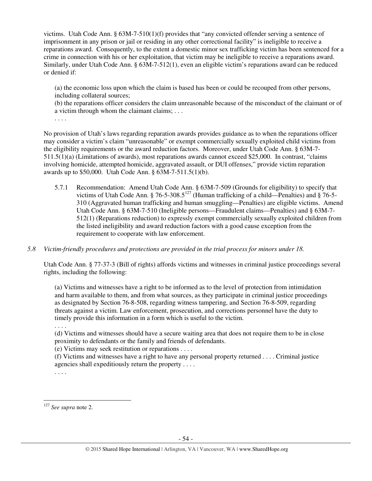victims. Utah Code Ann. § 63M-7-510(1)(f) provides that "any convicted offender serving a sentence of imprisonment in any prison or jail or residing in any other correctional facility" is ineligible to receive a reparations award. Consequently, to the extent a domestic minor sex trafficking victim has been sentenced for a crime in connection with his or her exploitation, that victim may be ineligible to receive a reparations award. Similarly, under Utah Code Ann. § 63M-7-512(1), even an eligible victim's reparations award can be reduced or denied if:

(a) the economic loss upon which the claim is based has been or could be recouped from other persons, including collateral sources;

(b) the reparations officer considers the claim unreasonable because of the misconduct of the claimant or of a victim through whom the claimant claims; . . .

. . . .

No provision of Utah's laws regarding reparation awards provides guidance as to when the reparations officer may consider a victim's claim "unreasonable" or exempt commercially sexually exploited child victims from the eligibility requirements or the award reduction factors. Moreover, under Utah Code Ann. § 63M-7- 511.5(1)(a) (Limitations of awards), most reparations awards cannot exceed \$25,000. In contrast, "claims involving homicide, attempted homicide, aggravated assault, or DUI offenses," provide victim reparation awards up to \$50,000. Utah Code Ann. § 63M-7-511.5(1)(b).

- 5.7.1 Recommendation: Amend Utah Code Ann. § 63M-7-509 (Grounds for eligibility) to specify that victims of Utah Code Ann.  $\S$  76-5-308.5<sup>127</sup> (Human trafficking of a child—Penalties) and  $\S$  76-5-310 (Aggravated human trafficking and human smuggling—Penalties) are eligible victims. Amend Utah Code Ann. § 63M-7-510 (Ineligible persons—Fraudulent claims—Penalties) and § 63M-7- 512(1) (Reparations reduction) to expressly exempt commercially sexually exploited children from the listed ineligibility and award reduction factors with a good cause exception from the requirement to cooperate with law enforcement.
- *5.8 Victim-friendly procedures and protections are provided in the trial process for minors under 18.*

Utah Code Ann. § 77-37-3 (Bill of rights) affords victims and witnesses in criminal justice proceedings several rights, including the following:

(a) Victims and witnesses have a right to be informed as to the level of protection from intimidation and harm available to them, and from what sources, as they participate in criminal justice proceedings as designated by Section 76-8-508, regarding witness tampering, and Section 76-8-509, regarding threats against a victim. Law enforcement, prosecution, and corrections personnel have the duty to timely provide this information in a form which is useful to the victim.

. . . .

(d) Victims and witnesses should have a secure waiting area that does not require them to be in close proximity to defendants or the family and friends of defendants.

(e) Victims may seek restitution or reparations . . . .

(f) Victims and witnesses have a right to have any personal property returned . . . . Criminal justice agencies shall expeditiously return the property . . . .

. . . .

<sup>127</sup> *See supra* note 2.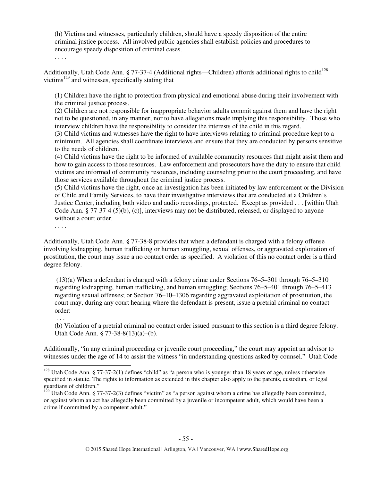(h) Victims and witnesses, particularly children, should have a speedy disposition of the entire criminal justice process. All involved public agencies shall establish policies and procedures to encourage speedy disposition of criminal cases.

. . . .

Additionally, Utah Code Ann. § 77-37-4 (Additional rights—Children) affords additional rights to child<sup>128</sup> victims<sup>129</sup> and witnesses, specifically stating that

(1) Children have the right to protection from physical and emotional abuse during their involvement with the criminal justice process.

(2) Children are not responsible for inappropriate behavior adults commit against them and have the right not to be questioned, in any manner, nor to have allegations made implying this responsibility. Those who interview children have the responsibility to consider the interests of the child in this regard.

(3) Child victims and witnesses have the right to have interviews relating to criminal procedure kept to a minimum. All agencies shall coordinate interviews and ensure that they are conducted by persons sensitive to the needs of children.

(4) Child victims have the right to be informed of available community resources that might assist them and how to gain access to those resources. Law enforcement and prosecutors have the duty to ensure that child victims are informed of community resources, including counseling prior to the court proceeding, and have those services available throughout the criminal justice process.

(5) Child victims have the right, once an investigation has been initiated by law enforcement or the Division of Child and Family Services, to have their investigative interviews that are conducted at a Children's Justice Center, including both video and audio recordings, protected. Except as provided . . . [within Utah Code Ann. § 77-37-4 (5)(b), (c)], interviews may not be distributed, released, or displayed to anyone without a court order.

. . . .

. . .

Additionally, Utah Code Ann. § 77-38-8 provides that when a defendant is charged with a felony offense involving kidnapping, human trafficking or human smuggling, sexual offenses, or aggravated exploitation of prostitution, the court may issue a no contact order as specified. A violation of this no contact order is a third degree felony.

 (13)(a) When a defendant is charged with a felony crime under Sections 76–5–301 through 76–5–310 regarding kidnapping, human trafficking, and human smuggling; Sections 76–5–401 through 76–5–413 regarding sexual offenses; or Section 76–10–1306 regarding aggravated exploitation of prostitution, the court may, during any court hearing where the defendant is present, issue a pretrial criminal no contact order:

(b) Violation of a pretrial criminal no contact order issued pursuant to this section is a third degree felony. Utah Code Ann. § 77-38-8(13)(a)–(b).

Additionally, "in any criminal proceeding or juvenile court proceeding," the court may appoint an advisor to witnesses under the age of 14 to assist the witness "in understanding questions asked by counsel." Utah Code l

<sup>&</sup>lt;sup>128</sup> Utah Code Ann. § 77-37-2(1) defines "child" as "a person who is younger than 18 years of age, unless otherwise specified in statute. The rights to information as extended in this chapter also apply to the parents, custodian, or legal guardians of children."

 $^{129}$  Utah Code Ann. § 77-37-2(3) defines "victim" as "a person against whom a crime has allegedly been committed, or against whom an act has allegedly been committed by a juvenile or incompetent adult, which would have been a crime if committed by a competent adult."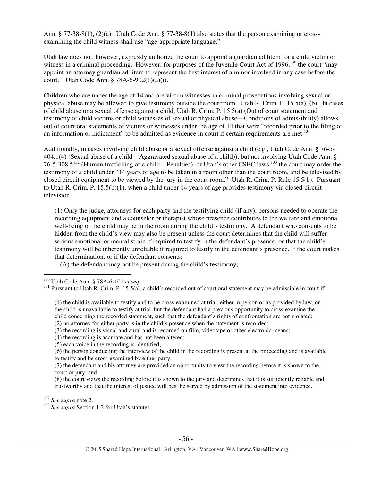Ann. § 77-38-8(1), (2)(a). Utah Code Ann. § 77-38-8(1) also states that the person examining or crossexamining the child witness shall use "age-appropriate language."

Utah law does not, however, expressly authorize the court to appoint a guardian ad litem for a child victim or witness in a criminal proceeding. However, for purposes of the Juvenile Court Act of 1996,<sup>130</sup> the court "may appoint an attorney guardian ad litem to represent the best interest of a minor involved in any case before the court." Utah Code Ann. § 78A-6-902(1)(a)(i).

Children who are under the age of 14 and are victim witnesses in criminal prosecutions involving sexual or physical abuse may be allowed to give testimony outside the courtroom. Utah R. Crim. P. 15.5(a), (b). In cases of child abuse or a sexual offense against a child, Utah R. Crim. P. 15.5(a) (Out of court statement and testimony of child victims or child witnesses of sexual or physical abuse—Conditions of admissibility) allows out of court oral statements of victims or witnesses under the age of 14 that were "recorded prior to the filing of an information or indictment" to be admitted as evidence in court if certain requirements are met.<sup>131</sup>

Additionally, in cases involving child abuse or a sexual offense against a child (e.g., Utah Code Ann. § 76-5- 404.1(4) (Sexual abuse of a child—Aggravated sexual abuse of a child)), but not involving Utah Code Ann. § 76-5-308.5<sup>132</sup> (Human trafficking of a child—Penalties) or Utah's other CSEC laws,<sup>133</sup> the court may order the testimony of a child under "14 years of age to be taken in a room other than the court room, and be televised by closed circuit equipment to be viewed by the jury in the court room." Utah R. Crim. P. Rule 15.5(b). Pursuant to Utah R. Crim. P. 15.5(b)(1), when a child under 14 years of age provides testimony via closed-circuit television,

(1) Only the judge, attorneys for each party and the testifying child (if any), persons needed to operate the recording equipment and a counselor or therapist whose presence contributes to the welfare and emotional well-being of the child may be in the room during the child's testimony. A defendant who consents to be hidden from the child's view may also be present unless the court determines that the child will suffer serious emotional or mental strain if required to testify in the defendant's presence, or that the child's testimony will be inherently unreliable if required to testify in the defendant's presence. If the court makes that determination, or if the defendant consents:

(A) the defendant may not be present during the child's testimony;

 $\overline{a}$ 

<sup>132</sup> *See supra* note 2.

<sup>130</sup> Utah Code Ann. § 78A-6-101 *et seq*.

<sup>&</sup>lt;sup>131</sup> Pursuant to Utah R. Crim. P. 15.5(a), a child's recorded out of court oral statement may be admissible in court if

<sup>(1)</sup> the child is available to testify and to be cross-examined at trial, either in person or as provided by law, or the child is unavailable to testify at trial, but the defendant had a previous opportunity to cross-examine the child concerning the recorded statement, such that the defendant's rights of confrontation are not violated; (2) no attorney for either party is in the child's presence when the statement is recorded;

<sup>(3)</sup> the recording is visual and aural and is recorded on film, videotape or other electronic means;

<sup>(4)</sup> the recording is accurate and has not been altered;

<sup>(5)</sup> each voice in the recording is identified;

<sup>(6)</sup> the person conducting the interview of the child in the recording is present at the proceeding and is available to testify and be cross-examined by either party;

<sup>(7)</sup> the defendant and his attorney are provided an opportunity to view the recording before it is shown to the court or jury; and

<sup>(8)</sup> the court views the recording before it is shown to the jury and determines that it is sufficiently reliable and trustworthy and that the interest of justice will best be served by admission of the statement into evidence.

<sup>&</sup>lt;sup>133</sup> See supra Section 1.2 for Utah's statutes.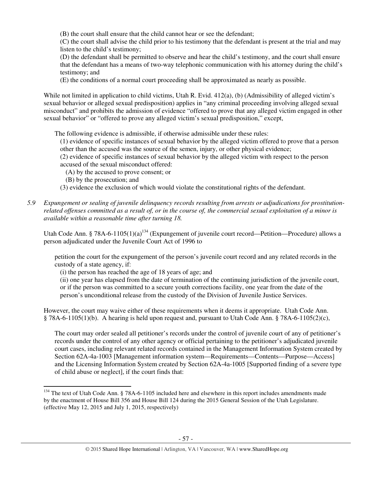(B) the court shall ensure that the child cannot hear or see the defendant;

(C) the court shall advise the child prior to his testimony that the defendant is present at the trial and may listen to the child's testimony;

(D) the defendant shall be permitted to observe and hear the child's testimony, and the court shall ensure that the defendant has a means of two-way telephonic communication with his attorney during the child's testimony; and

(E) the conditions of a normal court proceeding shall be approximated as nearly as possible.

While not limited in application to child victims, Utah R. Evid. 412(a), (b) (Admissibility of alleged victim's sexual behavior or alleged sexual predisposition) applies in "any criminal proceeding involving alleged sexual misconduct" and prohibits the admission of evidence "offered to prove that any alleged victim engaged in other sexual behavior" or "offered to prove any alleged victim's sexual predisposition," except,

The following evidence is admissible, if otherwise admissible under these rules:

(1) evidence of specific instances of sexual behavior by the alleged victim offered to prove that a person other than the accused was the source of the semen, injury, or other physical evidence;

(2) evidence of specific instances of sexual behavior by the alleged victim with respect to the person accused of the sexual misconduct offered:

(A) by the accused to prove consent; or

(B) by the prosecution; and

 $\overline{a}$ 

(3) evidence the exclusion of which would violate the constitutional rights of the defendant.

*5.9 Expungement or sealing of juvenile delinquency records resulting from arrests or adjudications for prostitutionrelated offenses committed as a result of, or in the course of, the commercial sexual exploitation of a minor is available within a reasonable time after turning 18.* 

Utah Code Ann. § 78A-6-1105(1)(a)<sup>134</sup> (Expungement of juvenile court record—Petition—Procedure) allows a person adjudicated under the Juvenile Court Act of 1996 to

petition the court for the expungement of the person's juvenile court record and any related records in the custody of a state agency, if:

(i) the person has reached the age of 18 years of age; and

(ii) one year has elapsed from the date of termination of the continuing jurisdiction of the juvenile court, or if the person was committed to a secure youth corrections facility, one year from the date of the person's unconditional release from the custody of the Division of Juvenile Justice Services.

However, the court may waive either of these requirements when it deems it appropriate. Utah Code Ann. § 78A-6-1105(1)(b). A hearing is held upon request and, pursuant to Utah Code Ann. § 78A-6-1105(2)(c),

The court may order sealed all petitioner's records under the control of juvenile court of any of petitioner's records under the control of any other agency or official pertaining to the petitioner's adjudicated juvenile court cases, including relevant related records contained in the Management Information System created by Section 62A-4a-1003 [Management information system—Requirements—Contents—Purpose—Access] and the Licensing Information System created by Section 62A-4a-1005 [Supported finding of a severe type of child abuse or neglect], if the court finds that:

<sup>&</sup>lt;sup>134</sup> The text of Utah Code Ann. § 78A-6-1105 included here and elsewhere in this report includes amendments made by the enactment of House Bill 356 and House Bill 124 during the 2015 General Session of the Utah Legislature. (effective May 12, 2015 and July 1, 2015, respectively)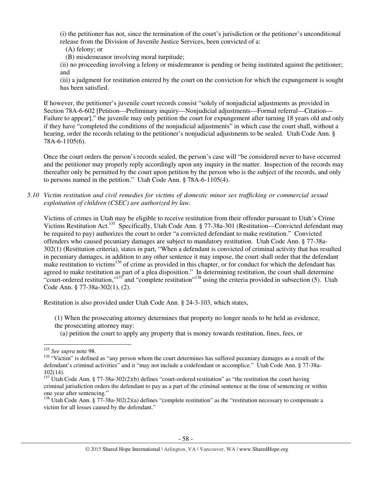(i) the petitioner has not, since the termination of the court's jurisdiction or the petitioner's unconditional release from the Division of Juvenile Justice Services, been convicted of a:

- (A) felony; or
- (B) misdemeanor involving moral turpitude;

(ii) no proceeding involving a felony or misdemeanor is pending or being instituted against the petitioner; and

(iii) a judgment for restitution entered by the court on the conviction for which the expungement is sought has been satisfied.

If however, the petitioner's juvenile court records consist "solely of nonjudicial adjustments as provided in Section 78A-6-602 [Petition—Preliminary inquiry—Nonjudicial adjustments—Formal referral—Citation— Failure to appear]," the juvenile may only petition the court for expungement after turning 18 years old and only if they have "completed the conditions of the nonjudicial adjustments" in which case the court shall, without a hearing, order the records relating to the petitioner's nonjudicial adjustments to be sealed. Utah Code Ann. § 78A-6-1105(6).

Once the court orders the person's records sealed, the person's case will "be considered never to have occurred and the petitioner may properly reply accordingly upon any inquiry in the matter. Inspection of the records may thereafter only be permitted by the court upon petition by the person who is the subject of the records, and only to persons named in the petition." Utah Code Ann. § 78A-6-1105(4).

*5.10 Victim restitution and civil remedies for victims of domestic minor sex trafficking or commercial sexual exploitation of children (CSEC) are authorized by law.* 

Victims of crimes in Utah may be eligible to receive restitution from their offender pursuant to Utah's Crime Victims Restitution Act.<sup>135</sup> Specifically, Utah Code Ann. § 77-38a-301 (Restitution—Convicted defendant may be required to pay) authorizes the court to order "a convicted defendant to make restitution." Convicted offenders who caused pecuniary damages are subject to mandatory restitution. Utah Code Ann. § 77-38a-302(1) (Restitution criteria), states in part, "When a defendant is convicted of criminal activity that has resulted in pecuniary damages, in addition to any other sentence it may impose, the court shall order that the defendant make restitution to victims<sup>136</sup> of crime as provided in this chapter, or for conduct for which the defendant has agreed to make restitution as part of a plea disposition." In determining restitution, the court shall determine "court-ordered restitution,"<sup>137</sup> and "complete restitution"<sup>138</sup> using the criteria provided in subsection (5). Utah Code Ann. § 77-38a-302(1), (2).

Restitution is also provided under Utah Code Ann. § 24-3-103, which states,

- (1) When the prosecuting attorney determines that property no longer needs to be held as evidence, the prosecuting attorney may:
	- (a) petition the court to apply any property that is money towards restitution, fines, fees, or

<sup>135</sup> *See supra* note 98.

<sup>&</sup>lt;sup>136</sup> "Victim" is defined as "any person whom the court determines has suffered pecuniary damages as a result of the defendant's criminal activities" and it "may not include a codefendant or accomplice." Utah Code Ann. § 77-38a-102(14).

<sup>&</sup>lt;sup>137</sup> Utah Code Ann. § 77-38a-302(2)(b) defines "court-ordered restitution" as "the restitution the court having criminal jurisdiction orders the defendant to pay as a part of the criminal sentence at the time of sentencing or within one year after sentencing."

 $138$  Utah Code Ann. § 77-38a-302(2)(a) defines "complete restitution" as the "restitution necessary to compensate a victim for all losses caused by the defendant."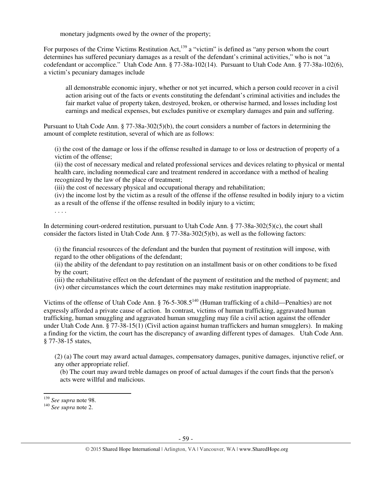monetary judgments owed by the owner of the property;

For purposes of the Crime Victims Restitution Act,  $^{139}$  a "victim" is defined as "any person whom the court determines has suffered pecuniary damages as a result of the defendant's criminal activities," who is not "a codefendant or accomplice." Utah Code Ann. § 77-38a-102(14). Pursuant to Utah Code Ann. § 77-38a-102(6), a victim's pecuniary damages include

all demonstrable economic injury, whether or not yet incurred, which a person could recover in a civil action arising out of the facts or events constituting the defendant's criminal activities and includes the fair market value of property taken, destroyed, broken, or otherwise harmed, and losses including lost earnings and medical expenses, but excludes punitive or exemplary damages and pain and suffering.

Pursuant to Utah Code Ann. § 77-38a-302(5)(b), the court considers a number of factors in determining the amount of complete restitution, several of which are as follows:

(i) the cost of the damage or loss if the offense resulted in damage to or loss or destruction of property of a victim of the offense;

(ii) the cost of necessary medical and related professional services and devices relating to physical or mental health care, including nonmedical care and treatment rendered in accordance with a method of healing recognized by the law of the place of treatment;

(iii) the cost of necessary physical and occupational therapy and rehabilitation;

(iv) the income lost by the victim as a result of the offense if the offense resulted in bodily injury to a victim as a result of the offense if the offense resulted in bodily injury to a victim;

. . . .

In determining court-ordered restitution, pursuant to Utah Code Ann. § 77-38a-302(5)(c), the court shall consider the factors listed in Utah Code Ann. § 77-38a-302(5)(b), as well as the following factors:

(i) the financial resources of the defendant and the burden that payment of restitution will impose, with regard to the other obligations of the defendant;

(ii) the ability of the defendant to pay restitution on an installment basis or on other conditions to be fixed by the court;

(iii) the rehabilitative effect on the defendant of the payment of restitution and the method of payment; and

(iv) other circumstances which the court determines may make restitution inappropriate.

Victims of the offense of Utah Code Ann.  $\S$  76-5-308.5<sup>140</sup> (Human trafficking of a child—Penalties) are not expressly afforded a private cause of action. In contrast, victims of human trafficking, aggravated human trafficking, human smuggling and aggravated human smuggling may file a civil action against the offender under Utah Code Ann. § 77-38-15(1) (Civil action against human traffickers and human smugglers). In making a finding for the victim, the court has the discrepancy of awarding different types of damages. Utah Code Ann. § 77-38-15 states,

(2) (a) The court may award actual damages, compensatory damages, punitive damages, injunctive relief, or any other appropriate relief.

(b) The court may award treble damages on proof of actual damages if the court finds that the person's acts were willful and malicious.

<sup>139</sup> *See supra* note 98.

<sup>140</sup> *See supra* note 2.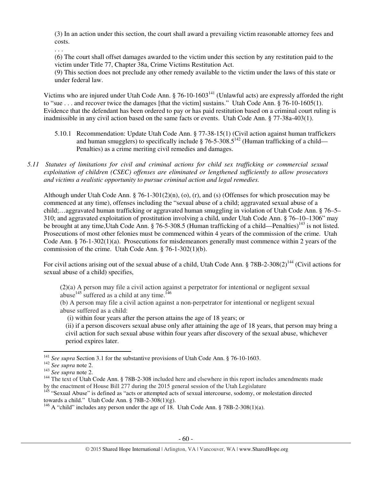(3) In an action under this section, the court shall award a prevailing victim reasonable attorney fees and costs.

. . .

(6) The court shall offset damages awarded to the victim under this section by any restitution paid to the victim under Title 77, Chapter 38a, Crime Victims Restitution Act.

(9) This section does not preclude any other remedy available to the victim under the laws of this state or under federal law.

Victims who are injured under Utah Code Ann. § 76-10-1603<sup>141</sup> (Unlawful acts) are expressly afforded the right to "sue . . . and recover twice the damages [that the victim] sustains." Utah Code Ann. § 76-10-1605(1). Evidence that the defendant has been ordered to pay or has paid restitution based on a criminal court ruling is inadmissible in any civil action based on the same facts or events. Utah Code Ann. § 77-38a-403(1).

- 5.10.1 Recommendation: Update Utah Code Ann. § 77-38-15(1) (Civil action against human traffickers and human smugglers) to specifically include  $\S$  76-5-308.5<sup>142</sup> (Human trafficking of a child— Penalties) as a crime meriting civil remedies and damages.
- *5.11 Statutes of limitations for civil and criminal actions for child sex trafficking or commercial sexual exploitation of children (CSEC) offenses are eliminated or lengthened sufficiently to allow prosecutors and victims a realistic opportunity to pursue criminal action and legal remedies.*

Although under Utah Code Ann. § 76-1-301(2)(n), (o), (r), and (s) (Offenses for which prosecution may be commenced at any time), offenses including the "sexual abuse of a child; aggravated sexual abuse of a child;…aggravated human trafficking or aggravated human smuggling in violation of Utah Code Ann. § 76–5– 310; and aggravated exploitation of prostitution involving a child, under Utah Code Ann. § 76–10–1306" may be brought at any time, Utah Code Ann. § 76-5-308.5 (Human trafficking of a child—Penalties)<sup>143</sup> is not listed. Prosecutions of most other felonies must be commenced within 4 years of the commission of the crime. Utah Code Ann. § 76-1-302(1)(a). Prosecutions for misdemeanors generally must commence within 2 years of the commission of the crime. Utah Code Ann. § 76-1-302(1)(b).

For civil actions arising out of the sexual abuse of a child, Utah Code Ann. § 78B-2-308(2)<sup>144</sup> (Civil actions for sexual abuse of a child) specifies,

(2)(a) A person may file a civil action against a perpetrator for intentional or negligent sexual abuse<sup>145</sup> suffered as a child at any time.<sup>146</sup>

(b) A person may file a civil action against a non-perpetrator for intentional or negligent sexual abuse suffered as a child:

(i) within four years after the person attains the age of 18 years; or

(ii) if a person discovers sexual abuse only after attaining the age of 18 years, that person may bring a civil action for such sexual abuse within four years after discovery of the sexual abuse, whichever period expires later.

<sup>&</sup>lt;sup>141</sup> See supra Section 3.1 for the substantive provisions of Utah Code Ann. § 76-10-1603.

<sup>142</sup> *See supra* note 2.

<sup>143</sup> *See supra* note 2.

<sup>&</sup>lt;sup>144</sup> The text of Utah Code Ann. § 78B-2-308 included here and elsewhere in this report includes amendments made by the enactment of House Bill 277 during the 2015 general session of the Utah Legislature

<sup>&</sup>lt;sup>145</sup> "Sexual Abuse" is defined as "acts or attempted acts of sexual intercourse, sodomy, or molestation directed towards a child." Utah Code Ann. § 78B-2-308(1)(g).

<sup>&</sup>lt;sup>146</sup> A "child" includes any person under the age of 18. Utah Code Ann. § 78B-2-308(1)(a).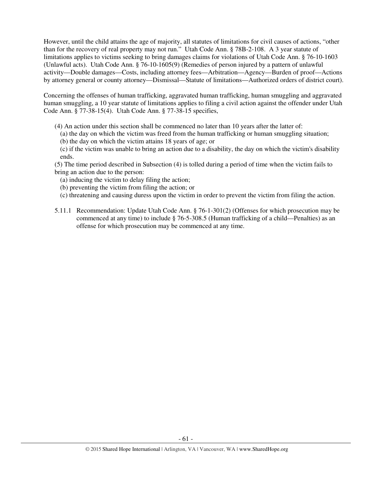However, until the child attains the age of majority, all statutes of limitations for civil causes of actions, "other than for the recovery of real property may not run." Utah Code Ann. § 78B-2-108. A 3 year statute of limitations applies to victims seeking to bring damages claims for violations of Utah Code Ann. § 76-10-1603 (Unlawful acts). Utah Code Ann. § 76-10-1605(9) (Remedies of person injured by a pattern of unlawful activity—Double damages—Costs, including attorney fees—Arbitration—Agency—Burden of proof—Actions by attorney general or county attorney—Dismissal—Statute of limitations—Authorized orders of district court).

Concerning the offenses of human trafficking, aggravated human trafficking, human smuggling and aggravated human smuggling, a 10 year statute of limitations applies to filing a civil action against the offender under Utah Code Ann. § 77-38-15(4). Utah Code Ann. § 77-38-15 specifies,

- (4) An action under this section shall be commenced no later than 10 years after the latter of:
	- (a) the day on which the victim was freed from the human trafficking or human smuggling situation;
	- (b) the day on which the victim attains 18 years of age; or
	- (c) if the victim was unable to bring an action due to a disability, the day on which the victim's disability ends.

(5) The time period described in Subsection (4) is tolled during a period of time when the victim fails to bring an action due to the person:

- (a) inducing the victim to delay filing the action;
- (b) preventing the victim from filing the action; or
- (c) threatening and causing duress upon the victim in order to prevent the victim from filing the action.
- 5.11.1 Recommendation: Update Utah Code Ann. § 76-1-301(2) (Offenses for which prosecution may be commenced at any time) to include § 76-5-308.5 (Human trafficking of a child—Penalties) as an offense for which prosecution may be commenced at any time.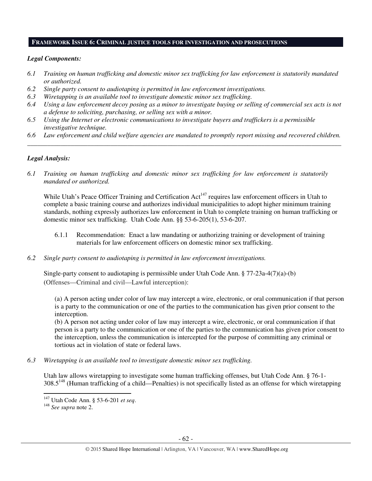#### **FRAMEWORK ISSUE 6: CRIMINAL JUSTICE TOOLS FOR INVESTIGATION AND PROSECUTIONS**

#### *Legal Components:*

- *6.1 Training on human trafficking and domestic minor sex trafficking for law enforcement is statutorily mandated or authorized.*
- *6.2 Single party consent to audiotaping is permitted in law enforcement investigations.*
- *6.3 Wiretapping is an available tool to investigate domestic minor sex trafficking.*
- *6.4 Using a law enforcement decoy posing as a minor to investigate buying or selling of commercial sex acts is not a defense to soliciting, purchasing, or selling sex with a minor.*
- *6.5 Using the Internet or electronic communications to investigate buyers and traffickers is a permissible investigative technique.*
- *6.6 Law enforcement and child welfare agencies are mandated to promptly report missing and recovered children. \_\_\_\_\_\_\_\_\_\_\_\_\_\_\_\_\_\_\_\_\_\_\_\_\_\_\_\_\_\_\_\_\_\_\_\_\_\_\_\_\_\_\_\_\_\_\_\_\_\_\_\_\_\_\_\_\_\_\_\_\_\_\_\_\_\_\_\_\_\_\_\_\_\_\_\_\_\_\_\_\_\_\_\_\_\_\_\_\_\_\_\_\_\_*

## *Legal Analysis:*

*6.1 Training on human trafficking and domestic minor sex trafficking for law enforcement is statutorily mandated or authorized.* 

While Utah's Peace Officer Training and Certification Act<sup>147</sup> requires law enforcement officers in Utah to complete a basic training course and authorizes individual municipalities to adopt higher minimum training standards, nothing expressly authorizes law enforcement in Utah to complete training on human trafficking or domestic minor sex trafficking. Utah Code Ann. §§ 53-6-205(1), 53-6-207.

- 6.1.1 Recommendation: Enact a law mandating or authorizing training or development of training materials for law enforcement officers on domestic minor sex trafficking.
- *6.2 Single party consent to audiotaping is permitted in law enforcement investigations.*

Single-party consent to audiotaping is permissible under Utah Code Ann. § 77-23a-4(7)(a)-(b) (Offenses—Criminal and civil—Lawful interception):

(a) A person acting under color of law may intercept a wire, electronic, or oral communication if that person is a party to the communication or one of the parties to the communication has given prior consent to the interception.

(b) A person not acting under color of law may intercept a wire, electronic, or oral communication if that person is a party to the communication or one of the parties to the communication has given prior consent to the interception, unless the communication is intercepted for the purpose of committing any criminal or tortious act in violation of state or federal laws.

*6.3 Wiretapping is an available tool to investigate domestic minor sex trafficking.* 

Utah law allows wiretapping to investigate some human trafficking offenses, but Utah Code Ann. § 76-1-  $308.5^{148}$  (Human trafficking of a child—Penalties) is not specifically listed as an offense for which wiretapping

l

<sup>147</sup> Utah Code Ann. § 53-6-201 *et seq*.

<sup>148</sup> *See supra* note 2.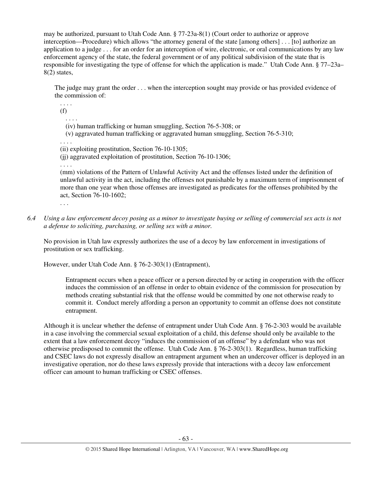may be authorized, pursuant to Utah Code Ann. § 77-23a-8(1) (Court order to authorize or approve interception—Procedure) which allows "the attorney general of the state [among others] . . . [to] authorize an application to a judge . . . for an order for an interception of wire, electronic, or oral communications by any law enforcement agency of the state, the federal government or of any political subdivision of the state that is responsible for investigating the type of offense for which the application is made." Utah Code Ann. § 77–23a– 8(2) states,

The judge may grant the order . . . when the interception sought may provide or has provided evidence of the commission of:

. . . . (f)

. . . .

(iv) human trafficking or human smuggling, Section 76-5-308; or

(v) aggravated human trafficking or aggravated human smuggling, Section 76-5-310;

. . . .

(ii) exploiting prostitution, Section 76-10-1305;

(jj) aggravated exploitation of prostitution, Section 76-10-1306;

. . . .

(mm) violations of the Pattern of Unlawful Activity Act and the offenses listed under the definition of unlawful activity in the act, including the offenses not punishable by a maximum term of imprisonment of more than one year when those offenses are investigated as predicates for the offenses prohibited by the act, Section 76-10-1602;

. . .

*6.4 Using a law enforcement decoy posing as a minor to investigate buying or selling of commercial sex acts is not a defense to soliciting, purchasing, or selling sex with a minor.* 

No provision in Utah law expressly authorizes the use of a decoy by law enforcement in investigations of prostitution or sex trafficking.

However, under Utah Code Ann. § 76-2-303(1) (Entrapment),

Entrapment occurs when a peace officer or a person directed by or acting in cooperation with the officer induces the commission of an offense in order to obtain evidence of the commission for prosecution by methods creating substantial risk that the offense would be committed by one not otherwise ready to commit it. Conduct merely affording a person an opportunity to commit an offense does not constitute entrapment.

Although it is unclear whether the defense of entrapment under Utah Code Ann. § 76-2-303 would be available in a case involving the commercial sexual exploitation of a child, this defense should only be available to the extent that a law enforcement decoy "induces the commission of an offense" by a defendant who was not otherwise predisposed to commit the offense. Utah Code Ann. § 76-2-303(1). Regardless, human trafficking and CSEC laws do not expressly disallow an entrapment argument when an undercover officer is deployed in an investigative operation, nor do these laws expressly provide that interactions with a decoy law enforcement officer can amount to human trafficking or CSEC offenses.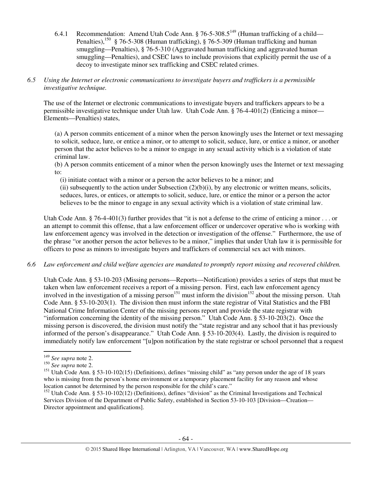6.4.1 Recommendation: Amend Utah Code Ann. § 76-5-308.5<sup>149</sup> (Human trafficking of a child— Penalties),<sup>150</sup> § 76-5-308 (Human trafficking), § 76-5-309 (Human trafficking and human smuggling—Penalties), § 76-5-310 (Aggravated human trafficking and aggravated human smuggling—Penalties), and CSEC laws to include provisions that explicitly permit the use of a decoy to investigate minor sex trafficking and CSEC related crimes.

## *6.5 Using the Internet or electronic communications to investigate buyers and traffickers is a permissible investigative technique.*

The use of the Internet or electronic communications to investigate buyers and traffickers appears to be a permissible investigative technique under Utah law. Utah Code Ann. § 76-4-401(2) (Enticing a minor— Elements—Penalties) states,

(a) A person commits enticement of a minor when the person knowingly uses the Internet or text messaging to solicit, seduce, lure, or entice a minor, or to attempt to solicit, seduce, lure, or entice a minor, or another person that the actor believes to be a minor to engage in any sexual activity which is a violation of state criminal law.

(b) A person commits enticement of a minor when the person knowingly uses the Internet or text messaging to:

(i) initiate contact with a minor or a person the actor believes to be a minor; and

(ii) subsequently to the action under Subsection  $(2)(b)(i)$ , by any electronic or written means, solicits, seduces, lures, or entices, or attempts to solicit, seduce, lure, or entice the minor or a person the actor believes to be the minor to engage in any sexual activity which is a violation of state criminal law.

Utah Code Ann. § 76-4-401(3) further provides that "it is not a defense to the crime of enticing a minor  $\dots$  or an attempt to commit this offense, that a law enforcement officer or undercover operative who is working with law enforcement agency was involved in the detection or investigation of the offense." Furthermore, the use of the phrase "or another person the actor believes to be a minor," implies that under Utah law it is permissible for officers to pose as minors to investigate buyers and traffickers of commercial sex act with minors.

# *6.6 Law enforcement and child welfare agencies are mandated to promptly report missing and recovered children.*

Utah Code Ann. § 53-10-203 (Missing persons—Reports—Notification) provides a series of steps that must be taken when law enforcement receives a report of a missing person. First, each law enforcement agency involved in the investigation of a missing person<sup>151</sup> must inform the division<sup>152</sup> about the missing person. Utah Code Ann. § 53-10-203(1). The division then must inform the state registrar of Vital Statistics and the FBI National Crime Information Center of the missing persons report and provide the state registrar with "information concerning the identity of the missing person." Utah Code Ann. § 53-10-203(2). Once the missing person is discovered, the division must notify the "state registrar and any school that it has previously informed of the person's disappearance." Utah Code Ann. § 53-10-203(4). Lastly, the division is required to immediately notify law enforcement "[u]pon notification by the state registrar or school personnel that a request

<sup>149</sup> *See supra* note 2.

<sup>150</sup> *See supra* note 2.

<sup>&</sup>lt;sup>151</sup> Utah Code Ann. § 53-10-102(15) (Definitions), defines "missing child" as "any person under the age of 18 years who is missing from the person's home environment or a temporary placement facility for any reason and whose location cannot be determined by the person responsible for the child's care."

 $152$  Utah Code Ann. § 53-10-102(12) (Definitions), defines "division" as the Criminal Investigations and Technical Services Division of the Department of Public Safety, established in Section 53-10-103 [Division—Creation— Director appointment and qualifications].